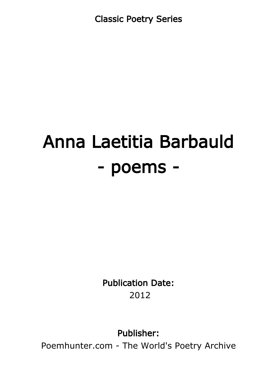Classic Poetry Series

# Anna Laetitia Barbauld - poems -

Publication Date: 2012

Publisher:

Poemhunter.com - The World's Poetry Archive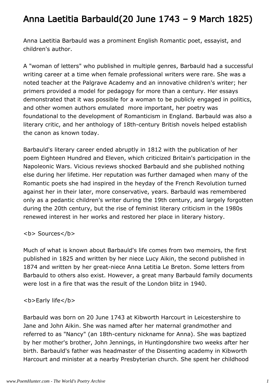# Anna Laetitia Barbauld(20 June 1743 – 9 March 1825)

Anna Laetitia Barbauld was a prominent English Romantic poet, essayist, and children's author.

A "woman of letters" who published in multiple genres, Barbauld had a successful writing career at a time when female professional writers were rare. She was a noted teacher at the Palgrave Academy and an innovative children's writer; her primers provided a model for pedagogy for more than a century. Her essays demonstrated that it was possible for a woman to be publicly engaged in politics, and other women authors emulated more important, her poetry was foundational to the development of Romanticism in England. Barbauld was also a literary critic, and her anthology of 18th-century British novels helped establish the canon as known today.

Barbauld's literary career ended abruptly in 1812 with the publication of her poem Eighteen Hundred and Eleven, which criticized Britain's participation in the Napoleonic Wars. Vicious reviews shocked Barbauld and she published nothing else during her lifetime. Her reputation was further damaged when many of the Romantic poets she had inspired in the heyday of the French Revolution turned against her in their later, more conservative, years. Barbauld was remembered only as a pedantic children's writer during the 19th century, and largely forgotten during the 20th century, but the rise of feminist literary criticism in the 1980s renewed interest in her works and restored her place in literary history.

#### **<b> Sources</b>**

Much of what is known about Barbauld's life comes from two memoirs, the first published in 1825 and written by her niece Lucy Aikin, the second published in 1874 and written by her great-niece Anna Letitia Le Breton. Some letters from Barbauld to others also exist. However, a great many Barbauld family documents were lost in a fire that was the result of the London blitz in 1940.

#### <b>Early life</b>

Barbauld was born on 20 June 1743 at Kibworth Harcourt in Leicestershire to Jane and John Aikin. She was named after her maternal grandmother and referred to as "Nancy" (an 18th-century nickname for Anna). She was baptized by her mother's brother, John Jennings, in Huntingdonshire two weeks after her birth. Barbauld's father was headmaster of the Dissenting academy in Kibworth Harcourt and minister at a nearby Presbyterian church. She spent her childhood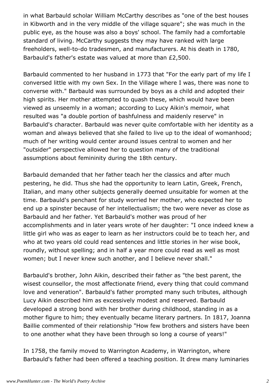in what Barbauld scholar William McCarthy describes as "one of the best houses in Kibworth and in the very middle of the village square"; she was much in the public eye, as the house was also a boys' school. The family had a comfortable standard of living. McCarthy suggests they may have ranked with large freeholders, well-to-do tradesmen, and manufacturers. At his death in 1780, Barbauld's father's estate was valued at more than £2,500.

Barbauld commented to her husband in 1773 that "For the early part of my life I conversed little with my own Sex. In the Village where I was, there was none to converse with." Barbauld was surrounded by boys as a child and adopted their high spirits. Her mother attempted to quash these, which would have been viewed as unseemly in a woman; according to Lucy Aikin's memoir, what resulted was "a double portion of bashfulness and maidenly reserve" in Barbauld's character. Barbauld was never quite comfortable with her identity as a woman and always believed that she failed to live up to the ideal of womanhood; much of her writing would center around issues central to women and her "outsider" perspective allowed her to question many of the traditional assumptions about femininity during the 18th century.

Barbauld demanded that her father teach her the classics and after much pestering, he did. Thus she had the opportunity to learn Latin, Greek, French, Italian, and many other subjects generally deemed unsuitable for women at the time. Barbauld's penchant for study worried her mother, who expected her to end up a spinster because of her intellectualism; the two were never as close as Barbauld and her father. Yet Barbauld's mother was proud of her accomplishments and in later years wrote of her daughter: "I once indeed knew a little girl who was as eager to learn as her instructors could be to teach her, and who at two years old could read sentences and little stories in her wise book, roundly, without spelling; and in half a year more could read as well as most women; but I never knew such another, and I believe never shall."

Barbauld's brother, John Aikin, described their father as "the best parent, the wisest counsellor, the most affectionate friend, every thing that could command love and veneration". Barbauld's father prompted many such tributes, although Lucy Aikin described him as excessively modest and reserved. Barbauld developed a strong bond with her brother during childhood, standing in as a mother figure to him; they eventually became literary partners. In 1817, Joanna Baillie commented of their relationship "How few brothers and sisters have been to one another what they have been through so long a course of years!"

In 1758, the family moved to Warrington Academy, in Warrington, where Barbauld's father had been offered a teaching position. It drew many luminaries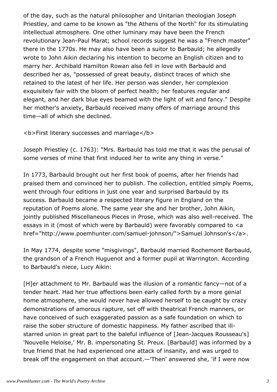of the day, such as the natural philosopher and Unitarian theologian Joseph Priestley, and came to be known as "the Athens of the North" for its stimulating intellectual atmosphere. One other luminary may have been the French revolutionary Jean-Paul Marat; school records suggest he was a "French master" there in the 1770s. He may also have been a suitor to Barbauld; he allegedly wrote to John Aikin declaring his intention to become an English citizen and to marry her. Archibald Hamilton Rowan also fell in love with Barbauld and described her as, "possessed of great beauty, distinct traces of which she retained to the latest of her life. Her person was slender, her complexion exquisitely fair with the bloom of perfect health; her features regular and elegant, and her dark blue eyes beamed with the light of wit and fancy." Despite her mother's anxiety, Barbauld received many offers of marriage around this time—all of which she declined.

<b>First literary successes and marriage</b>

Joseph Priestley (c. 1763): "Mrs. Barbauld has told me that it was the perusal of some verses of mine that first induced her to write any thing in verse."

In 1773, Barbauld brought out her first book of poems, after her friends had praised them and convinced her to publish. The collection, entitled simply Poems, went through four editions in just one year and surprised Barbauld by its success. Barbauld became a respected literary figure in England on the reputation of Poems alone. The same year she and her brother, John Aikin, jointly published Miscellaneous Pieces in Prose, which was also well-received. The essays in it (most of which were by Barbauld) were favorably compared to <a href="http://www.poemhunter.com/samuel-johnson/">Samuel Johnson's</a>.

In May 1774, despite some "misgivings", Barbauld married Rochemont Barbauld, the grandson of a French Huguenot and a former pupil at Warrington. According to Barbauld's niece, Lucy Aikin:

[H]er attachment to Mr. Barbauld was the illusion of a romantic fancy—not of a tender heart. Had her true affections been early called forth by a more genial home atmosphere, she would never have allowed herself to be caught by crazy demonstrations of amorous rapture, set off with theatrical French manners, or have conceived of such exaggerated passion as a safe foundation on which to raise the sober structure of domestic happiness. My father ascribed that illstarred union in great part to the baleful influence of [Jean-Jacques Rousseau's] 'Nouvelle Heloise,' Mr. B. impersonating St. Preux. [Barbauld] was informed by a true friend that he had experienced one attack of insanity, and was urged to break off the engagement on that account.—'Then' answered she, 'if I were now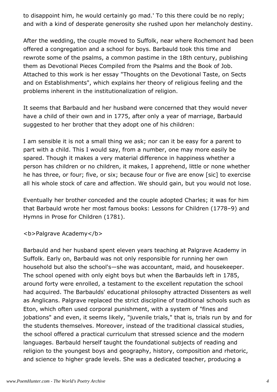to disappoint him, he would certainly go mad.' To this there could be no reply; and with a kind of desperate generosity she rushed upon her melancholy destiny.

After the wedding, the couple moved to Suffolk, near where Rochemont had been offered a congregation and a school for boys. Barbauld took this time and rewrote some of the psalms, a common pastime in the 18th century, publishing them as Devotional Pieces Compiled from the Psalms and the Book of Job. Attached to this work is her essay "Thoughts on the Devotional Taste, on Sects and on Establishments", which explains her theory of religious feeling and the problems inherent in the institutionalization of religion.

It seems that Barbauld and her husband were concerned that they would never have a child of their own and in 1775, after only a year of marriage, Barbauld suggested to her brother that they adopt one of his children:

I am sensible it is not a small thing we ask; nor can it be easy for a parent to part with a child. This I would say, from a number, one may more easily be spared. Though it makes a very material difference in happiness whether a person has children or no children, it makes, I apprehend, little or none whether he has three, or four; five, or six; because four or five are enow [sic] to exercise all his whole stock of care and affection. We should gain, but you would not lose.

Eventually her brother conceded and the couple adopted Charles; it was for him that Barbauld wrote her most famous books: Lessons for Children (1778–9) and Hymns in Prose for Children (1781).

<b>Palgrave Academy</b>

Barbauld and her husband spent eleven years teaching at Palgrave Academy in Suffolk. Early on, Barbauld was not only responsible for running her own household but also the school's—she was accountant, maid, and housekeeper. The school opened with only eight boys but when the Barbaulds left in 1785, around forty were enrolled, a testament to the excellent reputation the school had acquired. The Barbaulds' educational philosophy attracted Dissenters as well as Anglicans. Palgrave replaced the strict discipline of traditional schools such as Eton, which often used corporal punishment, with a system of "fines and jobations" and even, it seems likely, "juvenile trials," that is, trials run by and for the students themselves. Moreover, instead of the traditional classical studies, the school offered a practical curriculum that stressed science and the modern languages. Barbauld herself taught the foundational subjects of reading and religion to the youngest boys and geography, history, composition and rhetoric, and science to higher grade levels. She was a dedicated teacher, producing a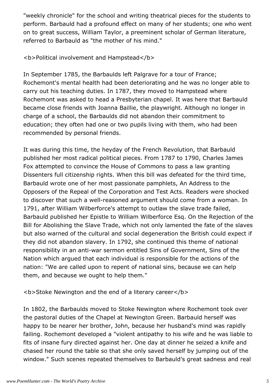"weekly chronicle" for the school and writing theatrical pieces for the students to perform. Barbauld had a profound effect on many of her students; one who went on to great success, William Taylor, a preeminent scholar of German literature, referred to Barbauld as "the mother of his mind."

<b>Political involvement and Hampstead</b>

In September 1785, the Barbaulds left Palgrave for a tour of France; Rochemont's mental health had been deteriorating and he was no longer able to carry out his teaching duties. In 1787, they moved to Hampstead where Rochemont was asked to head a Presbyterian chapel. It was here that Barbauld became close friends with Joanna Baillie, the playwright. Although no longer in charge of a school, the Barbaulds did not abandon their commitment to education; they often had one or two pupils living with them, who had been recommended by personal friends.

It was during this time, the heyday of the French Revolution, that Barbauld published her most radical political pieces. From 1787 to 1790, Charles James Fox attempted to convince the House of Commons to pass a law granting Dissenters full citizenship rights. When this bill was defeated for the third time, Barbauld wrote one of her most passionate pamphlets, An Address to the Opposers of the Repeal of the Corporation and Test Acts. Readers were shocked to discover that such a well-reasoned argument should come from a woman. In 1791, after William Wilberforce's attempt to outlaw the slave trade failed, Barbauld published her Epistle to William Wilberforce Esq. On the Rejection of the Bill for Abolishing the Slave Trade, which not only lamented the fate of the slaves but also warned of the cultural and social degeneration the British could expect if they did not abandon slavery. In 1792, she continued this theme of national responsibility in an anti-war sermon entitled Sins of Government, Sins of the Nation which argued that each individual is responsible for the actions of the nation: "We are called upon to repent of national sins, because we can help them, and because we ought to help them."

<b>Stoke Newington and the end of a literary career</b>

In 1802, the Barbaulds moved to Stoke Newington where Rochemont took over the pastoral duties of the Chapel at Newington Green. Barbauld herself was happy to be nearer her brother, John, because her husband's mind was rapidly failing. Rochemont developed a "violent antipathy to his wife and he was liable to fits of insane fury directed against her. One day at dinner he seized a knife and chased her round the table so that she only saved herself by jumping out of the window." Such scenes repeated themselves to Barbauld's great sadness and real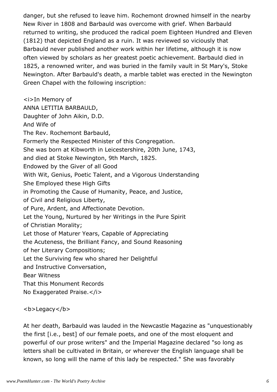danger, but she refused to leave him. Rochemont drowned himself in the nearby New River in 1808 and Barbauld was overcome with grief. When Barbauld returned to writing, she produced the radical poem Eighteen Hundred and Eleven (1812) that depicted England as a ruin. It was reviewed so viciously that Barbauld never published another work within her lifetime, although it is now often viewed by scholars as her greatest poetic achievement. Barbauld died in 1825, a renowned writer, and was buried in the family vault in St Mary's, Stoke Newington. After Barbauld's death, a marble tablet was erected in the Newington Green Chapel with the following inscription:

<i>In Memory of ANNA LETITIA BARBAULD, Daughter of John Aikin, D.D. And Wife of The Rev. Rochemont Barbauld, Formerly the Respected Minister of this Congregation. She was born at Kibworth in Leicestershire, 20th June, 1743, and died at Stoke Newington, 9th March, 1825. Endowed by the Giver of all Good With Wit, Genius, Poetic Talent, and a Vigorous Understanding She Employed these High Gifts in Promoting the Cause of Humanity, Peace, and Justice, of Civil and Religious Liberty, of Pure, Ardent, and Affectionate Devotion. Let the Young, Nurtured by her Writings in the Pure Spirit of Christian Morality; Let those of Maturer Years, Capable of Appreciating the Acuteness, the Brilliant Fancy, and Sound Reasoning of her Literary Compositions; Let the Surviving few who shared her Delightful and Instructive Conversation, Bear Witness That this Monument Records No Exaggerated Praise.</i>

<b>Legacy</b>

At her death, Barbauld was lauded in the Newcastle Magazine as "unquestionably the first [i.e., best] of our female poets, and one of the most eloquent and powerful of our prose writers" and the Imperial Magazine declared "so long as letters shall be cultivated in Britain, or wherever the English language shall be known, so long will the name of this lady be respected." She was favorably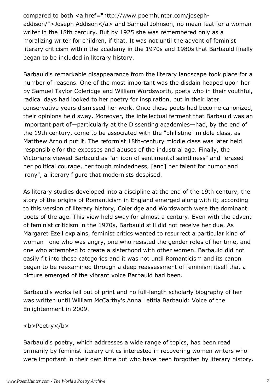compared to both <a href="http://www.poemhunter.com/josephaddison/">Joseph Addison</a> and Samuel Johnson, no mean feat for a woman writer in the 18th century. But by 1925 she was remembered only as a moralizing writer for children, if that. It was not until the advent of feminist literary criticism within the academy in the 1970s and 1980s that Barbauld finally began to be included in literary history.

Barbauld's remarkable disappearance from the literary landscape took place for a number of reasons. One of the most important was the disdain heaped upon her by Samuel Taylor Coleridge and William Wordsworth, poets who in their youthful, radical days had looked to her poetry for inspiration, but in their later, conservative years dismissed her work. Once these poets had become canonized, their opinions held sway. Moreover, the intellectual ferment that Barbauld was an important part of—particularly at the Dissenting academies—had, by the end of the 19th century, come to be associated with the "philistine" middle class, as Matthew Arnold put it. The reformist 18th-century middle class was later held responsible for the excesses and abuses of the industrial age. Finally, the Victorians viewed Barbauld as "an icon of sentimental saintliness" and "erased her political courage, her tough mindedness, [and] her talent for humor and irony", a literary figure that modernists despised.

As literary studies developed into a discipline at the end of the 19th century, the story of the origins of Romanticism in England emerged along with it; according to this version of literary history, Coleridge and Wordsworth were the dominant poets of the age. This view held sway for almost a century. Even with the advent of feminist criticism in the 1970s, Barbauld still did not receive her due. As Margaret Ezell explains, feminist critics wanted to resurrect a particular kind of woman—one who was angry, one who resisted the gender roles of her time, and one who attempted to create a sisterhood with other women. Barbauld did not easily fit into these categories and it was not until Romanticism and its canon began to be reexamined through a deep reassessment of feminism itself that a picture emerged of the vibrant voice Barbauld had been.

Barbauld's works fell out of print and no full-length scholarly biography of her was written until William McCarthy's Anna Letitia Barbauld: Voice of the Enlightenment in 2009.

#### <b>Poetry</b>

Barbauld's poetry, which addresses a wide range of topics, has been read primarily by feminist literary critics interested in recovering women writers who were important in their own time but who have been forgotten by literary history.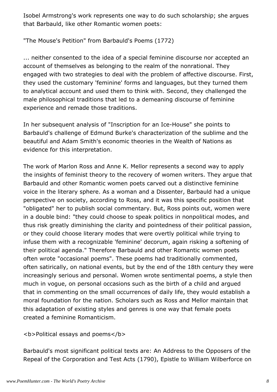Isobel Armstrong's work represents one way to do such scholarship; she argues that Barbauld, like other Romantic women poets:

"The Mouse's Petition" from Barbauld's Poems (1772)

... neither consented to the idea of a special feminine discourse nor accepted an account of themselves as belonging to the realm of the nonrational. They engaged with two strategies to deal with the problem of affective discourse. First, they used the customary 'feminine' forms and languages, but they turned them to analytical account and used them to think with. Second, they challenged the male philosophical traditions that led to a demeaning discourse of feminine experience and remade those traditions.

In her subsequent analysis of "Inscription for an Ice-House" she points to Barbauld's challenge of Edmund Burke's characterization of the sublime and the beautiful and Adam Smith's economic theories in the Wealth of Nations as evidence for this interpretation.

The work of Marlon Ross and Anne K. Mellor represents a second way to apply the insights of feminist theory to the recovery of women writers. They argue that Barbauld and other Romantic women poets carved out a distinctive feminine voice in the literary sphere. As a woman and a Dissenter, Barbauld had a unique perspective on society, according to Ross, and it was this specific position that "obligated" her to publish social commentary. But, Ross points out, women were in a double bind: "they could choose to speak politics in nonpolitical modes, and thus risk greatly diminishing the clarity and pointedness of their political passion, or they could choose literary modes that were overtly political while trying to infuse them with a recognizable 'feminine' decorum, again risking a softening of their political agenda." Therefore Barbauld and other Romantic women poets often wrote "occasional poems". These poems had traditionally commented, often satirically, on national events, but by the end of the 18th century they were increasingly serious and personal. Women wrote sentimental poems, a style then much in vogue, on personal occasions such as the birth of a child and argued that in commenting on the small occurrences of daily life, they would establish a moral foundation for the nation. Scholars such as Ross and Mellor maintain that this adaptation of existing styles and genres is one way that female poets created a feminine Romanticism.

<b>Political essays and poems</b>

Barbauld's most significant political texts are: An Address to the Opposers of the Repeal of the Corporation and Test Acts (1790), Epistle to William Wilberforce on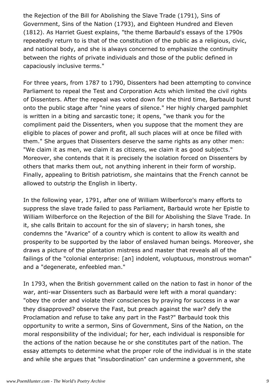the Rejection of the Bill for Abolishing the Slave Trade (1791), Sins of Government, Sins of the Nation (1793), and Eighteen Hundred and Eleven (1812). As Harriet Guest explains, "the theme Barbauld's essays of the 1790s repeatedly return to is that of the constitution of the public as a religious, civic, and national body, and she is always concerned to emphasize the continuity between the rights of private individuals and those of the public defined in capaciously inclusive terms."

For three years, from 1787 to 1790, Dissenters had been attempting to convince Parliament to repeal the Test and Corporation Acts which limited the civil rights of Dissenters. After the repeal was voted down for the third time, Barbauld burst onto the public stage after "nine years of silence." Her highly charged pamphlet is written in a biting and sarcastic tone; it opens, "we thank you for the compliment paid the Dissenters, when you suppose that the moment they are eligible to places of power and profit, all such places will at once be filled with them." She argues that Dissenters deserve the same rights as any other men: "We claim it as men, we claim it as citizens, we claim it as good subjects." Moreover, she contends that it is precisely the isolation forced on Dissenters by others that marks them out, not anything inherent in their form of worship. Finally, appealing to British patriotism, she maintains that the French cannot be allowed to outstrip the English in liberty.

In the following year, 1791, after one of William Wilberforce's many efforts to suppress the slave trade failed to pass Parliament, Barbauld wrote her Epistle to William Wilberforce on the Rejection of the Bill for Abolishing the Slave Trade. In it, she calls Britain to account for the sin of slavery; in harsh tones, she condemns the "Avarice" of a country which is content to allow its wealth and prosperity to be supported by the labor of enslaved human beings. Moreover, she draws a picture of the plantation mistress and master that reveals all of the failings of the "colonial enterprise: [an] indolent, voluptuous, monstrous woman" and a "degenerate, enfeebled man."

In 1793, when the British government called on the nation to fast in honor of the war, anti-war Dissenters such as Barbauld were left with a moral quandary: "obey the order and violate their consciences by praying for success in a war they disapproved? observe the Fast, but preach against the war? defy the Proclamation and refuse to take any part in the Fast?" Barbauld took this opportunity to write a sermon, Sins of Government, Sins of the Nation, on the moral responsibility of the individual; for her, each individual is responsible for the actions of the nation because he or she constitutes part of the nation. The essay attempts to determine what the proper role of the individual is in the state and while she argues that "insubordination" can undermine a government, she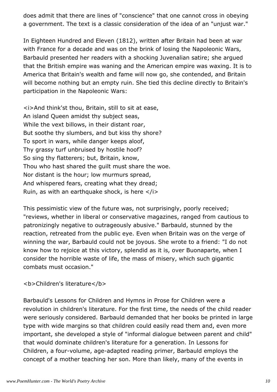does admit that there are lines of "conscience" that one cannot cross in obeying a government. The text is a classic consideration of the idea of an "unjust war."

In Eighteen Hundred and Eleven (1812), written after Britain had been at war with France for a decade and was on the brink of losing the Napoleonic Wars, Barbauld presented her readers with a shocking Juvenalian satire; she argued that the British empire was waning and the American empire was waxing. It is to America that Britain's wealth and fame will now go, she contended, and Britain will become nothing but an empty ruin. She tied this decline directly to Britain's participation in the Napoleonic Wars:

<i>And think'st thou, Britain, still to sit at ease, An island Queen amidst thy subject seas, While the vext billows, in their distant roar, But soothe thy slumbers, and but kiss thy shore? To sport in wars, while danger keeps aloof, Thy grassy turf unbruised by hostile hoof? So sing thy flatterers; but, Britain, know, Thou who hast shared the guilt must share the woe. Nor distant is the hour; low murmurs spread, And whispered fears, creating what they dread; Ruin, as with an earthquake shock, is here </i>

This pessimistic view of the future was, not surprisingly, poorly received; "reviews, whether in liberal or conservative magazines, ranged from cautious to patronizingly negative to outrageously abusive." Barbauld, stunned by the reaction, retreated from the public eye. Even when Britain was on the verge of winning the war, Barbauld could not be joyous. She wrote to a friend: "I do not know how to rejoice at this victory, splendid as it is, over Buonaparte, when I consider the horrible waste of life, the mass of misery, which such gigantic combats must occasion."

#### <b>Children's literature</b>

Barbauld's Lessons for Children and Hymns in Prose for Children were a revolution in children's literature. For the first time, the needs of the child reader were seriously considered. Barbauld demanded that her books be printed in large type with wide margins so that children could easily read them and, even more important, she developed a style of "informal dialogue between parent and child" that would dominate children's literature for a generation. In Lessons for Children, a four-volume, age-adapted reading primer, Barbauld employs the concept of a mother teaching her son. More than likely, many of the events in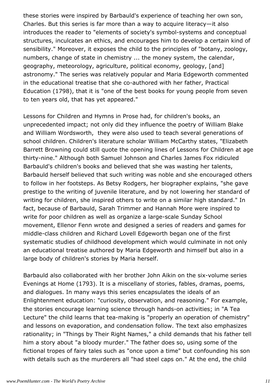these stories were inspired by Barbauld's experience of teaching her own son, Charles. But this series is far more than a way to acquire literacy—it also introduces the reader to "elements of society's symbol-systems and conceptual structures, inculcates an ethics, and encourages him to develop a certain kind of sensibility." Moreover, it exposes the child to the principles of "botany, zoology, numbers, change of state in chemistry ... the money system, the calendar, geography, meteorology, agriculture, political economy, geology, [and] astronomy." The series was relatively popular and Maria Edgeworth commented in the educational treatise that she co-authored with her father, Practical Education (1798), that it is "one of the best books for young people from seven to ten years old, that has yet appeared."

Lessons for Children and Hymns in Prose had, for children's books, an unprecedented impact; not only did they influence the poetry of William Blake and William Wordsworth, they were also used to teach several generations of school children. Children's literature scholar William McCarthy states, "Elizabeth Barrett Browning could still quote the opening lines of Lessons for Children at age thirty-nine." Although both Samuel Johnson and Charles James Fox ridiculed Barbauld's children's books and believed that she was wasting her talents, Barbauld herself believed that such writing was noble and she encouraged others to follow in her footsteps. As Betsy Rodgers, her biographer explains, "she gave prestige to the writing of juvenile literature, and by not lowering her standard of writing for children, she inspired others to write on a similar high standard." In fact, because of Barbauld, Sarah Trimmer and Hannah More were inspired to write for poor children as well as organize a large-scale Sunday School movement, Ellenor Fenn wrote and designed a series of readers and games for middle-class children and Richard Lovell Edgeworth began one of the first systematic studies of childhood development which would culminate in not only an educational treatise authored by Maria Edgeworth and himself but also in a large body of children's stories by Maria herself.

Barbauld also collaborated with her brother John Aikin on the six-volume series Evenings at Home (1793). It is a miscellany of stories, fables, dramas, poems, and dialogues. In many ways this series encapsulates the ideals of an Enlightenment education: "curiosity, observation, and reasoning." For example, the stories encourage learning science through hands-on activities; in "A Tea Lecture" the child learns that tea-making is "properly an operation of chemistry" and lessons on evaporation, and condensation follow. The text also emphasizes rationality; in "Things by Their Right Names," a child demands that his father tell him a story about "a bloody murder." The father does so, using some of the fictional tropes of fairy tales such as "once upon a time" but confounding his son with details such as the murderers all "had steel caps on." At the end, the child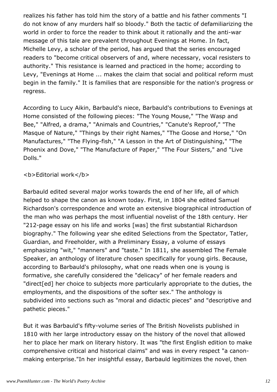realizes his father has told him the story of a battle and his father comments "I do not know of any murders half so bloody." Both the tactic of defamiliarizing the world in order to force the reader to think about it rationally and the anti-war message of this tale are prevalent throughout Evenings at Home. In fact, Michelle Levy, a scholar of the period, has argued that the series encouraged readers to "become critical observers of and, where necessary, vocal resisters to authority." This resistance is learned and practiced in the home; according to Levy, "Evenings at Home ... makes the claim that social and political reform must begin in the family." It is families that are responsible for the nation's progress or regress.

According to Lucy Aikin, Barbauld's niece, Barbauld's contributions to Evenings at Home consisted of the following pieces: "The Young Mouse," "The Wasp and Bee," "Alfred, a drama," "Animals and Countries," "Canute's Reproof," "The Masque of Nature," "Things by their right Names," "The Goose and Horse," "On Manufactures," "The Flying-fish," "A Lesson in the Art of Distinguishing," "The Phoenix and Dove," "The Manufacture of Paper," "The Four Sisters," and "Live Dolls."

#### <b>Editorial work</b>

Barbauld edited several major works towards the end of her life, all of which helped to shape the canon as known today. First, in 1804 she edited Samuel Richardson's correspondence and wrote an extensive biographical introduction of the man who was perhaps the most influential novelist of the 18th century. Her "212-page essay on his life and works [was] the first substantial Richardson biography." The following year she edited Selections from the Spectator, Tatler, Guardian, and Freeholder, with a Preliminary Essay, a volume of essays emphasizing "wit," "manners" and "taste." In 1811, she assembled The Female Speaker, an anthology of literature chosen specifically for young girls. Because, according to Barbauld's philosophy, what one reads when one is young is formative, she carefully considered the "delicacy" of her female readers and "direct[ed] her choice to subjects more particularly appropriate to the duties, the employments, and the dispositions of the softer sex." The anthology is subdivided into sections such as "moral and didactic pieces" and "descriptive and pathetic pieces."

But it was Barbauld's fifty-volume series of The British Novelists published in 1810 with her large introductory essay on the history of the novel that allowed her to place her mark on literary history. It was "the first English edition to make comprehensive critical and historical claims" and was in every respect "a canonmaking enterprise."In her insightful essay, Barbauld legitimizes the novel, then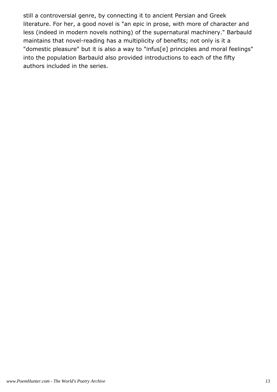still a controversial genre, by connecting it to ancient Persian and Greek literature. For her, a good novel is "an epic in prose, with more of character and less (indeed in modern novels nothing) of the supernatural machinery." Barbauld maintains that novel-reading has a multiplicity of benefits; not only is it a "domestic pleasure" but it is also a way to "infus[e] principles and moral feelings" into the population Barbauld also provided introductions to each of the fifty authors included in the series.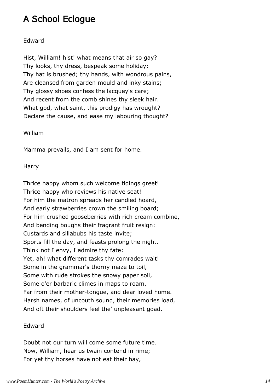# A School Eclogue

#### Edward

Hist, William! hist! what means that air so gay? Thy looks, thy dress, bespeak some holiday: Thy hat is brushed; thy hands, with wondrous pains, Are cleansed from garden mould and inky stains; Thy glossy shoes confess the lacquey's care; And recent from the comb shines thy sleek hair. What god, what saint, this prodigy has wrought? Declare the cause, and ease my labouring thought?

William

Mamma prevails, and I am sent for home.

#### Harry

Thrice happy whom such welcome tidings greet! Thrice happy who reviews his native seat! For him the matron spreads her candied hoard, And early strawberries crown the smiling board; For him crushed gooseberries with rich cream combine, And bending boughs their fragrant fruit resign: Custards and sillabubs his taste invite; Sports fill the day, and feasts prolong the night. Think not I envy, I admire thy fate: Yet, ah! what different tasks thy comrades wait! Some in the grammar's thorny maze to toil, Some with rude strokes the snowy paper soil, Some o'er barbaric climes in maps to roam, Far from their mother-tongue, and dear loved home. Harsh names, of uncouth sound, their memories load, And oft their shoulders feel the' unpleasant goad.

#### Edward

Doubt not our turn will come some future time. Now, William, hear us twain contend in rime; For yet thy horses have not eat their hay,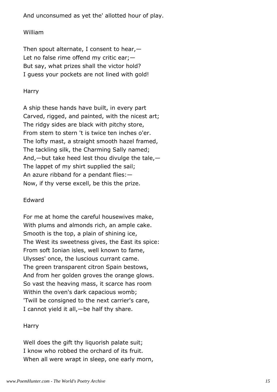And unconsumed as yet the' allotted hour of play.

#### William

Then spout alternate, I consent to hear, $-$ Let no false rime offend my critic ear; -But say, what prizes shall the victor hold? I guess your pockets are not lined with gold!

#### Harry

A ship these hands have built, in every part Carved, rigged, and painted, with the nicest art; The ridgy sides are black with pitchy store, From stem to stern 't is twice ten inches o'er. The lofty mast, a straight smooth hazel framed, The tackling silk, the Charming Sally named; And,—but take heed lest thou divulge the tale,— The lappet of my shirt supplied the sail; An azure ribband for a pendant flies:— Now, if thy verse excell, be this the prize.

#### Edward

For me at home the careful housewives make, With plums and almonds rich, an ample cake. Smooth is the top, a plain of shining ice, The West its sweetness gives, the East its spice: From soft Ionian isles, well known to fame, Ulysses' once, the luscious currant came. The green transparent citron Spain bestows, And from her golden groves the orange glows. So vast the heaving mass, it scarce has room Within the oven's dark capacious womb; 'Twill be consigned to the next carrier's care, I cannot yield it all,—be half thy share.

#### Harry

Well does the gift thy liquorish palate suit; I know who robbed the orchard of its fruit. When all were wrapt in sleep, one early morn,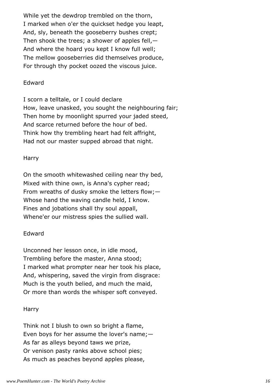While yet the dewdrop trembled on the thorn, I marked when o'er the quickset hedge you leapt, And, sly, beneath the gooseberry bushes crept; Then shook the trees; a shower of apples fell, $-$ And where the hoard you kept I know full well; The mellow gooseberries did themselves produce, For through thy pocket oozed the viscous juice.

#### Edward

I scorn a telltale, or I could declare How, leave unasked, you sought the neighbouring fair; Then home by moonlight spurred your jaded steed, And scarce returned before the hour of bed. Think how thy trembling heart had felt affright, Had not our master supped abroad that night.

#### Harry

On the smooth whitewashed ceiling near thy bed, Mixed with thine own, is Anna's cypher read; From wreaths of dusky smoke the letters flow;— Whose hand the waving candle held, I know. Fines and jobations shall thy soul appall, Whene'er our mistress spies the sullied wall.

#### Edward

Unconned her lesson once, in idle mood, Trembling before the master, Anna stood; I marked what prompter near her took his place, And, whispering, saved the virgin from disgrace: Much is the youth belied, and much the maid, Or more than words the whisper soft conveyed.

#### Harry

Think not I blush to own so bright a flame, Even boys for her assume the lover's name;— As far as alleys beyond taws we prize, Or venison pasty ranks above school pies; As much as peaches beyond apples please,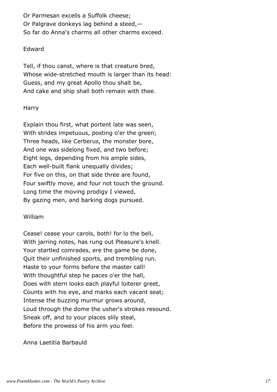Or Parmesan excells a Suffolk cheese; Or Palgrave donkeys lag behind a steed,— So far do Anna's charms all other charms exceed.

#### Edward

Tell, if thou canst, where is that creature bred, Whose wide-stretched mouth is larger than its head: Guess, and my great Apollo thou shalt be, And cake and ship shall both remain with thee.

#### Harry

Explain thou first, what portent late was seen, With strides impetuous, posting o'er the green; Three heads, like Cerberus, the monster bore, And one was sidelong fixed, and two before; Eight legs, depending from his ample sides, Each well-built flank unequally divides; For five on this, on that side three are found, Four swiftly move, and four not touch the ground. Long time the moving prodigy I viewed, By gazing men, and barking dogs pursued.

#### William

Cease! cease your carols, both! for lo the bell, With jarring notes, has rung out Pleasure's knell. Your startled comrades, ere the game be done, Quit their unfinished sports, and trembling run. Haste to your forms before the master call! With thoughtful step he paces o'er the hall, Does with stern looks each playful loiterer greet, Counts with his eye, and marks each vacant seat; Intense the buzzing murmur grows around, Loud through the dome the usher's strokes resound. Sneak off, and to your places slily steal, Before the prowess of his arm you feel.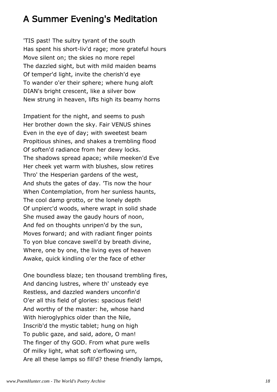# A Summer Evening's Meditation

'TIS past! The sultry tyrant of the south Has spent his short-liv'd rage; more grateful hours Move silent on; the skies no more repel The dazzled sight, but with mild maiden beams Of temper'd light, invite the cherish'd eye To wander o'er their sphere; where hung aloft DIAN's bright crescent, like a silver bow New strung in heaven, lifts high its beamy horns

Impatient for the night, and seems to push Her brother down the sky. Fair VENUS shines Even in the eye of day; with sweetest beam Propitious shines, and shakes a trembling flood Of soften'd radiance from her dewy locks. The shadows spread apace; while meeken'd Eve Her cheek yet warm with blushes, slow retires Thro' the Hesperian gardens of the west, And shuts the gates of day. 'Tis now the hour When Contemplation, from her sunless haunts, The cool damp grotto, or the lonely depth Of unpierc'd woods, where wrapt in solid shade She mused away the gaudy hours of noon, And fed on thoughts unripen'd by the sun, Moves forward; and with radiant finger points To yon blue concave swell'd by breath divine, Where, one by one, the living eyes of heaven Awake, quick kindling o'er the face of ether

One boundless blaze; ten thousand trembling fires, And dancing lustres, where th' unsteady eye Restless, and dazzled wanders unconfin'd O'er all this field of glories: spacious field! And worthy of the master: he, whose hand With hieroglyphics older than the Nile, Inscrib'd the mystic tablet; hung on high To public gaze, and said, adore, O man! The finger of thy GOD. From what pure wells Of milky light, what soft o'erflowing urn, Are all these lamps so fill'd? these friendly lamps,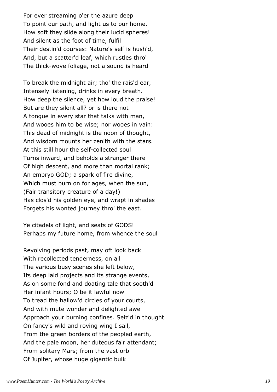For ever streaming o'er the azure deep To point our path, and light us to our home. How soft they slide along their lucid spheres! And silent as the foot of time, fulfil Their destin'd courses: Nature's self is hush'd, And, but a scatter'd leaf, which rustles thro' The thick-wove foliage, not a sound is heard

To break the midnight air; tho' the rais'd ear, Intensely listening, drinks in every breath. How deep the silence, yet how loud the praise! But are they silent all? or is there not A tongue in every star that talks with man, And wooes him to be wise; nor wooes in vain: This dead of midnight is the noon of thought, And wisdom mounts her zenith with the stars. At this still hour the self-collected soul Turns inward, and beholds a stranger there Of high descent, and more than mortal rank; An embryo GOD; a spark of fire divine, Which must burn on for ages, when the sun, (Fair transitory creature of a day!) Has clos'd his golden eye, and wrapt in shades Forgets his wonted journey thro' the east.

Ye citadels of light, and seats of GODS! Perhaps my future home, from whence the soul

Revolving periods past, may oft look back With recollected tenderness, on all The various busy scenes she left below, Its deep laid projects and its strange events, As on some fond and doating tale that sooth'd Her infant hours; O be it lawful now To tread the hallow'd circles of your courts, And with mute wonder and delighted awe Approach your burning confines. Seiz'd in thought On fancy's wild and roving wing I sail, From the green borders of the peopled earth, And the pale moon, her duteous fair attendant; From solitary Mars; from the vast orb Of Jupiter, whose huge gigantic bulk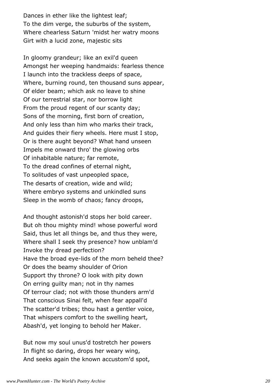Dances in ether like the lightest leaf; To the dim verge, the suburbs of the system, Where chearless Saturn 'midst her watry moons Girt with a lucid zone, majestic sits

In gloomy grandeur; like an exil'd queen Amongst her weeping handmaids: fearless thence I launch into the trackless deeps of space, Where, burning round, ten thousand suns appear, Of elder beam; which ask no leave to shine Of our terrestrial star, nor borrow light From the proud regent of our scanty day; Sons of the morning, first born of creation, And only less than him who marks their track, And guides their fiery wheels. Here must I stop, Or is there aught beyond? What hand unseen Impels me onward thro' the glowing orbs Of inhabitable nature; far remote, To the dread confines of eternal night, To solitudes of vast unpeopled space, The desarts of creation, wide and wild; Where embryo systems and unkindled suns Sleep in the womb of chaos; fancy droops,

And thought astonish'd stops her bold career. But oh thou mighty mind! whose powerful word Said, thus let all things be, and thus they were, Where shall I seek thy presence? how unblam'd Invoke thy dread perfection? Have the broad eye-lids of the morn beheld thee? Or does the beamy shoulder of Orion Support thy throne? O look with pity down On erring guilty man; not in thy names Of terrour clad; not with those thunders arm'd That conscious Sinai felt, when fear appall'd The scatter'd tribes; thou hast a gentler voice, That whispers comfort to the swelling heart, Abash'd, yet longing to behold her Maker.

But now my soul unus'd tostretch her powers In flight so daring, drops her weary wing, And seeks again the known accustom'd spot,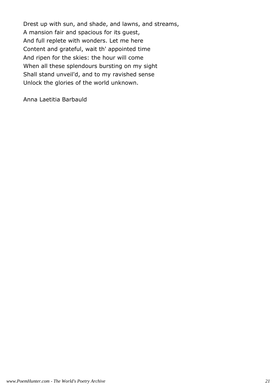Drest up with sun, and shade, and lawns, and streams, A mansion fair and spacious for its guest, And full replete with wonders. Let me here Content and grateful, wait th' appointed time And ripen for the skies: the hour will come When all these splendours bursting on my sight Shall stand unveil'd, and to my ravished sense Unlock the glories of the world unknown.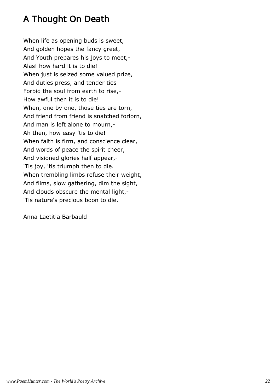# A Thought On Death

When life as opening buds is sweet, And golden hopes the fancy greet, And Youth prepares his joys to meet,- Alas! how hard it is to die! When just is seized some valued prize, And duties press, and tender ties Forbid the soul from earth to rise,- How awful then it is to die! When, one by one, those ties are torn, And friend from friend is snatched forlorn, And man is left alone to mourn,- Ah then, how easy 'tis to die! When faith is firm, and conscience clear, And words of peace the spirit cheer, And visioned glories half appear,- 'Tis joy, 'tis triumph then to die. When trembling limbs refuse their weight, And films, slow gathering, dim the sight, And clouds obscure the mental light,- 'Tis nature's precious boon to die.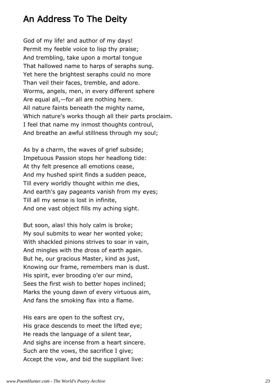# An Address To The Deity

God of my life! and author of my days! Permit my feeble voice to lisp thy praise; And trembling, take upon a mortal tongue That hallowed name to harps of seraphs sung. Yet here the brightest seraphs could no more Than veil their faces, tremble, and adore. Worms, angels, men, in every different sphere Are equal all,—for all are nothing here. All nature faints beneath the mighty name, Which nature's works though all their parts proclaim. I feel that name my inmost thoughts controul, And breathe an awful stillness through my soul;

As by a charm, the waves of grief subside; Impetuous Passion stops her headlong tide: At thy felt presence all emotions cease, And my hushed spirit finds a sudden peace, Till every worldly thought within me dies, And earth's gay pageants vanish from my eyes; Till all my sense is lost in infinite, And one vast object fills my aching sight.

But soon, alas! this holy calm is broke; My soul submits to wear her wonted yoke; With shackled pinions strives to soar in vain, And mingles with the dross of earth again. But he, our gracious Master, kind as just, Knowing our frame, remembers man is dust. His spirit, ever brooding o'er our mind, Sees the first wish to better hopes inclined; Marks the young dawn of every virtuous aim, And fans the smoking flax into a flame.

His ears are open to the softest cry, His grace descends to meet the lifted eye; He reads the language of a silent tear, And sighs are incense from a heart sincere. Such are the vows, the sacrifice I give; Accept the vow, and bid the suppliant live: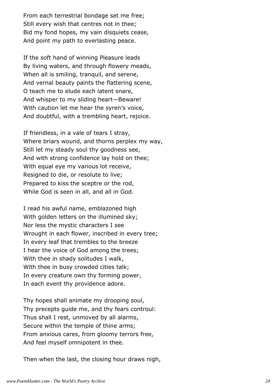From each terrestrial bondage set me free; Still every wish that centres not in thee; Bid my fond hopes, my vain disquiets cease, And point my path to everlasting peace.

If the soft hand of winning Pleasure leads By living waters, and through flowery meads, When all is smiling, tranquil, and serene, And vernal beauty paints the flattering scene, O teach me to elude each latent snare, And whisper to my sliding heart—Beware! With caution let me hear the syren's voice, And doubtful, with a trembling heart, rejoice.

If friendless, in a vale of tears I stray, Where briars wound, and thorns perplex my way, Still let my steady soul thy goodness see, And with strong confidence lay hold on thee; With equal eye my various lot receive, Resigned to die, or resolute to live; Prepared to kiss the sceptre or the rod, While God is seen in all, and all in God.

I read his awful name, emblazoned high With golden letters on the illumined sky; Nor less the mystic characters I see Wrought in each flower, inscribed in every tree; In every leaf that trembles to the breeze I hear the voice of God among the trees; With thee in shady solitudes I walk, With thee in busy crowded cities talk; In every creature own thy forming power, In each event thy providence adore.

Thy hopes shall animate my drooping soul, Thy precepts guide me, and thy fears controul: Thus shall I rest, unmoved by all alarms, Secure within the temple of thine arms; From anxious cares, from gloomy terrors free, And feel myself omnipotent in thee.

Then when the last, the closing hour draws nigh,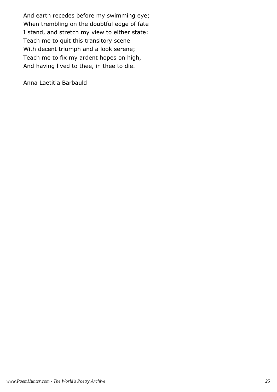And earth recedes before my swimming eye; When trembling on the doubtful edge of fate I stand, and stretch my view to either state: Teach me to quit this transitory scene With decent triumph and a look serene; Teach me to fix my ardent hopes on high, And having lived to thee, in thee to die.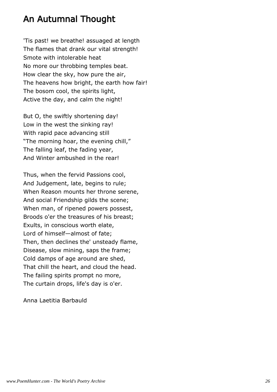# An Autumnal Thought

'Tis past! we breathe! assuaged at length The flames that drank our vital strength! Smote with intolerable heat No more our throbbing temples beat. How clear the sky, how pure the air, The heavens how bright, the earth how fair! The bosom cool, the spirits light, Active the day, and calm the night!

But O, the swiftly shortening day! Low in the west the sinking ray! With rapid pace advancing still "The morning hoar, the evening chill," The falling leaf, the fading year, And Winter ambushed in the rear!

Thus, when the fervid Passions cool, And Judgement, late, begins to rule; When Reason mounts her throne serene, And social Friendship gilds the scene; When man, of ripened powers possest, Broods o'er the treasures of his breast; Exults, in conscious worth elate, Lord of himself—almost of fate; Then, then declines the' unsteady flame, Disease, slow mining, saps the frame; Cold damps of age around are shed, That chill the heart, and cloud the head. The failing spirits prompt no more, The curtain drops, life's day is o'er.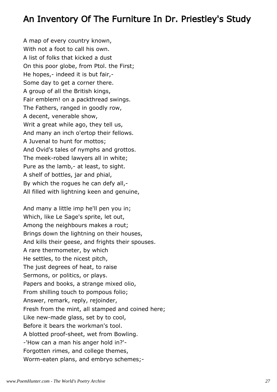# An Inventory Of The Furniture In Dr. Priestley's Study

A map of every country known, With not a foot to call his own. A list of folks that kicked a dust On this poor globe, from Ptol. the First; He hopes,- indeed it is but fair,- Some day to get a corner there. A group of all the British kings, Fair emblem! on a packthread swings. The Fathers, ranged in goodly row, A decent, venerable show, Writ a great while ago, they tell us, And many an inch o'ertop their fellows. A Juvenal to hunt for mottos; And Ovid's tales of nymphs and grottos. The meek-robed lawyers all in white; Pure as the lamb,- at least, to sight. A shelf of bottles, jar and phial, By which the rogues he can defy all,- All filled with lightning keen and genuine,

And many a little imp he'll pen you in; Which, like Le Sage's sprite, let out, Among the neighbours makes a rout; Brings down the lightning on their houses, And kills their geese, and frights their spouses. A rare thermometer, by which He settles, to the nicest pitch, The just degrees of heat, to raise Sermons, or politics, or plays. Papers and books, a strange mixed olio, From shilling touch to pompous folio; Answer, remark, reply, rejoinder, Fresh from the mint, all stamped and coined here; Like new-made glass, set by to cool, Before it bears the workman's tool. A blotted proof-sheet, wet from Bowling. -'How can a man his anger hold in?'- Forgotten rimes, and college themes, Worm-eaten plans, and embryo schemes;-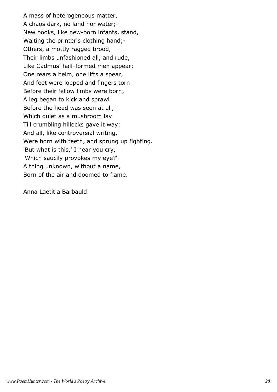A mass of heterogeneous matter, A chaos dark, no land nor water;- New books, like new-born infants, stand, Waiting the printer's clothing hand;- Others, a mottly ragged brood, Their limbs unfashioned all, and rude, Like Cadmus' half-formed men appear; One rears a helm, one lifts a spear, And feet were lopped and fingers torn Before their fellow limbs were born; A leg began to kick and sprawl Before the head was seen at all, Which quiet as a mushroom lay Till crumbling hillocks gave it way; And all, like controversial writing, Were born with teeth, and sprung up fighting. 'But what is this,' I hear you cry, 'Which saucily provokes my eye?'- A thing unknown, without a name, Born of the air and doomed to flame.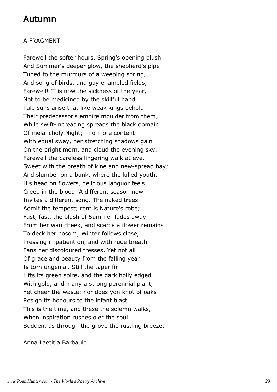# Autumn

#### A FRAGMENT

Farewell the softer hours, Spring's opening blush And Summer's deeper glow, the shepherd's pipe Tuned to the murmurs of a weeping spring, And song of birds, and gay enameled fields,— Farewell! 'T is now the sickness of the year, Not to be medicined by the skillful hand. Pale suns arise that like weak kings behold Their predecessor's empire moulder from them; While swift-increasing spreads the black domain Of melancholy Night;—no more content With equal sway, her stretching shadows gain On the bright morn, and cloud the evening sky. Farewell the careless lingering walk at eve, Sweet with the breath of kine and new-spread hay; And slumber on a bank, where the lulled youth, His head on flowers, delicious languor feels Creep in the blood. A different season now Invites a different song. The naked trees Admit the tempest; rent is Nature's robe; Fast, fast, the blush of Summer fades away From her wan cheek, and scarce a flower remains To deck her bosom; Winter follows close, Pressing impatient on, and with rude breath Fans her discoloured tresses. Yet not all Of grace and beauty from the falling year Is torn ungenial. Still the taper fir Lifts its green spire, and the dark holly edged With gold, and many a strong perennial plant, Yet cheer the waste: nor does yon knot of oaks Resign its honours to the infant blast. This is the time, and these the solemn walks, When inspiration rushes o'er the soul Sudden, as through the grove the rustling breeze.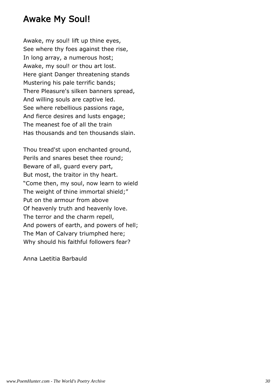### Awake My Soul!

Awake, my soul! lift up thine eyes, See where thy foes against thee rise, In long array, a numerous host; Awake, my soul! or thou art lost. Here giant Danger threatening stands Mustering his pale terrific bands; There Pleasure's silken banners spread, And willing souls are captive led. See where rebellious passions rage, And fierce desires and lusts engage; The meanest foe of all the train Has thousands and ten thousands slain.

Thou tread'st upon enchanted ground, Perils and snares beset thee round; Beware of all, guard every part, But most, the traitor in thy heart. "Come then, my soul, now learn to wield The weight of thine immortal shield;" Put on the armour from above Of heavenly truth and heavenly love. The terror and the charm repell, And powers of earth, and powers of hell; The Man of Calvary triumphed here; Why should his faithful followers fear?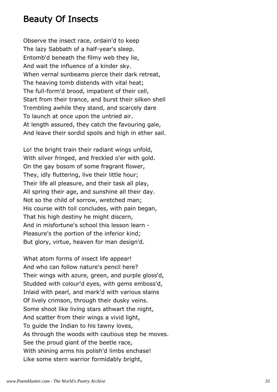### Beauty Of Insects

Observe the insect race, ordain'd to keep The lazy Sabbath of a half-year's sleep. Entomb'd beneath the filmy web they lie, And wait the influence of a kinder sky. When vernal sunbeams pierce their dark retreat, The heaving tomb distends with vital heat; The full-form'd brood, impatient of their cell, Start from their trance, and burst their silken shell Trembling awhile they stand, and scarcely dare To launch at once upon the untried air. At length assured, they catch the favouring gale, And leave their sordid spoils and high in ether sail.

Lo! the bright train their radiant wings unfold, With silver fringed, and freckled o'er with gold. On the gay bosom of some fragrant flower, They, idly fluttering, live their little hour; Their life all pleasure, and their task all play, All spring their age, and sunshine all their day. Not so the child of sorrow, wretched man; His course with toil concludes, with pain began, That his high destiny he might discern, And in misfortune's school this lesson learn - Pleasure's the portion of the inferior kind; But glory, virtue, heaven for man design'd.

What atom forms of insect life appear! And who can follow nature's pencil here? Their wings with azure, green, and purple gloss'd, Studded with colour'd eyes, with gems emboss'd, Inlaid with pearl, and mark'd with various stains Of lively crimson, through their dusky veins. Some shoot like living stars athwart the night, And scatter from their wings a vivid light, To guide the Indian to his tawny loves, As through the woods with cautious step he moves. See the proud giant of the beetle race, With shining arms his polish'd limbs enchase! Like some stern warrior formidably bright,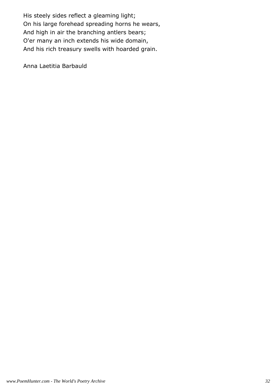His steely sides reflect a gleaming light; On his large forehead spreading horns he wears, And high in air the branching antlers bears; O'er many an inch extends his wide domain, And his rich treasury swells with hoarded grain.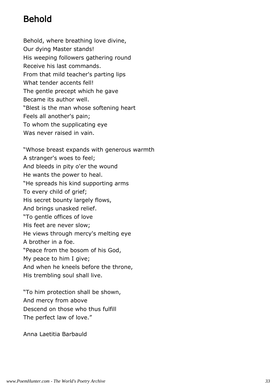# Behold

Behold, where breathing love divine, Our dying Master stands! His weeping followers gathering round Receive his last commands. From that mild teacher's parting lips What tender accents fell! The gentle precept which he gave Became its author well. "Blest is the man whose softening heart Feels all another's pain; To whom the supplicating eye Was never raised in vain.

"Whose breast expands with generous warmth A stranger's woes to feel; And bleeds in pity o'er the wound He wants the power to heal. "He spreads his kind supporting arms To every child of grief; His secret bounty largely flows, And brings unasked relief. "To gentle offices of love His feet are never slow; He views through mercy's melting eye A brother in a foe. "Peace from the bosom of his God, My peace to him I give; And when he kneels before the throne, His trembling soul shall live.

"To him protection shall be shown, And mercy from above Descend on those who thus fulfill The perfect law of love."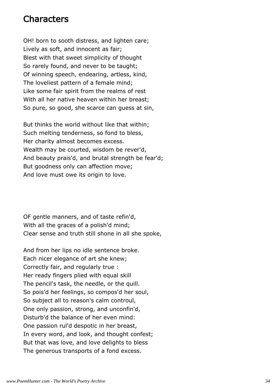### **Characters**

OH! born to sooth distress, and lighten care; Lively as soft, and innocent as fair; Blest with that sweet simplicity of thought So rarely found, and never to be taught; Of winning speech, endearing, artless, kind, The loveliest pattern of a female mind; Like some fair spirit from the realms of rest With all her native heaven within her breast; So pure, so good, she scarce can guess at sin,

But thinks the world without like that within; Such melting tenderness, so fond to bless, Her charity almost becomes excess. Wealth may be courted, wisdom be rever'd, And beauty prais'd, and brutal strength be fear'd; But goodness only can affection move; And love must owe its origin to love.

OF gentle manners, and of taste refin'd, With all the graces of a polish'd mind; Clear sense and truth still shone in all she spoke,

And from her lips no idle sentence broke. Each nicer elegance of art she knew; Correctly fair, and regularly true : Her ready fingers plied with equal skill The pencil's task, the needle, or the quill. So pois'd her feelings, so compos'd her soul, So subject all to reason's calm controul, One only passion, strong, and unconfin'd, Disturb'd the balance of her even mind: One passion rul'd despotic in her breast, In every word, and look, and thought confest; But that was love, and love delights to bless The generous transports of a fond excess.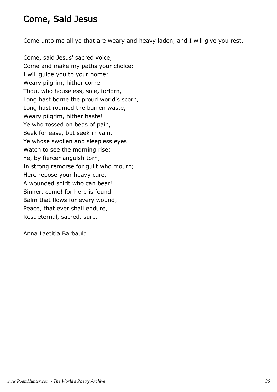## Come, Said Jesus

Come unto me all ye that are weary and heavy laden, and I will give you rest.

Come, said Jesus' sacred voice, Come and make my paths your choice: I will guide you to your home; Weary pilgrim, hither come! Thou, who houseless, sole, forlorn, Long hast borne the proud world's scorn, Long hast roamed the barren waste,— Weary pilgrim, hither haste! Ye who tossed on beds of pain, Seek for ease, but seek in vain, Ye whose swollen and sleepless eyes Watch to see the morning rise; Ye, by fiercer anguish torn, In strong remorse for guilt who mourn; Here repose your heavy care, A wounded spirit who can bear! Sinner, come! for here is found Balm that flows for every wound; Peace, that ever shall endure, Rest eternal, sacred, sure.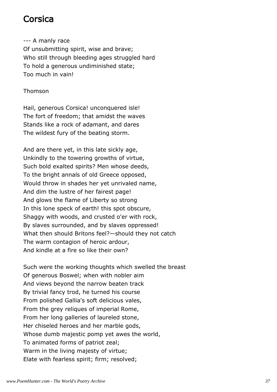### Corsica

--- A manly race Of unsubmitting spirit, wise and brave; Who still through bleeding ages struggled hard To hold a generous undiminished state; Too much in vain!

Thomson

Hail, generous Corsica! unconquered isle! The fort of freedom; that amidst the waves Stands like a rock of adamant, and dares The wildest fury of the beating storm.

And are there yet, in this late sickly age, Unkindly to the towering growths of virtue, Such bold exalted spirits? Men whose deeds, To the bright annals of old Greece opposed, Would throw in shades her yet unrivaled name, And dim the lustre of her fairest page! And glows the flame of Liberty so strong In this lone speck of earth! this spot obscure, Shaggy with woods, and crusted o'er with rock, By slaves surrounded, and by slaves oppressed! What then should Britons feel?—should they not catch The warm contagion of heroic ardour, And kindle at a fire so like their own?

Such were the working thoughts which swelled the breast Of generous Boswel; when with nobler aim And views beyond the narrow beaten track By trivial fancy trod, he turned his course From polished Gallia's soft delicious vales, From the grey reliques of imperial Rome, From her long galleries of laureled stone, Her chiseled heroes and her marble gods, Whose dumb majestic pomp yet awes the world, To animated forms of patriot zeal; Warm in the living majesty of virtue; Elate with fearless spirit; firm; resolved;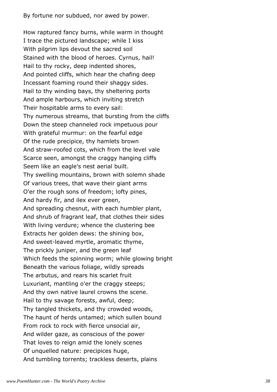By fortune nor subdued, nor awed by power.

How raptured fancy burns, while warm in thought I trace the pictured landscape; while I kiss With pilgrim lips devout the sacred soil Stained with the blood of heroes. Cyrnus, hail! Hail to thy rocky, deep indented shores, And pointed cliffs, which hear the chafing deep Incessant foaming round their shaggy sides. Hail to thy winding bays, thy sheltering ports And ample harbours, which inviting stretch Their hospitable arms to every sail: Thy numerous streams, that bursting from the cliffs Down the steep channeled rock impetuous pour With grateful murmur: on the fearful edge Of the rude precipice, thy hamlets brown And straw-roofed cots, which from the level vale Scarce seen, amongst the craggy hanging cliffs Seem like an eagle's nest aerial built. Thy swelling mountains, brown with solemn shade Of various trees, that wave their giant arms O'er the rough sons of freedom; lofty pines, And hardy fir, and ilex ever green, And spreading chesnut, with each humbler plant, And shrub of fragrant leaf, that clothes their sides With living verdure; whence the clustering bee Extracts her golden dews: the shining box, And sweet-leaved myrtle, aromatic thyme, The prickly juniper, and the green leaf Which feeds the spinning worm; while glowing bright Beneath the various foliage, wildly spreads The arbutus, and rears his scarlet fruit Luxuriant, mantling o'er the craggy steeps; And thy own native laurel crowns the scene. Hail to thy savage forests, awful, deep; Thy tangled thickets, and thy crowded woods, The haunt of herds untamed; which sullen bound From rock to rock with fierce unsocial air, And wilder gaze, as conscious of the power That loves to reign amid the lonely scenes Of unquelled nature: precipices huge, And tumbling torrents; trackless deserts, plains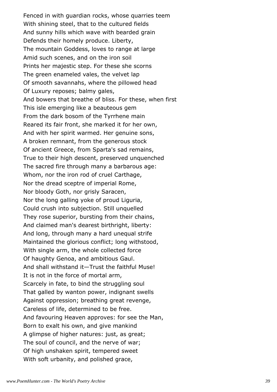Fenced in with guardian rocks, whose quarries teem With shining steel, that to the cultured fields And sunny hills which wave with bearded grain Defends their homely produce. Liberty, The mountain Goddess, loves to range at large Amid such scenes, and on the iron soil Prints her majestic step. For these she scorns The green enameled vales, the velvet lap Of smooth savannahs, where the pillowed head Of Luxury reposes; balmy gales, And bowers that breathe of bliss. For these, when first This isle emerging like a beauteous gem From the dark bosom of the Tyrrhene main Reared its fair front, she marked it for her own, And with her spirit warmed. Her genuine sons, A broken remnant, from the generous stock Of ancient Greece, from Sparta's sad remains, True to their high descent, preserved unquenched The sacred fire through many a barbarous age: Whom, nor the iron rod of cruel Carthage, Nor the dread sceptre of imperial Rome, Nor bloody Goth, nor grisly Saracen, Nor the long galling yoke of proud Liguria, Could crush into subjection. Still unquelled They rose superior, bursting from their chains, And claimed man's dearest birthright, liberty: And long, through many a hard unequal strife Maintained the glorious conflict; long withstood, With single arm, the whole collected force Of haughty Genoa, and ambitious Gaul. And shall withstand it—Trust the faithful Muse! It is not in the force of mortal arm, Scarcely in fate, to bind the struggling soul That galled by wanton power, indignant swells Against oppression; breathing great revenge, Careless of life, determined to be free. And favouring Heaven approves: for see the Man, Born to exalt his own, and give mankind A glimpse of higher natures: just, as great; The soul of council, and the nerve of war; Of high unshaken spirit, tempered sweet With soft urbanity, and polished grace,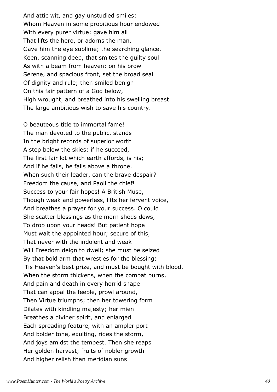And attic wit, and gay unstudied smiles: Whom Heaven in some propitious hour endowed With every purer virtue: gave him all That lifts the hero, or adorns the man. Gave him the eye sublime; the searching glance, Keen, scanning deep, that smites the guilty soul As with a beam from heaven; on his brow Serene, and spacious front, set the broad seal Of dignity and rule; then smiled benign On this fair pattern of a God below, High wrought, and breathed into his swelling breast The large ambitious wish to save his country.

O beauteous title to immortal fame! The man devoted to the public, stands In the bright records of superior worth A step below the skies: if he succeed, The first fair lot which earth affords, is his; And if he falls, he falls above a throne. When such their leader, can the brave despair? Freedom the cause, and Paoli the chief! Success to your fair hopes! A British Muse, Though weak and powerless, lifts her fervent voice, And breathes a prayer for your success. O could She scatter blessings as the morn sheds dews, To drop upon your heads! But patient hope Must wait the appointed hour; secure of this, That never with the indolent and weak Will Freedom deign to dwell; she must be seized By that bold arm that wrestles for the blessing: 'Tis Heaven's best prize, and must be bought with blood. When the storm thickens, when the combat burns, And pain and death in every horrid shape That can appal the feeble, prowl around, Then Virtue triumphs; then her towering form Dilates with kindling majesty; her mien Breathes a diviner spirit, and enlarged Each spreading feature, with an ampler port And bolder tone, exulting, rides the storm, And joys amidst the tempest. Then she reaps Her golden harvest; fruits of nobler growth And higher relish than meridian suns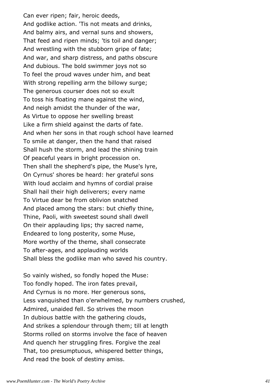Can ever ripen; fair, heroic deeds, And godlike action. 'Tis not meats and drinks, And balmy airs, and vernal suns and showers, That feed and ripen minds; 'tis toil and danger; And wrestling with the stubborn gripe of fate; And war, and sharp distress, and paths obscure And dubious. The bold swimmer joys not so To feel the proud waves under him, and beat With strong repelling arm the billowy surge; The generous courser does not so exult To toss his floating mane against the wind, And neigh amidst the thunder of the war, As Virtue to oppose her swelling breast Like a firm shield against the darts of fate. And when her sons in that rough school have learned To smile at danger, then the hand that raised Shall hush the storm, and lead the shining train Of peaceful years in bright procession on. Then shall the shepherd's pipe, the Muse's lyre, On Cyrnus' shores be heard: her grateful sons With loud acclaim and hymns of cordial praise Shall hail their high deliverers; every name To Virtue dear be from oblivion snatched And placed among the stars: but chiefly thine, Thine, Paoli, with sweetest sound shall dwell On their applauding lips; thy sacred name, Endeared to long posterity, some Muse, More worthy of the theme, shall consecrate To after-ages, and applauding worlds Shall bless the godlike man who saved his country.

So vainly wished, so fondly hoped the Muse: Too fondly hoped. The iron fates prevail, And Cyrnus is no more. Her generous sons, Less vanquished than o'erwhelmed, by numbers crushed, Admired, unaided fell. So strives the moon In dubious battle with the gathering clouds, And strikes a splendour through them; till at length Storms rolled on storms involve the face of heaven And quench her struggling fires. Forgive the zeal That, too presumptuous, whispered better things, And read the book of destiny amiss.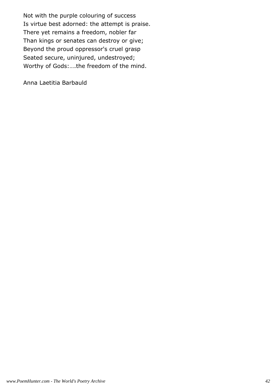Not with the purple colouring of success Is virtue best adorned: the attempt is praise. There yet remains a freedom, nobler far Than kings or senates can destroy or give; Beyond the proud oppressor's cruel grasp Seated secure, uninjured, undestroyed; Worthy of Gods:….the freedom of the mind.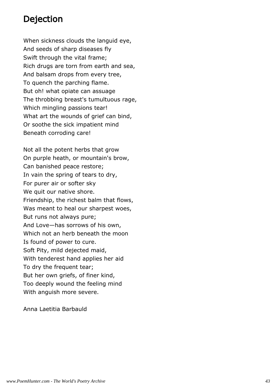# Dejection

When sickness clouds the languid eye, And seeds of sharp diseases fly Swift through the vital frame; Rich drugs are torn from earth and sea, And balsam drops from every tree, To quench the parching flame. But oh! what opiate can assuage The throbbing breast's tumultuous rage, Which mingling passions tear! What art the wounds of grief can bind, Or soothe the sick impatient mind Beneath corroding care!

Not all the potent herbs that grow On purple heath, or mountain's brow, Can banished peace restore; In vain the spring of tears to dry, For purer air or softer sky We quit our native shore. Friendship, the richest balm that flows, Was meant to heal our sharpest woes, But runs not always pure; And Love—has sorrows of his own, Which not an herb beneath the moon Is found of power to cure. Soft Pity, mild dejected maid, With tenderest hand applies her aid To dry the frequent tear; But her own griefs, of finer kind, Too deeply wound the feeling mind With anguish more severe.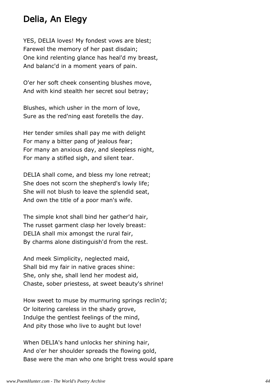### Delia, An Elegy

YES, DELIA loves! My fondest vows are blest; Farewel the memory of her past disdain; One kind relenting glance has heal'd my breast, And balanc'd in a moment years of pain.

O'er her soft cheek consenting blushes move, And with kind stealth her secret soul betray;

Blushes, which usher in the morn of love, Sure as the red'ning east foretells the day.

Her tender smiles shall pay me with delight For many a bitter pang of jealous fear; For many an anxious day, and sleepless night, For many a stifled sigh, and silent tear.

DELIA shall come, and bless my lone retreat; She does not scorn the shepherd's lowly life; She will not blush to leave the splendid seat, And own the title of a poor man's wife.

The simple knot shall bind her gather'd hair, The russet garment clasp her lovely breast: DELIA shall mix amongst the rural fair, By charms alone distinguish'd from the rest.

And meek Simplicity, neglected maid, Shall bid my fair in native graces shine: She, only she, shall lend her modest aid, Chaste, sober priestess, at sweet beauty's shrine!

How sweet to muse by murmuring springs reclin'd; Or loitering careless in the shady grove, Indulge the gentlest feelings of the mind, And pity those who live to aught but love!

When DELIA's hand unlocks her shining hair, And o'er her shoulder spreads the flowing gold, Base were the man who one bright tress would spare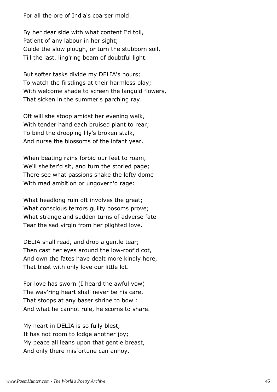For all the ore of India's coarser mold.

By her dear side with what content I'd toil, Patient of any labour in her sight; Guide the slow plough, or turn the stubborn soil, Till the last, ling'ring beam of doubtful light.

But softer tasks divide my DELIA's hours; To watch the firstlings at their harmless play; With welcome shade to screen the languid flowers, That sicken in the summer's parching ray.

Oft will she stoop amidst her evening walk, With tender hand each bruised plant to rear; To bind the drooping lily's broken stalk, And nurse the blossoms of the infant year.

When beating rains forbid our feet to roam, We'll shelter'd sit, and turn the storied page; There see what passions shake the lofty dome With mad ambition or ungovern'd rage:

What headlong ruin oft involves the great; What conscious terrors guilty bosoms prove; What strange and sudden turns of adverse fate Tear the sad virgin from her plighted love.

DELIA shall read, and drop a gentle tear; Then cast her eyes around the low-roof'd cot, And own the fates have dealt more kindly here, That blest with only love our little lot.

For love has sworn (I heard the awful vow) The wav'ring heart shall never be his care, That stoops at any baser shrine to bow : And what he cannot rule, he scorns to share.

My heart in DELIA is so fully blest, It has not room to lodge another joy; My peace all leans upon that gentle breast, And only there misfortune can annoy.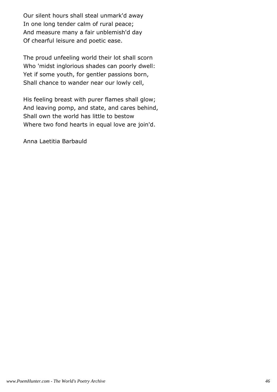Our silent hours shall steal unmark'd away In one long tender calm of rural peace; And measure many a fair unblemish'd day Of chearful leisure and poetic ease.

The proud unfeeling world their lot shall scorn Who 'midst inglorious shades can poorly dwell: Yet if some youth, for gentler passions born, Shall chance to wander near our lowly cell,

His feeling breast with purer flames shall glow; And leaving pomp, and state, and cares behind, Shall own the world has little to bestow Where two fond hearts in equal love are join'd.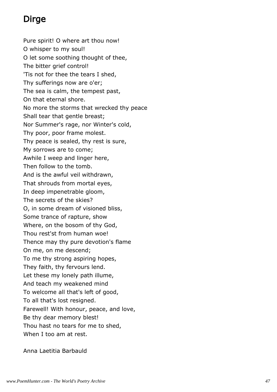# Dirge

Pure spirit! O where art thou now! O whisper to my soul! O let some soothing thought of thee, The bitter grief control! 'Tis not for thee the tears I shed, Thy sufferings now are o'er; The sea is calm, the tempest past, On that eternal shore. No more the storms that wrecked thy peace Shall tear that gentle breast; Nor Summer's rage, nor Winter's cold, Thy poor, poor frame molest. Thy peace is sealed, thy rest is sure, My sorrows are to come; Awhile I weep and linger here, Then follow to the tomb. And is the awful veil withdrawn, That shrouds from mortal eyes, In deep impenetrable gloom, The secrets of the skies? O, in some dream of visioned bliss, Some trance of rapture, show Where, on the bosom of thy God, Thou rest'st from human woe! Thence may thy pure devotion's flame On me, on me descend; To me thy strong aspiring hopes, They faith, thy fervours lend. Let these my lonely path illume, And teach my weakened mind To welcome all that's left of good, To all that's lost resigned. Farewell! With honour, peace, and love, Be thy dear memory blest! Thou hast no tears for me to shed, When I too am at rest.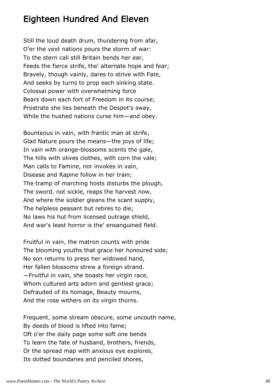### Eighteen Hundred And Eleven

Still the loud death drum, thundering from afar, O'er the vext nations pours the storm of war: To the stern call still Britain bends her ear, Feeds the fierce strife, the' alternate hope and fear; Bravely, though vainly, dares to strive with Fate, And seeks by turns to prop each sinking state. Colossal power with overwhelming force Bears down each fort of Freedom in its course; Prostrate she lies beneath the Despot's sway, While the hushed nations curse him—and obey.

Bounteous in vain, with frantic man at strife, Glad Nature pours the means—the joys of life; In vain with orange-blossoms scents the gale, The hills with olives clothes, with corn the vale; Man calls to Famine, nor invokes in vain, Disease and Rapine follow in her train; The tramp of marching hosts disturbs the plough, The sword, not sickle, reaps the harvest now, And where the soldier gleans the scant supply, The helpless peasant but retires to die; No laws his hut from licensed outrage shield, And war's least horror is the' ensanguined field.

Fruitful in vain, the matron counts with pride The blooming youths that grace her honoured side; No son returns to press her widowed hand, Her fallen blossoms strew a foreign strand. —Fruitful in vain, she boasts her virgin race, Whom cultured arts adorn and gentlest grace; Defrauded of its homage, Beauty mourns, And the rose withers on its virgin thorns.

Frequent, some stream obscure, some uncouth name, By deeds of blood is lifted into fame; Oft o'er the daily page some soft one bends To learn the fate of husband, brothers, friends, Or the spread map with anxious eye explores, Its dotted boundaries and penciled shores,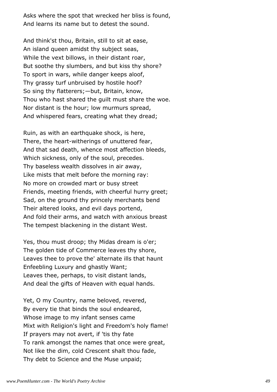Asks where the spot that wrecked her bliss is found, And learns its name but to detest the sound.

And think'st thou, Britain, still to sit at ease, An island queen amidst thy subject seas, While the vext billows, in their distant roar, But soothe thy slumbers, and but kiss thy shore? To sport in wars, while danger keeps aloof, Thy grassy turf unbruised by hostile hoof? So sing thy flatterers;—but, Britain, know, Thou who hast shared the guilt must share the woe. Nor distant is the hour; low murmurs spread, And whispered fears, creating what they dread;

Ruin, as with an earthquake shock, is here, There, the heart-witherings of unuttered fear, And that sad death, whence most affection bleeds, Which sickness, only of the soul, precedes. Thy baseless wealth dissolves in air away, Like mists that melt before the morning ray: No more on crowded mart or busy street Friends, meeting friends, with cheerful hurry greet; Sad, on the ground thy princely merchants bend Their altered looks, and evil days portend, And fold their arms, and watch with anxious breast The tempest blackening in the distant West.

Yes, thou must droop; thy Midas dream is o'er; The golden tide of Commerce leaves thy shore, Leaves thee to prove the' alternate ills that haunt Enfeebling Luxury and ghastly Want; Leaves thee, perhaps, to visit distant lands, And deal the gifts of Heaven with equal hands.

Yet, O my Country, name beloved, revered, By every tie that binds the soul endeared, Whose image to my infant senses came Mixt with Religion's light and Freedom's holy flame! If prayers may not avert, if 'tis thy fate To rank amongst the names that once were great, Not like the dim, cold Crescent shalt thou fade, Thy debt to Science and the Muse unpaid;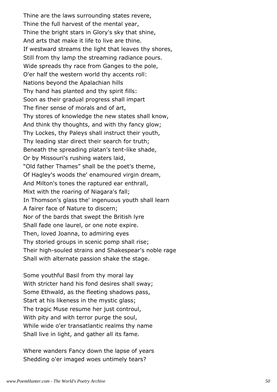Thine are the laws surrounding states revere, Thine the full harvest of the mental year, Thine the bright stars in Glory's sky that shine, And arts that make it life to live are thine. If westward streams the light that leaves thy shores, Still from thy lamp the streaming radiance pours. Wide spreads thy race from Ganges to the pole, O'er half the western world thy accents roll: Nations beyond the Apalachian hills Thy hand has planted and thy spirit fills: Soon as their gradual progress shall impart The finer sense of morals and of art, Thy stores of knowledge the new states shall know, And think thy thoughts, and with thy fancy glow; Thy Lockes, thy Paleys shall instruct their youth, Thy leading star direct their search for truth; Beneath the spreading platan's tent-like shade, Or by Missouri's rushing waters laid, "Old father Thames" shall be the poet's theme, Of Hagley's woods the' enamoured virgin dream, And Milton's tones the raptured ear enthrall, Mixt with the roaring of Niagara's fall; In Thomson's glass the' ingenuous youth shall learn A fairer face of Nature to discern; Nor of the bards that swept the British lyre Shall fade one laurel, or one note expire. Then, loved Joanna, to admiring eyes Thy storied groups in scenic pomp shall rise; Their high-souled strains and Shakespear's noble rage Shall with alternate passion shake the stage.

Some youthful Basil from thy moral lay With stricter hand his fond desires shall sway; Some Ethwald, as the fleeting shadows pass, Start at his likeness in the mystic glass; The tragic Muse resume her just controul, With pity and with terror purge the soul, While wide o'er transatlantic realms thy name Shall live in light, and gather all its fame.

Where wanders Fancy down the lapse of years Shedding o'er imaged woes untimely tears?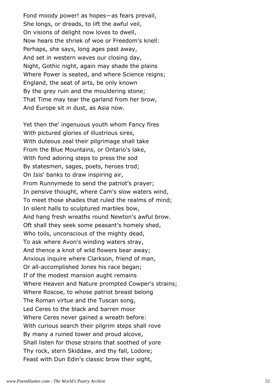Fond moody power! as hopes—as fears prevail, She longs, or dreads, to lift the awful veil, On visions of delight now loves to dwell, Now hears the shriek of woe or Freedom's knell: Perhaps, she says, long ages past away, And set in western waves our closing day, Night, Gothic night, again may shade the plains Where Power is seated, and where Science reigns; England, the seat of arts, be only known By the grey ruin and the mouldering stone; That Time may tear the garland from her brow, And Europe sit in dust, as Asia now.

Yet then the' ingenuous youth whom Fancy fires With pictured glories of illustrious sires, With duteous zeal their pilgrimage shall take From the Blue Mountains, or Ontario's lake, With fond adoring steps to press the sod By statesmen, sages, poets, heroes trod; On Isis' banks to draw inspiring air, From Runnymede to send the patriot's prayer; In pensive thought, where Cam's slow waters wind, To meet those shades that ruled the realms of mind; In silent halls to sculptured marbles bow, And hang fresh wreaths round Newton's awful brow. Oft shall they seek some peasant's homely shed, Who toils, unconscious of the mighty dead, To ask where Avon's winding waters stray, And thence a knot of wild flowers bear away; Anxious inquire where Clarkson, friend of man, Or all-accomplished Jones his race began; If of the modest mansion aught remains Where Heaven and Nature prompted Cowper's strains; Where Roscoe, to whose patriot breast belong The Roman virtue and the Tuscan song, Led Ceres to the black and barren moor Where Ceres never gained a wreath before: With curious search their pilgrim steps shall rove By many a ruined tower and proud alcove, Shall listen for those strains that soothed of yore Thy rock, stern Skiddaw, and thy fall, Lodore; Feast with Dun Edin's classic brow their sight,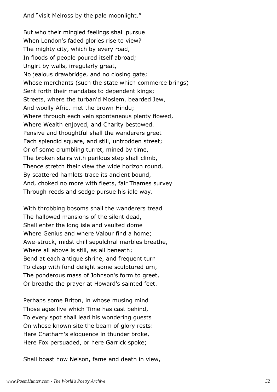And "visit Melross by the pale moonlight."

But who their mingled feelings shall pursue When London's faded glories rise to view? The mighty city, which by every road, In floods of people poured itself abroad; Ungirt by walls, irregularly great, No jealous drawbridge, and no closing gate; Whose merchants (such the state which commerce brings) Sent forth their mandates to dependent kings; Streets, where the turban'd Moslem, bearded Jew, And woolly Afric, met the brown Hindu; Where through each vein spontaneous plenty flowed, Where Wealth enjoyed, and Charity bestowed. Pensive and thoughtful shall the wanderers greet Each splendid square, and still, untrodden street; Or of some crumbling turret, mined by time, The broken stairs with perilous step shall climb, Thence stretch their view the wide horizon round, By scattered hamlets trace its ancient bound, And, choked no more with fleets, fair Thames survey Through reeds and sedge pursue his idle way.

With throbbing bosoms shall the wanderers tread The hallowed mansions of the silent dead, Shall enter the long isle and vaulted dome Where Genius and where Valour find a home; Awe-struck, midst chill sepulchral marbles breathe, Where all above is still, as all beneath; Bend at each antique shrine, and frequent turn To clasp with fond delight some sculptured urn, The ponderous mass of Johnson's form to greet, Or breathe the prayer at Howard's sainted feet.

Perhaps some Briton, in whose musing mind Those ages live which Time has cast behind, To every spot shall lead his wondering guests On whose known site the beam of glory rests: Here Chatham's eloquence in thunder broke, Here Fox persuaded, or here Garrick spoke;

Shall boast how Nelson, fame and death in view,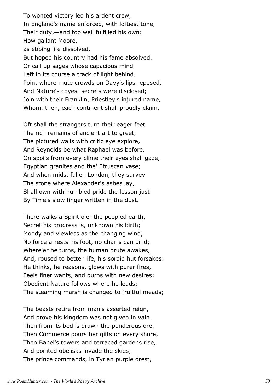To wonted victory led his ardent crew, In England's name enforced, with loftiest tone, Their duty,—and too well fulfilled his own: How gallant Moore, as ebbing life dissolved, But hoped his country had his fame absolved. Or call up sages whose capacious mind Left in its course a track of light behind; Point where mute crowds on Davy's lips reposed, And Nature's coyest secrets were disclosed; Join with their Franklin, Priestley's injured name, Whom, then, each continent shall proudly claim.

Oft shall the strangers turn their eager feet The rich remains of ancient art to greet, The pictured walls with critic eye explore, And Reynolds be what Raphael was before. On spoils from every clime their eyes shall gaze, Egyptian granites and the' Etruscan vase; And when midst fallen London, they survey The stone where Alexander's ashes lay, Shall own with humbled pride the lesson just By Time's slow finger written in the dust.

There walks a Spirit o'er the peopled earth, Secret his progress is, unknown his birth; Moody and viewless as the changing wind, No force arrests his foot, no chains can bind; Where'er he turns, the human brute awakes, And, roused to better life, his sordid hut forsakes: He thinks, he reasons, glows with purer fires, Feels finer wants, and burns with new desires: Obedient Nature follows where he leads; The steaming marsh is changed to fruitful meads;

The beasts retire from man's asserted reign, And prove his kingdom was not given in vain. Then from its bed is drawn the ponderous ore, Then Commerce pours her gifts on every shore, Then Babel's towers and terraced gardens rise, And pointed obelisks invade the skies; The prince commands, in Tyrian purple drest,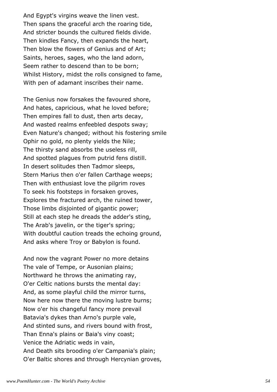And Egypt's virgins weave the linen vest. Then spans the graceful arch the roaring tide, And stricter bounds the cultured fields divide. Then kindles Fancy, then expands the heart, Then blow the flowers of Genius and of Art; Saints, heroes, sages, who the land adorn, Seem rather to descend than to be born; Whilst History, midst the rolls consigned to fame, With pen of adamant inscribes their name.

The Genius now forsakes the favoured shore, And hates, capricious, what he loved before; Then empires fall to dust, then arts decay, And wasted realms enfeebled despots sway; Even Nature's changed; without his fostering smile Ophir no gold, no plenty yields the Nile; The thirsty sand absorbs the useless rill, And spotted plagues from putrid fens distill. In desert solitudes then Tadmor sleeps, Stern Marius then o'er fallen Carthage weeps; Then with enthusiast love the pilgrim roves To seek his footsteps in forsaken groves, Explores the fractured arch, the ruined tower, Those limbs disjointed of gigantic power; Still at each step he dreads the adder's sting, The Arab's javelin, or the tiger's spring; With doubtful caution treads the echoing ground, And asks where Troy or Babylon is found.

And now the vagrant Power no more detains The vale of Tempe, or Ausonian plains; Northward he throws the animating ray, O'er Celtic nations bursts the mental day: And, as some playful child the mirror turns, Now here now there the moving lustre burns; Now o'er his changeful fancy more prevail Batavia's dykes than Arno's purple vale, And stinted suns, and rivers bound with frost, Than Enna's plains or Baia's viny coast; Venice the Adriatic weds in vain, And Death sits brooding o'er Campania's plain; O'er Baltic shores and through Hercynian groves,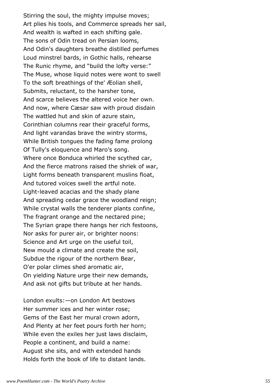Stirring the soul, the mighty impulse moves; Art plies his tools, and Commerce spreads her sail, And wealth is wafted in each shifting gale. The sons of Odin tread on Persian looms, And Odin's daughters breathe distilled perfumes Loud minstrel bards, in Gothic halls, rehearse The Runic rhyme, and "build the lofty verse:" The Muse, whose liquid notes were wont to swell To the soft breathings of the' Æolian shell, Submits, reluctant, to the harsher tone, And scarce believes the altered voice her own. And now, where Cæsar saw with proud disdain The wattled hut and skin of azure stain, Corinthian columns rear their graceful forms, And light varandas brave the wintry storms, While British tongues the fading fame prolong Of Tully's eloquence and Maro's song. Where once Bonduca whirled the scythed car, And the fierce matrons raised the shriek of war, Light forms beneath transparent muslins float, And tutored voices swell the artful note. Light-leaved acacias and the shady plane And spreading cedar grace the woodland reign; While crystal walls the tenderer plants confine, The fragrant orange and the nectared pine; The Syrian grape there hangs her rich festoons, Nor asks for purer air, or brighter noons: Science and Art urge on the useful toil, New mould a climate and create the soil, Subdue the rigour of the northern Bear, O'er polar climes shed aromatic air, On yielding Nature urge their new demands, And ask not gifts but tribute at her hands.

London exults:—on London Art bestows Her summer ices and her winter rose; Gems of the East her mural crown adorn, And Plenty at her feet pours forth her horn; While even the exiles her just laws disclaim, People a continent, and build a name: August she sits, and with extended hands Holds forth the book of life to distant lands.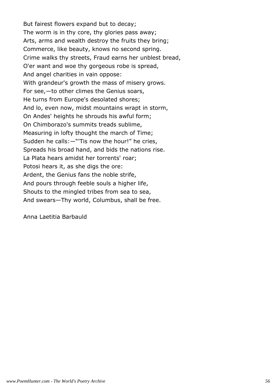But fairest flowers expand but to decay; The worm is in thy core, thy glories pass away; Arts, arms and wealth destroy the fruits they bring; Commerce, like beauty, knows no second spring. Crime walks thy streets, Fraud earns her unblest bread, O'er want and woe thy gorgeous robe is spread, And angel charities in vain oppose: With grandeur's growth the mass of misery grows. For see,—to other climes the Genius soars, He turns from Europe's desolated shores; And lo, even now, midst mountains wrapt in storm, On Andes' heights he shrouds his awful form; On Chimborazo's summits treads sublime, Measuring in lofty thought the march of Time; Sudden he calls:—"'Tis now the hour!" he cries, Spreads his broad hand, and bids the nations rise. La Plata hears amidst her torrents' roar; Potosi hears it, as she digs the ore: Ardent, the Genius fans the noble strife, And pours through feeble souls a higher life, Shouts to the mingled tribes from sea to sea, And swears—Thy world, Columbus, shall be free.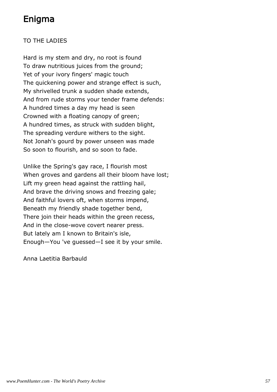# Enigma

#### TO THE LADIES

Hard is my stem and dry, no root is found To draw nutritious juices from the ground; Yet of your ivory fingers' magic touch The quickening power and strange effect is such, My shrivelled trunk a sudden shade extends, And from rude storms your tender frame defends: A hundred times a day my head is seen Crowned with a floating canopy of green; A hundred times, as struck with sudden blight, The spreading verdure withers to the sight. Not Jonah's gourd by power unseen was made So soon to flourish, and so soon to fade.

Unlike the Spring's gay race, I flourish most When groves and gardens all their bloom have lost; Lift my green head against the rattling hail, And brave the driving snows and freezing gale; And faithful lovers oft, when storms impend, Beneath my friendly shade together bend, There join their heads within the green recess, And in the close-wove covert nearer press. But lately am I known to Britain's isle, Enough—You 've guessed—I see it by your smile.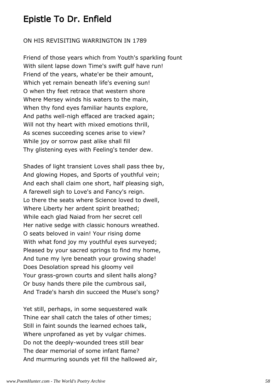## Epistle To Dr. Enfield

#### ON HIS REVISITING WARRINGTON IN 1789

Friend of those years which from Youth's sparkling fount With silent lapse down Time's swift gulf have run! Friend of the years, whate'er be their amount, Which yet remain beneath life's evening sun! O when thy feet retrace that western shore Where Mersey winds his waters to the main, When thy fond eyes familiar haunts explore, And paths well-nigh effaced are tracked again; Will not thy heart with mixed emotions thrill, As scenes succeeding scenes arise to view? While joy or sorrow past alike shall fill Thy glistening eyes with Feeling's tender dew.

Shades of light transient Loves shall pass thee by, And glowing Hopes, and Sports of youthful vein; And each shall claim one short, half pleasing sigh, A farewell sigh to Love's and Fancy's reign. Lo there the seats where Science loved to dwell, Where Liberty her ardent spirit breathed; While each glad Naiad from her secret cell Her native sedge with classic honours wreathed. O seats beloved in vain! Your rising dome With what fond joy my youthful eyes surveyed; Pleased by your sacred springs to find my home, And tune my lyre beneath your growing shade! Does Desolation spread his gloomy veil Your grass-grown courts and silent halls along? Or busy hands there pile the cumbrous sail, And Trade's harsh din succeed the Muse's song?

Yet still, perhaps, in some sequestered walk Thine ear shall catch the tales of other times; Still in faint sounds the learned echoes talk, Where unprofaned as yet by vulgar chimes. Do not the deeply-wounded trees still bear The dear memorial of some infant flame? And murmuring sounds yet fill the hallowed air,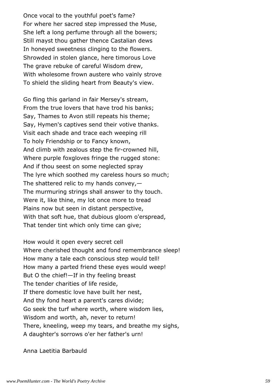Once vocal to the youthful poet's fame? For where her sacred step impressed the Muse, She left a long perfume through all the bowers; Still mayst thou gather thence Castalian dews In honeyed sweetness clinging to the flowers. Shrowded in stolen glance, here timorous Love The grave rebuke of careful Wisdom drew, With wholesome frown austere who vainly strove To shield the sliding heart from Beauty's view.

Go fling this garland in fair Mersey's stream, From the true lovers that have trod his banks; Say, Thames to Avon still repeats his theme; Say, Hymen's captives send their votive thanks. Visit each shade and trace each weeping rill To holy Friendship or to Fancy known, And climb with zealous step the fir-crowned hill, Where purple foxgloves fringe the rugged stone: And if thou seest on some neglected spray The lyre which soothed my careless hours so much; The shattered relic to my hands convey,— The murmuring strings shall answer to thy touch. Were it, like thine, my lot once more to tread Plains now but seen in distant perspective, With that soft hue, that dubious gloom o'erspread, That tender tint which only time can give;

How would it open every secret cell Where cherished thought and fond remembrance sleep! How many a tale each conscious step would tell! How many a parted friend these eyes would weep! But O the chief!—If in thy feeling breast The tender charities of life reside, If there domestic love have built her nest, And thy fond heart a parent's cares divide; Go seek the turf where worth, where wisdom lies, Wisdom and worth, ah, never to return! There, kneeling, weep my tears, and breathe my sighs, A daughter's sorrows o'er her father's urn!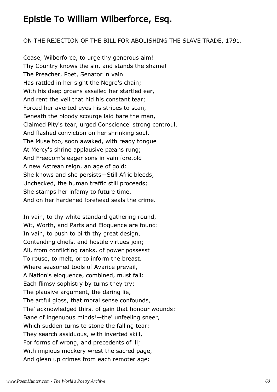## Epistle To William Wilberforce, Esq.

ON THE REJECTION OF THE BILL FOR ABOLISHING THE SLAVE TRADE, 1791.

Cease, Wilberforce, to urge thy generous aim! Thy Country knows the sin, and stands the shame! The Preacher, Poet, Senator in vain Has rattled in her sight the Negro's chain; With his deep groans assailed her startled ear, And rent the veil that hid his constant tear; Forced her averted eyes his stripes to scan, Beneath the bloody scourge laid bare the man, Claimed Pity's tear, urged Conscience' strong controul, And flashed conviction on her shrinking soul. The Muse too, soon awaked, with ready tongue At Mercy's shrine applausive pæans rung; And Freedom's eager sons in vain foretold A new Astrean reign, an age of gold: She knows and she persists—Still Afric bleeds, Unchecked, the human traffic still proceeds; She stamps her infamy to future time, And on her hardened forehead seals the crime.

In vain, to thy white standard gathering round, Wit, Worth, and Parts and Eloquence are found: In vain, to push to birth thy great design, Contending chiefs, and hostile virtues join; All, from conflicting ranks, of power possesst To rouse, to melt, or to inform the breast. Where seasoned tools of Avarice prevail, A Nation's eloquence, combined, must fail: Each flimsy sophistry by turns they try; The plausive argument, the daring lie, The artful gloss, that moral sense confounds, The' acknowledged thirst of gain that honour wounds: Bane of ingenuous minds!—the' unfeeling sneer, Which sudden turns to stone the falling tear: They search assiduous, with inverted skill, For forms of wrong, and precedents of ill; With impious mockery wrest the sacred page, And glean up crimes from each remoter age: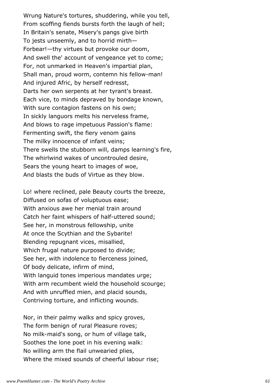Wrung Nature's tortures, shuddering, while you tell, From scoffing fiends bursts forth the laugh of hell; In Britain's senate, Misery's pangs give birth To jests unseemly, and to horrid mirth— Forbear!—thy virtues but provoke our doom, And swell the' account of vengeance yet to come; For, not unmarked in Heaven's impartial plan, Shall man, proud worm, contemn his fellow-man! And injured Afric, by herself redresst, Darts her own serpents at her tyrant's breast. Each vice, to minds depraved by bondage known, With sure contagion fastens on his own; In sickly languors melts his nerveless frame, And blows to rage impetuous Passion's flame: Fermenting swift, the fiery venom gains The milky innocence of infant veins; There swells the stubborn will, damps learning's fire, The whirlwind wakes of uncontrouled desire, Sears the young heart to images of woe, And blasts the buds of Virtue as they blow.

Lo! where reclined, pale Beauty courts the breeze, Diffused on sofas of voluptuous ease; With anxious awe her menial train around Catch her faint whispers of half-uttered sound; See her, in monstrous fellowship, unite At once the Scythian and the Sybarite! Blending repugnant vices, misallied, Which frugal nature purposed to divide; See her, with indolence to fierceness joined, Of body delicate, infirm of mind, With languid tones imperious mandates urge; With arm recumbent wield the household scourge; And with unruffled mien, and placid sounds, Contriving torture, and inflicting wounds.

Nor, in their palmy walks and spicy groves, The form benign of rural Pleasure roves; No milk-maid's song, or hum of village talk, Soothes the lone poet in his evening walk: No willing arm the flail unwearied plies, Where the mixed sounds of cheerful labour rise;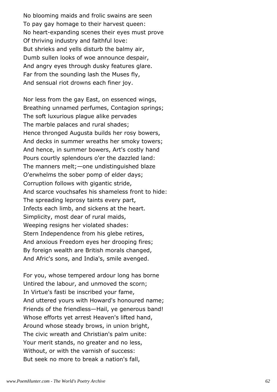No blooming maids and frolic swains are seen To pay gay homage to their harvest queen: No heart-expanding scenes their eyes must prove Of thriving industry and faithful love: But shrieks and yells disturb the balmy air, Dumb sullen looks of woe announce despair, And angry eyes through dusky features glare. Far from the sounding lash the Muses fly, And sensual riot drowns each finer joy.

Nor less from the gay East, on essenced wings, Breathing unnamed perfumes, Contagion springs; The soft luxurious plague alike pervades The marble palaces and rural shades; Hence thronged Augusta builds her rosy bowers, And decks in summer wreaths her smoky towers; And hence, in summer bowers, Art's costly hand Pours courtly splendours o'er the dazzled land: The manners melt;—one undistinguished blaze O'erwhelms the sober pomp of elder days; Corruption follows with gigantic stride, And scarce vouchsafes his shameless front to hide: The spreading leprosy taints every part, Infects each limb, and sickens at the heart. Simplicity, most dear of rural maids, Weeping resigns her violated shades: Stern Independence from his glebe retires, And anxious Freedom eyes her drooping fires; By foreign wealth are British morals changed, And Afric's sons, and India's, smile avenged.

For you, whose tempered ardour long has borne Untired the labour, and unmoved the scorn; In Virtue's fasti be inscribed your fame, And uttered yours with Howard's honoured name; Friends of the friendless—Hail, ye generous band! Whose efforts yet arrest Heaven's lifted hand, Around whose steady brows, in union bright, The civic wreath and Christian's palm unite: Your merit stands, no greater and no less, Without, or with the varnish of success: But seek no more to break a nation's fall,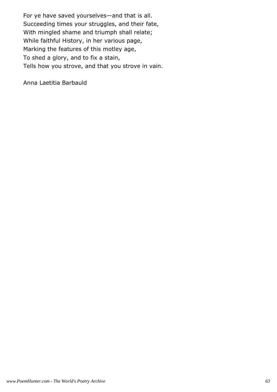For ye have saved yourselves—and that is all. Succeeding times your struggles, and their fate, With mingled shame and triumph shall relate; While faithful History, in her various page, Marking the features of this motley age, To shed a glory, and to fix a stain, Tells how you strove, and that you strove in vain.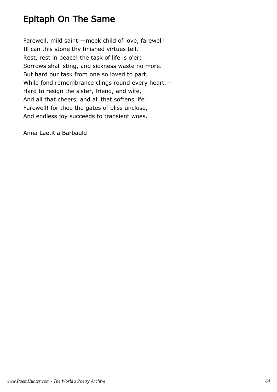# Epitaph On The Same

Farewell, mild saint!—meek child of love, farewell! Ill can this stone thy finished virtues tell. Rest, rest in peace! the task of life is o'er; Sorrows shall sting, and sickness waste no more. But hard our task from one so loved to part, While fond remembrance clings round every heart,— Hard to resign the sister, friend, and wife, And all that cheers, and all that softens life. Farewell! for thee the gates of bliss unclose, And endless joy succeeds to transient woes.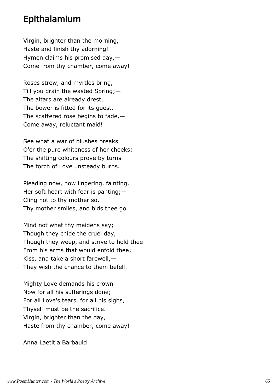### Epithalamium

Virgin, brighter than the morning, Haste and finish thy adorning! Hymen claims his promised day,— Come from thy chamber, come away!

Roses strew, and myrtles bring, Till you drain the wasted Spring;  $-$ The altars are already drest, The bower is fitted for its guest, The scattered rose begins to fade,— Come away, reluctant maid!

See what a war of blushes breaks O'er the pure whiteness of her cheeks; The shifting colours prove by turns The torch of Love unsteady burns.

Pleading now, now lingering, fainting, Her soft heart with fear is panting;  $-$ Cling not to thy mother so, Thy mother smiles, and bids thee go.

Mind not what thy maidens say; Though they chide the cruel day, Though they weep, and strive to hold thee From his arms that would enfold thee; Kiss, and take a short farewell,— They wish the chance to them befell.

Mighty Love demands his crown Now for all his sufferings done; For all Love's tears, for all his sighs, Thyself must be the sacrifice. Virgin, brighter than the day, Haste from thy chamber, come away!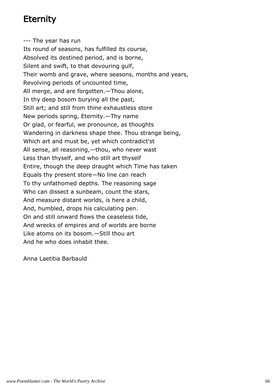# **Eternity**

--- The year has run Its round of seasons, has fulfilled its course, Absolved its destined period, and is borne, Silent and swift, to that devouring gulf, Their womb and grave, where seasons, months and years, Revolving periods of uncounted time, All merge, and are forgotten.—Thou alone, In thy deep bosom burying all the past, Still art; and still from thine exhaustless store New periods spring, Eternity.—Thy name Or glad, or fearful, we pronounce, as thoughts Wandering in darkness shape thee. Thou strange being, Which art and must be, yet which contradict'st All sense, all reasoning,—thou, who never wast Less than thyself, and who still art thyself Entire, though the deep draught which Time has taken Equals thy present store—No line can reach To thy unfathomed depths. The reasoning sage Who can dissect a sunbeam, count the stars, And measure distant worlds, is here a child, And, humbled, drops his calculating pen. On and still onward flows the ceaseless tide, And wrecks of empires and of worlds are borne Like atoms on its bosom.—Still thou art And he who does inhabit thee.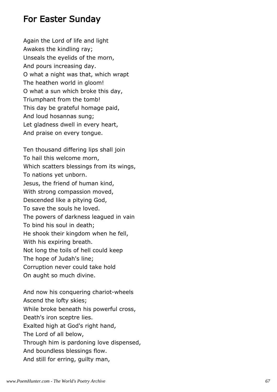### For Easter Sunday

Again the Lord of life and light Awakes the kindling ray; Unseals the eyelids of the morn, And pours increasing day. O what a night was that, which wrapt The heathen world in gloom! O what a sun which broke this day, Triumphant from the tomb! This day be grateful homage paid, And loud hosannas sung; Let gladness dwell in every heart, And praise on every tongue.

Ten thousand differing lips shall join To hail this welcome morn, Which scatters blessings from its wings, To nations yet unborn. Jesus, the friend of human kind, With strong compassion moved, Descended like a pitying God, To save the souls he loved. The powers of darkness leagued in vain To bind his soul in death; He shook their kingdom when he fell, With his expiring breath. Not long the toils of hell could keep The hope of Judah's line; Corruption never could take hold On aught so much divine.

And now his conquering chariot-wheels Ascend the lofty skies; While broke beneath his powerful cross, Death's iron sceptre lies. Exalted high at God's right hand, The Lord of all below, Through him is pardoning love dispensed, And boundless blessings flow. And still for erring, guilty man,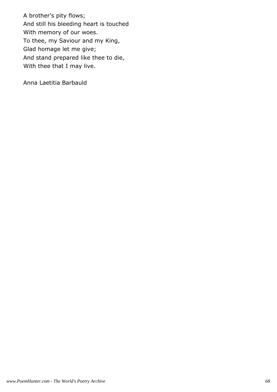A brother's pity flows; And still his bleeding heart is touched With memory of our woes. To thee, my Saviour and my King, Glad homage let me give; And stand prepared like thee to die, With thee that I may live.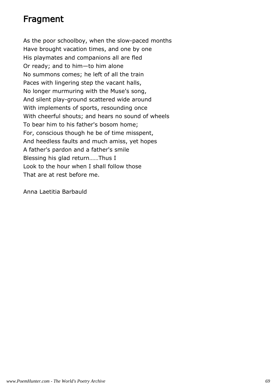# Fragment

As the poor schoolboy, when the slow-paced months Have brought vacation times, and one by one His playmates and companions all are fled Or ready; and to him—to him alone No summons comes; he left of all the train Paces with lingering step the vacant halls, No longer murmuring with the Muse's song, And silent play-ground scattered wide around With implements of sports, resounding once With cheerful shouts; and hears no sound of wheels To bear him to his father's bosom home; For, conscious though he be of time misspent, And heedless faults and much amiss, yet hopes A father's pardon and a father's smile Blessing his glad return……Thus I Look to the hour when I shall follow those That are at rest before me.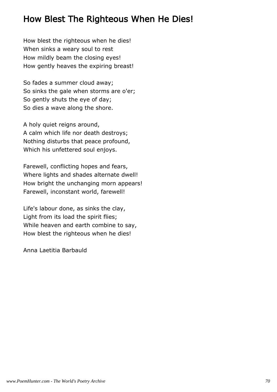# How Blest The Righteous When He Dies!

How blest the righteous when he dies! When sinks a weary soul to rest How mildly beam the closing eyes! How gently heaves the expiring breast!

So fades a summer cloud away; So sinks the gale when storms are o'er; So gently shuts the eye of day; So dies a wave along the shore.

A holy quiet reigns around, A calm which life nor death destroys; Nothing disturbs that peace profound, Which his unfettered soul enjoys.

Farewell, conflicting hopes and fears, Where lights and shades alternate dwell! How bright the unchanging morn appears! Farewell, inconstant world, farewell!

Life's labour done, as sinks the clay, Light from its load the spirit flies; While heaven and earth combine to say, How blest the righteous when he dies!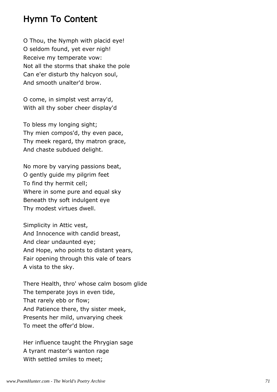### Hymn To Content

O Thou, the Nymph with placid eye! O seldom found, yet ever nigh! Receive my temperate vow: Not all the storms that shake the pole Can e'er disturb thy halcyon soul, And smooth unalter'd brow.

O come, in simplst vest array'd, With all thy sober cheer display'd

To bless my longing sight; Thy mien compos'd, thy even pace, Thy meek regard, thy matron grace, And chaste subdued delight.

No more by varying passions beat, O gently guide my pilgrim feet To find thy hermit cell; Where in some pure and equal sky Beneath thy soft indulgent eye Thy modest virtues dwell.

Simplicity in Attic vest, And Innocence with candid breast, And clear undaunted eye; And Hope, who points to distant years, Fair opening through this vale of tears A vista to the sky.

There Health, thro' whose calm bosom glide The temperate joys in even tide, That rarely ebb or flow; And Patience there, thy sister meek, Presents her mild, unvarying cheek To meet the offer'd blow.

Her influence taught the Phrygian sage A tyrant master's wanton rage With settled smiles to meet;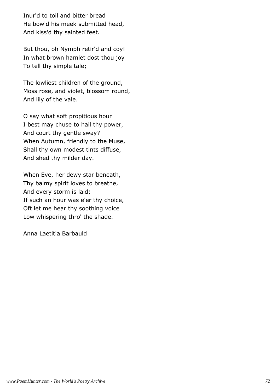Inur'd to toil and bitter bread He bow'd his meek submitted head, And kiss'd thy sainted feet.

But thou, oh Nymph retir'd and coy! In what brown hamlet dost thou joy To tell thy simple tale;

The lowliest children of the ground, Moss rose, and violet, blossom round, And lily of the vale.

O say what soft propitious hour I best may chuse to hail thy power, And court thy gentle sway? When Autumn, friendly to the Muse, Shall thy own modest tints diffuse, And shed thy milder day.

When Eve, her dewy star beneath, Thy balmy spirit loves to breathe, And every storm is laid; If such an hour was e'er thy choice, Oft let me hear thy soothing voice Low whispering thro' the shade.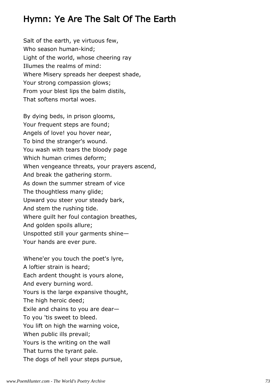### Hymn: Ye Are The Salt Of The Earth

Salt of the earth, ye virtuous few, Who season human-kind; Light of the world, whose cheering ray Illumes the realms of mind: Where Misery spreads her deepest shade, Your strong compassion glows; From your blest lips the balm distils, That softens mortal woes.

By dying beds, in prison glooms, Your frequent steps are found; Angels of love! you hover near, To bind the stranger's wound. You wash with tears the bloody page Which human crimes deform; When vengeance threats, your prayers ascend, And break the gathering storm. As down the summer stream of vice The thoughtless many glide; Upward you steer your steady bark, And stem the rushing tide. Where guilt her foul contagion breathes, And golden spoils allure; Unspotted still your garments shine— Your hands are ever pure.

Whene'er you touch the poet's lyre, A loftier strain is heard; Each ardent thought is yours alone, And every burning word. Yours is the large expansive thought, The high heroic deed; Exile and chains to you are dear— To you 'tis sweet to bleed. You lift on high the warning voice, When public ills prevail; Yours is the writing on the wall That turns the tyrant pale. The dogs of hell your steps pursue,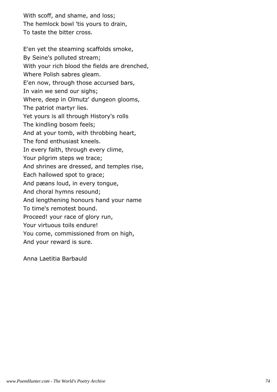With scoff, and shame, and loss; The hemlock bowl 'tis yours to drain, To taste the bitter cross.

E'en yet the steaming scaffolds smoke, By Seine's polluted stream; With your rich blood the fields are drenched, Where Polish sabres gleam. E'en now, through those accursed bars, In vain we send our sighs; Where, deep in Olmutz' dungeon glooms, The patriot martyr lies. Yet yours is all through History's rolls The kindling bosom feels; And at your tomb, with throbbing heart, The fond enthusiast kneels. In every faith, through every clime, Your pilgrim steps we trace; And shrines are dressed, and temples rise, Each hallowed spot to grace; And pæans loud, in every tongue, And choral hymns resound; And lengthening honours hand your name To time's remotest bound. Proceed! your race of glory run, Your virtuous toils endure! You come, commissioned from on high, And your reward is sure.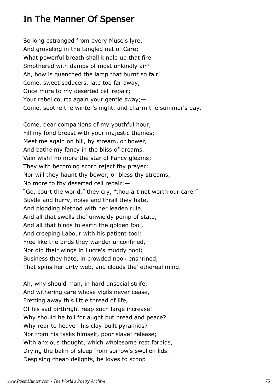### In The Manner Of Spenser

So long estranged from every Muse's lyre, And groveling in the tangled net of Care; What powerful breath shall kindle up that fire Smothered with damps of most unkindly air? Ah, how is quenched the lamp that burnt so fair! Come, sweet seducers, late too far away, Once more to my deserted cell repair; Your rebel courts again your gentle sway;— Come, soothe the winter's night, and charm the summer's day.

Come, dear companions of my youthful hour, Fill my fond breast with your majestic themes; Meet me again on hill, by stream, or bower, And bathe my fancy in the bliss of dreams. Vain wish! no more the star of Fancy gleams; They with becoming scorn reject thy prayer: Nor will they haunt thy bower, or bless thy streams, No more to thy deserted cell repair:— "Go, court the world," they cry, "thou art not worth our care." Bustle and hurry, noise and thrall they hate, And plodding Method with her leaden rule; And all that swells the' unwieldy pomp of state, And all that binds to earth the golden fool; And creeping Labour with his patient tool: Free like the birds they wander unconfined, Nor dip their wings in Lucre's muddy pool; Business they hate, in crowded nook enshrined, That spins her dirty web, and clouds the' ethereal mind.

Ah, why should man, in hard unsocial strife, And withering care whose vigils never cease, Fretting away this little thread of life, Of his sad birthright reap such large increase! Why should he toil for aught but bread and peace? Why rear to heaven his clay-built pyramids? Nor from his tasks himself, poor slave! release; With anxious thought, which wholesome rest forbids, Drying the balm of sleep from sorrow's swollen lids. Despising cheap delights, he loves to scoop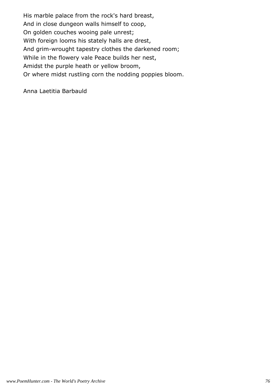His marble palace from the rock's hard breast, And in close dungeon walls himself to coop, On golden couches wooing pale unrest; With foreign looms his stately halls are drest, And grim-wrought tapestry clothes the darkened room; While in the flowery vale Peace builds her nest, Amidst the purple heath or yellow broom, Or where midst rustling corn the nodding poppies bloom.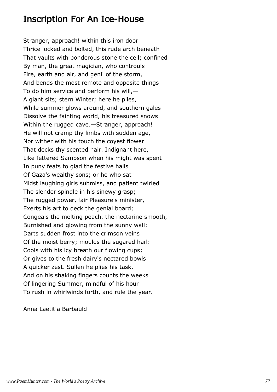### Inscription For An Ice-House

Stranger, approach! within this iron door Thrice locked and bolted, this rude arch beneath That vaults with ponderous stone the cell; confined By man, the great magician, who controuls Fire, earth and air, and genii of the storm, And bends the most remote and opposite things To do him service and perform his will,— A giant sits; stern Winter; here he piles, While summer glows around, and southern gales Dissolve the fainting world, his treasured snows Within the rugged cave.—Stranger, approach! He will not cramp thy limbs with sudden age, Nor wither with his touch the coyest flower That decks thy scented hair. Indignant here, Like fettered Sampson when his might was spent In puny feats to glad the festive halls Of Gaza's wealthy sons; or he who sat Midst laughing girls submiss, and patient twirled The slender spindle in his sinewy grasp; The rugged power, fair Pleasure's minister, Exerts his art to deck the genial board; Congeals the melting peach, the nectarine smooth, Burnished and glowing from the sunny wall: Darts sudden frost into the crimson veins Of the moist berry; moulds the sugared hail: Cools with his icy breath our flowing cups; Or gives to the fresh dairy's nectared bowls A quicker zest. Sullen he plies his task, And on his shaking fingers counts the weeks Of lingering Summer, mindful of his hour To rush in whirlwinds forth, and rule the year.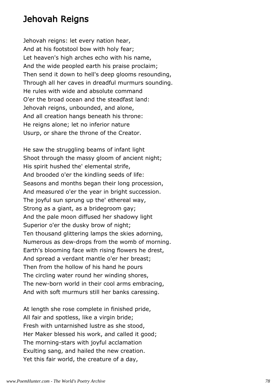### Jehovah Reigns

Jehovah reigns: let every nation hear, And at his footstool bow with holy fear; Let heaven's high arches echo with his name, And the wide peopled earth his praise proclaim; Then send it down to hell's deep glooms resounding, Through all her caves in dreadful murmurs sounding. He rules with wide and absolute command O'er the broad ocean and the steadfast land: Jehovah reigns, unbounded, and alone, And all creation hangs beneath his throne: He reigns alone; let no inferior nature Usurp, or share the throne of the Creator.

He saw the struggling beams of infant light Shoot through the massy gloom of ancient night; His spirit hushed the' elemental strife, And brooded o'er the kindling seeds of life: Seasons and months began their long procession, And measured o'er the year in bright succession. The joyful sun sprung up the' ethereal way, Strong as a giant, as a bridegroom gay; And the pale moon diffused her shadowy light Superior o'er the dusky brow of night; Ten thousand glittering lamps the skies adorning, Numerous as dew-drops from the womb of morning. Earth's blooming face with rising flowers he drest, And spread a verdant mantle o'er her breast; Then from the hollow of his hand he pours The circling water round her winding shores, The new-born world in their cool arms embracing, And with soft murmurs still her banks caressing.

At length she rose complete in finished pride, All fair and spotless, like a virgin bride; Fresh with untarnished lustre as she stood, Her Maker blessed his work, and called it good; The morning-stars with joyful acclamation Exulting sang, and hailed the new creation. Yet this fair world, the creature of a day,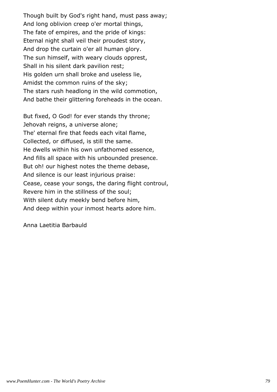Though built by God's right hand, must pass away; And long oblivion creep o'er mortal things, The fate of empires, and the pride of kings: Eternal night shall veil their proudest story, And drop the curtain o'er all human glory. The sun himself, with weary clouds opprest, Shall in his silent dark pavilion rest; His golden urn shall broke and useless lie, Amidst the common ruins of the sky; The stars rush headlong in the wild commotion, And bathe their glittering foreheads in the ocean.

But fixed, O God! for ever stands thy throne; Jehovah reigns, a universe alone; The' eternal fire that feeds each vital flame, Collected, or diffused, is still the same. He dwells within his own unfathomed essence, And fills all space with his unbounded presence. But oh! our highest notes the theme debase, And silence is our least injurious praise: Cease, cease your songs, the daring flight controul, Revere him in the stillness of the soul; With silent duty meekly bend before him, And deep within your inmost hearts adore him.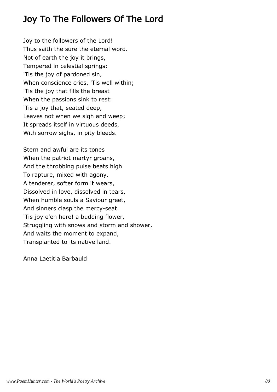## Joy To The Followers Of The Lord

Joy to the followers of the Lord! Thus saith the sure the eternal word. Not of earth the joy it brings, Tempered in celestial springs: 'Tis the joy of pardoned sin, When conscience cries, 'Tis well within; 'Tis the joy that fills the breast When the passions sink to rest: 'Tis a joy that, seated deep, Leaves not when we sigh and weep; It spreads itself in virtuous deeds, With sorrow sighs, in pity bleeds.

Stern and awful are its tones When the patriot martyr groans, And the throbbing pulse beats high To rapture, mixed with agony. A tenderer, softer form it wears, Dissolved in love, dissolved in tears, When humble souls a Saviour greet, And sinners clasp the mercy-seat. 'Tis joy e'en here! a budding flower, Struggling with snows and storm and shower, And waits the moment to expand, Transplanted to its native land.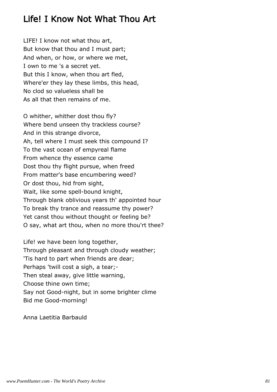### Life! I Know Not What Thou Art

LIFE! I know not what thou art, But know that thou and I must part; And when, or how, or where we met, I own to me 's a secret yet. But this I know, when thou art fled, Where'er they lay these limbs, this head, No clod so valueless shall be As all that then remains of me.

O whither, whither dost thou fly? Where bend unseen thy trackless course? And in this strange divorce, Ah, tell where I must seek this compound I? To the vast ocean of empyreal flame From whence thy essence came Dost thou thy flight pursue, when freed From matter's base encumbering weed? Or dost thou, hid from sight, Wait, like some spell-bound knight, Through blank oblivious years th' appointed hour To break thy trance and reassume thy power? Yet canst thou without thought or feeling be? O say, what art thou, when no more thou'rt thee?

Life! we have been long together, Through pleasant and through cloudy weather; 'Tis hard to part when friends are dear; Perhaps 'twill cost a sigh, a tear;- Then steal away, give little warning, Choose thine own time; Say not Good-night, but in some brighter clime Bid me Good-morning!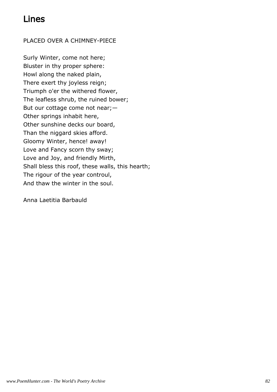### Lines

#### PLACED OVER A CHIMNEY-PIECE

Surly Winter, come not here; Bluster in thy proper sphere: Howl along the naked plain, There exert thy joyless reign; Triumph o'er the withered flower, The leafless shrub, the ruined bower; But our cottage come not near;— Other springs inhabit here, Other sunshine decks our board, Than the niggard skies afford. Gloomy Winter, hence! away! Love and Fancy scorn thy sway; Love and Joy, and friendly Mirth, Shall bless this roof, these walls, this hearth; The rigour of the year controul, And thaw the winter in the soul.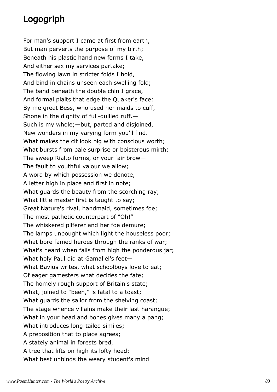### Logogriph

For man's support I came at first from earth, But man perverts the purpose of my birth; Beneath his plastic hand new forms I take, And either sex my services partake; The flowing lawn in stricter folds I hold, And bind in chains unseen each swelling fold; The band beneath the double chin I grace, And formal plaits that edge the Quaker's face: By me great Bess, who used her maids to cuff, Shone in the dignity of full-quilled ruff.— Such is my whole;—but, parted and disjoined, New wonders in my varying form you'll find. What makes the cit look big with conscious worth; What bursts from pale surprise or boisterous mirth; The sweep Rialto forms, or your fair brow— The fault to youthful valour we allow; A word by which possession we denote, A letter high in place and first in note; What guards the beauty from the scorching ray; What little master first is taught to say; Great Nature's rival, handmaid, sometimes foe; The most pathetic counterpart of "Oh!" The whiskered pilferer and her foe demure; The lamps unbought which light the houseless poor; What bore famed heroes through the ranks of war; What's heard when falls from high the ponderous jar; What holy Paul did at Gamaliel's feet— What Bavius writes, what schoolboys love to eat; Of eager gamesters what decides the fate; The homely rough support of Britain's state; What, joined to "been," is fatal to a toast; What guards the sailor from the shelving coast; The stage whence villains make their last harangue; What in your head and bones gives many a pang; What introduces long-tailed similes; A preposition that to place agrees; A stately animal in forests bred, A tree that lifts on high its lofty head; What best unbinds the weary student's mind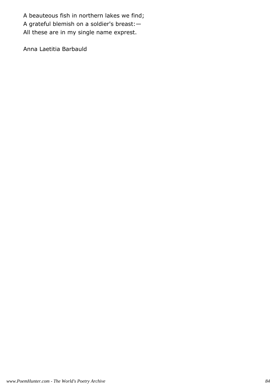A beauteous fish in northern lakes we find; A grateful blemish on a soldier's breast:— All these are in my single name exprest.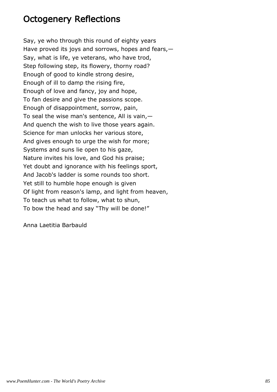### Octogenery Reflections

Say, ye who through this round of eighty years Have proved its joys and sorrows, hopes and fears,— Say, what is life, ye veterans, who have trod, Step following step, its flowery, thorny road? Enough of good to kindle strong desire, Enough of ill to damp the rising fire, Enough of love and fancy, joy and hope, To fan desire and give the passions scope. Enough of disappointment, sorrow, pain, To seal the wise man's sentence, All is vain, $-$ And quench the wish to live those years again. Science for man unlocks her various store, And gives enough to urge the wish for more; Systems and suns lie open to his gaze, Nature invites his love, and God his praise; Yet doubt and ignorance with his feelings sport, And Jacob's ladder is some rounds too short. Yet still to humble hope enough is given Of light from reason's lamp, and light from heaven, To teach us what to follow, what to shun, To bow the head and say "Thy will be done!"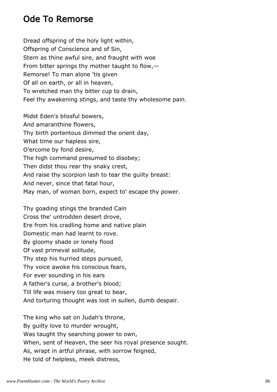### Ode To Remorse

Dread offspring of the holy light within, Offspring of Conscience and of Sin, Stern as thine awful sire, and fraught with woe From bitter springs thy mother taught to flow,— Remorse! To man alone 'tis given Of all on earth, or all in heaven, To wretched man thy bitter cup to drain, Feel thy awakening stings, and taste thy wholesome pain.

Midst Eden's blissful bowers, And amaranthine flowers, Thy birth portentous dimmed the orient day, What time our hapless sire, O'ercome by fond desire, The high command presumed to disobey; Then didst thou rear thy snaky crest, And raise thy scorpion lash to tear the guilty breast: And never, since that fatal hour, May man, of woman born, expect to' escape thy power.

Thy goading stings the branded Cain Cross the' untrodden desert drove, Ere from his cradling home and native plain Domestic man had learnt to rove. By gloomy shade or lonely flood Of vast primeval solitude, Thy step his hurried steps pursued, Thy voice awoke his conscious fears, For ever sounding in his ears A father's curse, a brother's blood; Till life was misery too great to bear, And torturing thought was lost in sullen, dumb despair.

The king who sat on Judah's throne, By guilty love to murder wrought, Was taught thy searching power to own, When, sent of Heaven, the seer his royal presence sought. As, wrapt in artful phrase, with sorrow feigned, He told of helpless, meek distress,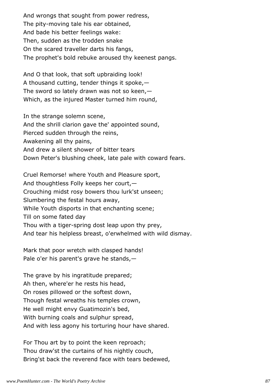And wrongs that sought from power redress, The pity-moving tale his ear obtained, And bade his better feelings wake: Then, sudden as the trodden snake On the scared traveller darts his fangs, The prophet's bold rebuke aroused thy keenest pangs.

And O that look, that soft upbraiding look! A thousand cutting, tender things it spoke,— The sword so lately drawn was not so keen, $-$ Which, as the injured Master turned him round,

In the strange solemn scene, And the shrill clarion gave the' appointed sound, Pierced sudden through the reins, Awakening all thy pains, And drew a silent shower of bitter tears Down Peter's blushing cheek, late pale with coward fears.

Cruel Remorse! where Youth and Pleasure sport, And thoughtless Folly keeps her court,— Crouching midst rosy bowers thou lurk'st unseen; Slumbering the festal hours away, While Youth disports in that enchanting scene; Till on some fated day Thou with a tiger-spring dost leap upon thy prey, And tear his helpless breast, o'erwhelmed with wild dismay.

Mark that poor wretch with clasped hands! Pale o'er his parent's grave he stands,—

The grave by his ingratitude prepared; Ah then, where'er he rests his head, On roses pillowed or the softest down, Though festal wreaths his temples crown, He well might envy Guatimozin's bed, With burning coals and sulphur spread, And with less agony his torturing hour have shared.

For Thou art by to point the keen reproach; Thou draw'st the curtains of his nightly couch, Bring'st back the reverend face with tears bedewed,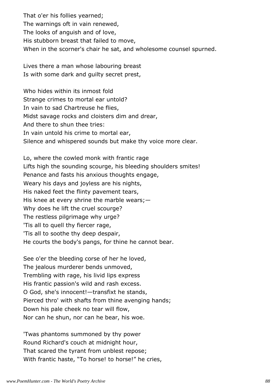That o'er his follies yearned; The warnings oft in vain renewed, The looks of anguish and of love, His stubborn breast that failed to move, When in the scorner's chair he sat, and wholesome counsel spurned.

Lives there a man whose labouring breast Is with some dark and guilty secret prest,

Who hides within its inmost fold Strange crimes to mortal ear untold? In vain to sad Chartreuse he flies, Midst savage rocks and cloisters dim and drear, And there to shun thee tries: In vain untold his crime to mortal ear, Silence and whispered sounds but make thy voice more clear.

Lo, where the cowled monk with frantic rage Lifts high the sounding scourge, his bleeding shoulders smites! Penance and fasts his anxious thoughts engage, Weary his days and joyless are his nights, His naked feet the flinty pavement tears, His knee at every shrine the marble wears;— Why does he lift the cruel scourge? The restless pilgrimage why urge? 'Tis all to quell thy fiercer rage, 'Tis all to soothe thy deep despair, He courts the body's pangs, for thine he cannot bear.

See o'er the bleeding corse of her he loved, The jealous murderer bends unmoved, Trembling with rage, his livid lips express His frantic passion's wild and rash excess. O God, she's innocent!—transfixt he stands, Pierced thro' with shafts from thine avenging hands; Down his pale cheek no tear will flow, Nor can he shun, nor can he bear, his woe.

'Twas phantoms summoned by thy power Round Richard's couch at midnight hour, That scared the tyrant from unblest repose; With frantic haste, "To horse! to horse!" he cries,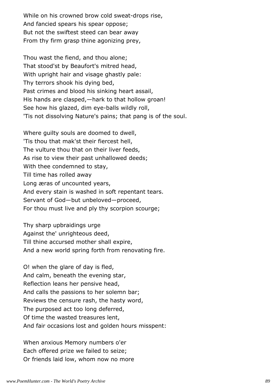While on his crowned brow cold sweat-drops rise, And fancied spears his spear oppose; But not the swiftest steed can bear away From thy firm grasp thine agonizing prey,

Thou wast the fiend, and thou alone; That stood'st by Beaufort's mitred head, With upright hair and visage ghastly pale: Thy terrors shook his dying bed, Past crimes and blood his sinking heart assail, His hands are clasped,—hark to that hollow groan! See how his glazed, dim eye-balls wildly roll, 'Tis not dissolving Nature's pains; that pang is of the soul.

Where guilty souls are doomed to dwell, 'Tis thou that mak'st their fiercest hell, The vulture thou that on their liver feeds, As rise to view their past unhallowed deeds; With thee condemned to stay, Till time has rolled away Long æras of uncounted years, And every stain is washed in soft repentant tears. Servant of God—but unbeloved—proceed, For thou must live and ply thy scorpion scourge;

Thy sharp upbraidings urge Against the' unrighteous deed, Till thine accursed mother shall expire, And a new world spring forth from renovating fire.

O! when the glare of day is fled, And calm, beneath the evening star, Reflection leans her pensive head, And calls the passions to her solemn bar; Reviews the censure rash, the hasty word, The purposed act too long deferred, Of time the wasted treasures lent, And fair occasions lost and golden hours misspent:

When anxious Memory numbers o'er Each offered prize we failed to seize; Or friends laid low, whom now no more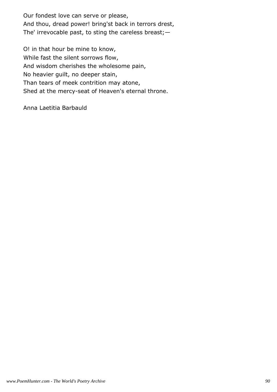Our fondest love can serve or please, And thou, dread power! bring'st back in terrors drest, The' irrevocable past, to sting the careless breast;—

O! in that hour be mine to know, While fast the silent sorrows flow, And wisdom cherishes the wholesome pain, No heavier guilt, no deeper stain, Than tears of meek contrition may atone, Shed at the mercy-seat of Heaven's eternal throne.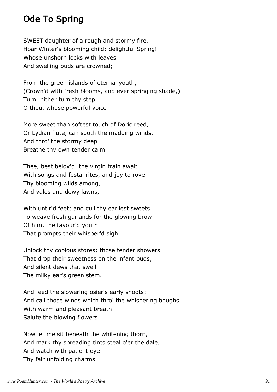### Ode To Spring

SWEET daughter of a rough and stormy fire, Hoar Winter's blooming child; delightful Spring! Whose unshorn locks with leaves And swelling buds are crowned;

From the green islands of eternal youth, (Crown'd with fresh blooms, and ever springing shade,) Turn, hither turn thy step, O thou, whose powerful voice

More sweet than softest touch of Doric reed, Or Lydian flute, can sooth the madding winds, And thro' the stormy deep Breathe thy own tender calm.

Thee, best belov'd! the virgin train await With songs and festal rites, and joy to rove Thy blooming wilds among, And vales and dewy lawns,

With untir'd feet; and cull thy earliest sweets To weave fresh garlands for the glowing brow Of him, the favour'd youth That prompts their whisper'd sigh.

Unlock thy copious stores; those tender showers That drop their sweetness on the infant buds, And silent dews that swell The milky ear's green stem.

And feed the slowering osier's early shoots; And call those winds which thro' the whispering boughs With warm and pleasant breath Salute the blowing flowers.

Now let me sit beneath the whitening thorn, And mark thy spreading tints steal o'er the dale; And watch with patient eye Thy fair unfolding charms.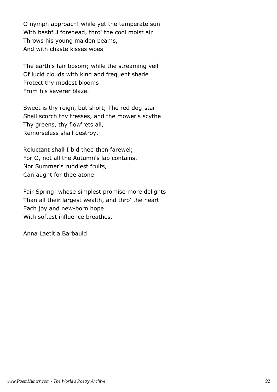O nymph approach! while yet the temperate sun With bashful forehead, thro' the cool moist air Throws his young maiden beams, And with chaste kisses woes

The earth's fair bosom; while the streaming veil Of lucid clouds with kind and frequent shade Protect thy modest blooms From his severer blaze.

Sweet is thy reign, but short; The red dog-star Shall scorch thy tresses, and the mower's scythe Thy greens, thy flow'rets all, Remorseless shall destroy.

Reluctant shall I bid thee then farewel; For O, not all the Autumn's lap contains, Nor Summer's ruddiest fruits, Can aught for thee atone

Fair Spring! whose simplest promise more delights Than all their largest wealth, and thro' the heart Each joy and new-born hope With softest influence breathes.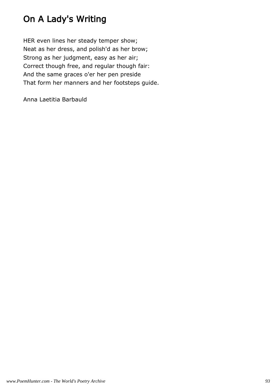# On A Lady's Writing

HER even lines her steady temper show; Neat as her dress, and polish'd as her brow; Strong as her judgment, easy as her air; Correct though free, and regular though fair: And the same graces o'er her pen preside That form her manners and her footsteps guide.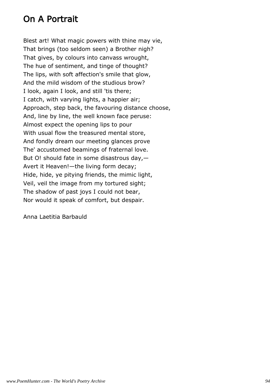# On A Portrait

Blest art! What magic powers with thine may vie, That brings (too seldom seen) a Brother nigh? That gives, by colours into canvass wrought, The hue of sentiment, and tinge of thought? The lips, with soft affection's smile that glow, And the mild wisdom of the studious brow? I look, again I look, and still 'tis there; I catch, with varying lights, a happier air; Approach, step back, the favouring distance choose, And, line by line, the well known face peruse: Almost expect the opening lips to pour With usual flow the treasured mental store, And fondly dream our meeting glances prove The' accustomed beamings of fraternal love. But O! should fate in some disastrous day,— Avert it Heaven!—the living form decay; Hide, hide, ye pitying friends, the mimic light, Veil, veil the image from my tortured sight; The shadow of past joys I could not bear, Nor would it speak of comfort, but despair.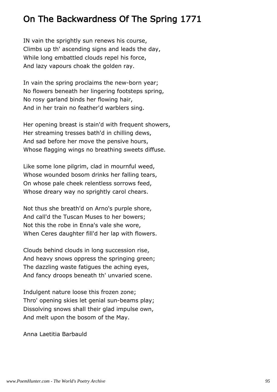## On The Backwardness Of The Spring 1771

IN vain the sprightly sun renews his course, Climbs up th' ascending signs and leads the day, While long embattled clouds repel his force, And lazy vapours choak the golden ray.

In vain the spring proclaims the new-born year; No flowers beneath her lingering footsteps spring, No rosy garland binds her flowing hair, And in her train no feather'd warblers sing.

Her opening breast is stain'd with frequent showers, Her streaming tresses bath'd in chilling dews, And sad before her move the pensive hours, Whose flagging wings no breathing sweets diffuse.

Like some lone pilgrim, clad in mournful weed, Whose wounded bosom drinks her falling tears, On whose pale cheek relentless sorrows feed, Whose dreary way no sprightly carol chears.

Not thus she breath'd on Arno's purple shore, And call'd the Tuscan Muses to her bowers; Not this the robe in Enna's vale she wore, When Ceres daughter fill'd her lap with flowers.

Clouds behind clouds in long succession rise, And heavy snows oppress the springing green; The dazzling waste fatigues the aching eyes, And fancy droops beneath th' unvaried scene.

Indulgent nature loose this frozen zone; Thro' opening skies let genial sun-beams play; Dissolving snows shall their glad impulse own, And melt upon the bosom of the May.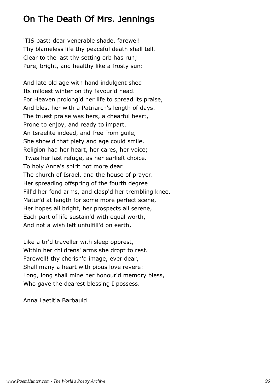### On The Death Of Mrs. Jennings

'TIS past: dear venerable shade, farewel! Thy blameless life thy peaceful death shall tell. Clear to the last thy setting orb has run; Pure, bright, and healthy like a frosty sun:

And late old age with hand indulgent shed Its mildest winter on thy favour'd head. For Heaven prolong'd her life to spread its praise, And blest her with a Patriarch's length of days. The truest praise was hers, a chearful heart, Prone to enjoy, and ready to impart. An Israelite indeed, and free from guile, She show'd that piety and age could smile. Religion had her heart, her cares, her voice; 'Twas her last refuge, as her earlieft choice. To holy Anna's spirit not more dear The church of Israel, and the house of prayer. Her spreading offspring of the fourth degree Fill'd her fond arms, and clasp'd her trembling knee. Matur'd at length for some more perfect scene, Her hopes all bright, her prospects all serene, Each part of life sustain'd with equal worth, And not a wish left unfulfill'd on earth,

Like a tir'd traveller with sleep opprest, Within her childrens' arms she dropt to rest. Farewell! thy cherish'd image, ever dear, Shall many a heart with pious love revere: Long, long shall mine her honour'd memory bless, Who gave the dearest blessing I possess.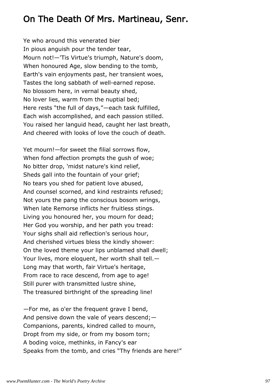### On The Death Of Mrs. Martineau, Senr.

Ye who around this venerated bier In pious anguish pour the tender tear, Mourn not!—'Tis Virtue's triumph, Nature's doom, When honoured Age, slow bending to the tomb, Earth's vain enjoyments past, her transient woes, Tastes the long sabbath of well-earned repose. No blossom here, in vernal beauty shed, No lover lies, warm from the nuptial bed; Here rests "the full of days,"—each task fulfilled, Each wish accomplished, and each passion stilled. You raised her languid head, caught her last breath, And cheered with looks of love the couch of death.

Yet mourn!—for sweet the filial sorrows flow, When fond affection prompts the gush of woe; No bitter drop, 'midst nature's kind relief, Sheds gall into the fountain of your grief; No tears you shed for patient love abused, And counsel scorned, and kind restraints refused; Not yours the pang the conscious bosom wrings, When late Remorse inflicts her fruitless stings. Living you honoured her, you mourn for dead; Her God you worship, and her path you tread: Your sighs shall aid reflection's serious hour, And cherished virtues bless the kindly shower: On the loved theme your lips unblamed shall dwell; Your lives, more eloquent, her worth shall tell.— Long may that worth, fair Virtue's heritage, From race to race descend, from age to age! Still purer with transmitted lustre shine, The treasured birthright of the spreading line!

—For me, as o'er the frequent grave I bend, And pensive down the vale of years descend;— Companions, parents, kindred called to mourn, Dropt from my side, or from my bosom torn; A boding voice, methinks, in Fancy's ear Speaks from the tomb, and cries "Thy friends are here!"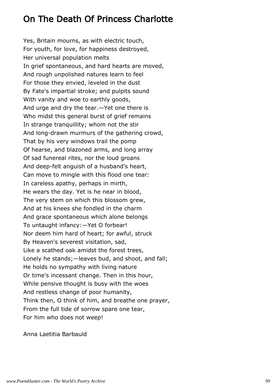### On The Death Of Princess Charlotte

Yes, Britain mourns, as with electric touch, For youth, for love, for happiness destroyed, Her universal population melts In grief spontaneous, and hard hearts are moved, And rough unpolished natures learn to feel For those they envied, leveled in the dust By Fate's impartial stroke; and pulpits sound With vanity and woe to earthly goods, And urge and dry the tear.—Yet one there is Who midst this general burst of grief remains In strange tranquillity; whom not the stir And long-drawn murmurs of the gathering crowd, That by his very windows trail the pomp Of hearse, and blazoned arms, and long array Of sad funereal rites, nor the loud groans And deep-felt anguish of a husband's heart, Can move to mingle with this flood one tear: In careless apathy, perhaps in mirth, He wears the day. Yet is he near in blood, The very stem on which this blossom grew, And at his knees she fondled in the charm And grace spontaneous which alone belongs To untaught infancy:—Yet O forbear! Nor deem him hard of heart; for awful, struck By Heaven's severest visitation, sad, Like a scathed oak amidst the forest trees, Lonely he stands;—leaves bud, and shoot, and fall; He holds no sympathy with living nature Or time's incessant change. Then in this hour, While pensive thought is busy with the woes And restless change of poor humanity, Think then, O think of him, and breathe one prayer, From the full tide of sorrow spare one tear, For him who does not weep!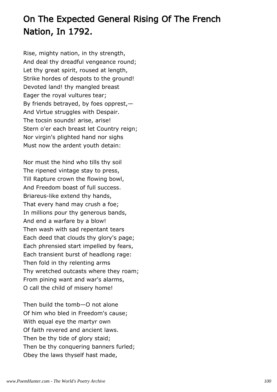# On The Expected General Rising Of The French Nation, In 1792.

Rise, mighty nation, in thy strength, And deal thy dreadful vengeance round; Let thy great spirit, roused at length, Strike hordes of despots to the ground! Devoted land! thy mangled breast Eager the royal vultures tear; By friends betrayed, by foes opprest,— And Virtue struggles with Despair. The tocsin sounds! arise, arise! Stern o'er each breast let Country reign; Nor virgin's plighted hand nor sighs Must now the ardent youth detain:

Nor must the hind who tills thy soil The ripened vintage stay to press, Till Rapture crown the flowing bowl, And Freedom boast of full success. Briareus-like extend thy hands, That every hand may crush a foe; In millions pour thy generous bands, And end a warfare by a blow! Then wash with sad repentant tears Each deed that clouds thy glory's page; Each phrensied start impelled by fears, Each transient burst of headlong rage: Then fold in thy relenting arms Thy wretched outcasts where they roam; From pining want and war's alarms, O call the child of misery home!

Then build the tomb—O not alone Of him who bled in Freedom's cause; With equal eye the martyr own Of faith revered and ancient laws. Then be thy tide of glory staid; Then be thy conquering banners furled; Obey the laws thyself hast made,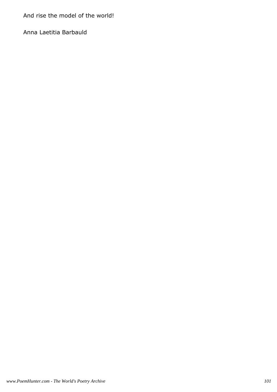And rise the model of the world!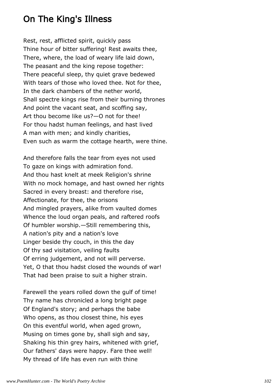### On The King's Illness

Rest, rest, afflicted spirit, quickly pass Thine hour of bitter suffering! Rest awaits thee, There, where, the load of weary life laid down, The peasant and the king repose together: There peaceful sleep, thy quiet grave bedewed With tears of those who loved thee. Not for thee, In the dark chambers of the nether world, Shall spectre kings rise from their burning thrones And point the vacant seat, and scoffing say, Art thou become like us?—O not for thee! For thou hadst human feelings, and hast lived A man with men; and kindly charities, Even such as warm the cottage hearth, were thine.

And therefore falls the tear from eyes not used To gaze on kings with admiration fond. And thou hast knelt at meek Religion's shrine With no mock homage, and hast owned her rights Sacred in every breast: and therefore rise, Affectionate, for thee, the orisons And mingled prayers, alike from vaulted domes Whence the loud organ peals, and raftered roofs Of humbler worship.—Still remembering this, A nation's pity and a nation's love Linger beside thy couch, in this the day Of thy sad visitation, veiling faults Of erring judgement, and not will perverse. Yet, O that thou hadst closed the wounds of war! That had been praise to suit a higher strain.

Farewell the years rolled down the gulf of time! Thy name has chronicled a long bright page Of England's story; and perhaps the babe Who opens, as thou closest thine, his eyes On this eventful world, when aged grown, Musing on times gone by, shall sigh and say, Shaking his thin grey hairs, whitened with grief, Our fathers' days were happy. Fare thee well! My thread of life has even run with thine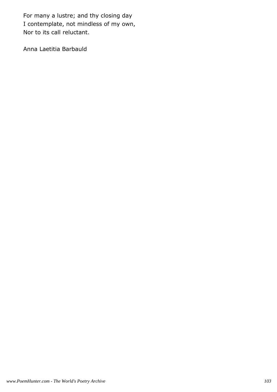For many a lustre; and thy closing day I contemplate, not mindless of my own, Nor to its call reluctant.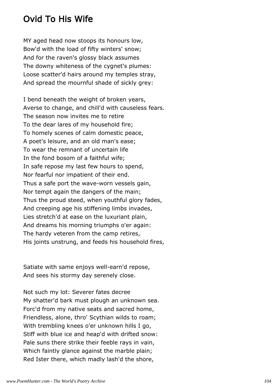### Ovid To His Wife

MY aged head now stoops its honours low, Bow'd with the load of fifty winters' snow; And for the raven's glossy black assumes The downy whiteness of the cygnet's plumes: Loose scatter'd hairs around my temples stray, And spread the mournful shade of sickly grey:

I bend beneath the weight of broken years, Averse to change, and chill'd with causeless fears. The season now invites me to retire To the dear lares of my household fire; To homely scenes of calm domestic peace, A poet's leisure, and an old man's ease; To wear the remnant of uncertain life In the fond bosom of a faithful wife; In safe repose my last few hours to spend, Nor fearful nor impatient of their end. Thus a safe port the wave-worn vessels gain, Nor tempt again the dangers of the main; Thus the proud steed, when youthful glory fades, And creeping age his stiffening limbs invades, Lies stretch'd at ease on the luxuriant plain, And dreams his morning triumphs o'er again: The hardy veteren from the camp retires, His joints unstrung, and feeds his household fires,

Satiate with same enjoys well-earn'd repose, And sees his stormy day serenely close.

Not such my lot: Severer fates decree My shatter'd bark must plough an unknown sea. Forc'd from my native seats and sacred home, Friendless, alone, thro' Scythian wilds to roam; With trembling knees o'er unknown hills I go, Stiff with blue ice and heap'd with drifted snow: Pale suns there strike their feeble rays in vain, Which faintly glance against the marble plain; Red Ister there, which madly lash'd the shore,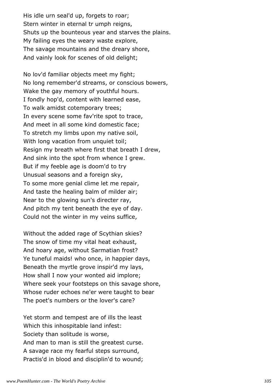His idle urn seal'd up, forgets to roar; Stern winter in eternal tr umph reigns, Shuts up the bounteous year and starves the plains. My failing eyes the weary waste explore, The savage mountains and the dreary shore, And vainly look for scenes of old delight;

No lov'd familiar objects meet my fight; No long remember'd streams, or conscious bowers, Wake the gay memory of youthful hours. I fondly hop'd, content with learned ease, To walk amidst cotemporary trees; In every scene some fav'rite spot to trace, And meet in all some kind domestic face; To stretch my limbs upon my native soil, With long vacation from unquiet toil; Resign my breath where first that breath I drew, And sink into the spot from whence I grew. But if my feeble age is doom'd to try Unusual seasons and a foreign sky, To some more genial clime let me repair, And taste the healing balm of milder air; Near to the glowing sun's directer ray, And pitch my tent beneath the eye of day. Could not the winter in my veins suffice,

Without the added rage of Scythian skies? The snow of time my vital heat exhaust, And hoary age, without Sarmatian frost? Ye tuneful maids! who once, in happier days, Beneath the myrtle grove inspir'd my lays, How shall I now your wonted aid implore; Where seek your footsteps on this savage shore, Whose ruder echoes ne'er were taught to bear The poet's numbers or the lover's care?

Yet storm and tempest are of ills the least Which this inhospitable land infest: Society than solitude is worse, And man to man is still the greatest curse. A savage race my fearful steps surround, Practis'd in blood and disciplin'd to wound;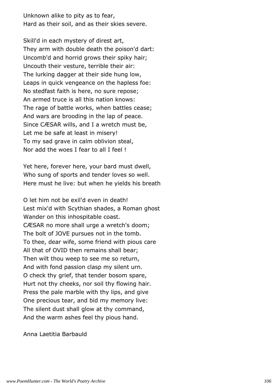Unknown alike to pity as to fear, Hard as their soil, and as their skies severe.

Skill'd in each mystery of direst art, They arm with double death the poison'd dart: Uncomb'd and horrid grows their spiky hair; Uncouth their vesture, terrible their air: The lurking dagger at their side hung low, Leaps in quick vengeance on the hapless foe: No stedfast faith is here, no sure repose; An armed truce is all this nation knows: The rage of battle works, when battles cease; And wars are brooding in the lap of peace. Since CÆSAR wills, and I a wretch must be, Let me be safe at least in misery! To my sad grave in calm oblivion steal, Nor add the woes I fear to all I feel !

Yet here, forever here, your bard must dwell, Who sung of sports and tender loves so well. Here must he live: but when he yields his breath

O let him not be exil'd even in death! Lest mix'd with Scythian shades, a Roman ghost Wander on this inhospitable coast. CÆSAR no more shall urge a wretch's doom; The bolt of JOVE pursues not in the tomb. To thee, dear wife, some friend with pious care All that of OVID then remains shall bear; Then wilt thou weep to see me so return, And with fond passion clasp my silent urn. O check thy grief, that tender bosom spare, Hurt not thy cheeks, nor soil thy flowing hair. Press the pale marble with thy lips, and give One precious tear, and bid my memory live: The silent dust shall glow at thy command, And the warm ashes feel thy pious hand.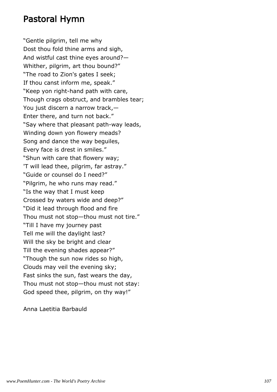### Pastoral Hymn

"Gentle pilgrim, tell me why Dost thou fold thine arms and sigh, And wistful cast thine eyes around?— Whither, pilgrim, art thou bound?" "The road to Zion's gates I seek; If thou canst inform me, speak." "Keep yon right-hand path with care, Though crags obstruct, and brambles tear; You just discern a narrow track,— Enter there, and turn not back." "Say where that pleasant path-way leads, Winding down yon flowery meads? Song and dance the way beguiles, Every face is drest in smiles." "Shun with care that flowery way; 'T will lead thee, pilgrim, far astray." "Guide or counsel do I need?" "Pilgrim, he who runs may read." "Is the way that I must keep Crossed by waters wide and deep?" "Did it lead through flood and fire Thou must not stop—thou must not tire." "Till I have my journey past Tell me will the daylight last? Will the sky be bright and clear Till the evening shades appear?" "Though the sun now rides so high, Clouds may veil the evening sky; Fast sinks the sun, fast wears the day, Thou must not stop—thou must not stay: God speed thee, pilgrim, on thy way!"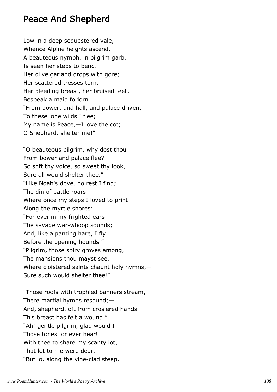## Peace And Shepherd

Low in a deep sequestered vale, Whence Alpine heights ascend, A beauteous nymph, in pilgrim garb, Is seen her steps to bend. Her olive garland drops with gore; Her scattered tresses torn, Her bleeding breast, her bruised feet, Bespeak a maid forlorn. "From bower, and hall, and palace driven, To these lone wilds I flee; My name is Peace,—I love the cot; O Shepherd, shelter me!"

"O beauteous pilgrim, why dost thou From bower and palace flee? So soft thy voice, so sweet thy look, Sure all would shelter thee." "Like Noah's dove, no rest I find; The din of battle roars Where once my steps I loved to print Along the myrtle shores: "For ever in my frighted ears The savage war-whoop sounds; And, like a panting hare, I fly Before the opening hounds." "Pilgrim, those spiry groves among, The mansions thou mayst see, Where cloistered saints chaunt holy hymns,— Sure such would shelter thee!"

"Those roofs with trophied banners stream, There martial hymns resound;— And, shepherd, oft from crosiered hands This breast has felt a wound." "Ah! gentle pilgrim, glad would I Those tones for ever hear! With thee to share my scanty lot, That lot to me were dear. "But lo, along the vine-clad steep,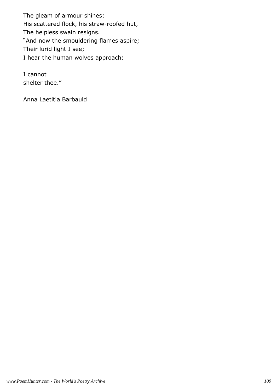The gleam of armour shines; His scattered flock, his straw-roofed hut, The helpless swain resigns. "And now the smouldering flames aspire; Their lurid light I see; I hear the human wolves approach:

I cannot shelter thee."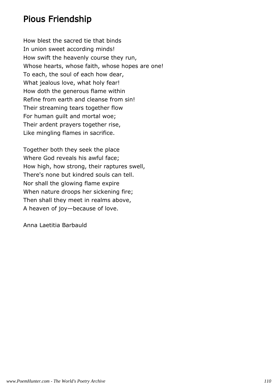## Pious Friendship

How blest the sacred tie that binds In union sweet according minds! How swift the heavenly course they run, Whose hearts, whose faith, whose hopes are one! To each, the soul of each how dear, What jealous love, what holy fear! How doth the generous flame within Refine from earth and cleanse from sin! Their streaming tears together flow For human guilt and mortal woe; Their ardent prayers together rise, Like mingling flames in sacrifice.

Together both they seek the place Where God reveals his awful face; How high, how strong, their raptures swell, There's none but kindred souls can tell. Nor shall the glowing flame expire When nature droops her sickening fire; Then shall they meet in realms above, A heaven of joy—because of love.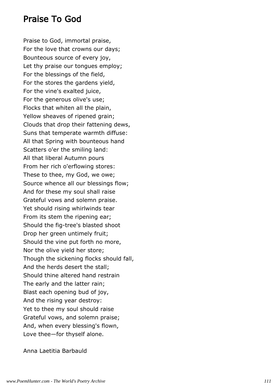### Praise To God

Praise to God, immortal praise, For the love that crowns our days; Bounteous source of every joy, Let thy praise our tongues employ; For the blessings of the field, For the stores the gardens yield, For the vine's exalted juice, For the generous olive's use; Flocks that whiten all the plain, Yellow sheaves of ripened grain; Clouds that drop their fattening dews, Suns that temperate warmth diffuse: All that Spring with bounteous hand Scatters o'er the smiling land: All that liberal Autumn pours From her rich o'erflowing stores: These to thee, my God, we owe; Source whence all our blessings flow; And for these my soul shall raise Grateful vows and solemn praise. Yet should rising whirlwinds tear From its stem the ripening ear; Should the fig-tree's blasted shoot Drop her green untimely fruit; Should the vine put forth no more, Nor the olive yield her store; Though the sickening flocks should fall, And the herds desert the stall; Should thine altered hand restrain The early and the latter rain; Blast each opening bud of joy, And the rising year destroy: Yet to thee my soul should raise Grateful vows, and solemn praise; And, when every blessing's flown, Love thee—for thyself alone.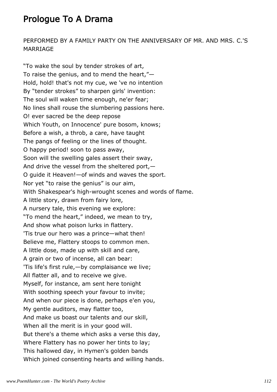# Prologue To A Drama

### PERFORMED BY A FAMILY PARTY ON THE ANNIVERSARY OF MR. AND MRS. C.'S MARRIAGE

"To wake the soul by tender strokes of art, To raise the genius, and to mend the heart,"— Hold, hold! that's not my cue, we 've no intention By "tender strokes" to sharpen girls' invention: The soul will waken time enough, ne'er fear; No lines shall rouse the slumbering passions here. O! ever sacred be the deep repose Which Youth, on Innocence' pure bosom, knows; Before a wish, a throb, a care, have taught The pangs of feeling or the lines of thought. O happy period! soon to pass away, Soon will the swelling gales assert their sway, And drive the vessel from the sheltered port,— O guide it Heaven!—of winds and waves the sport. Nor yet "to raise the genius" is our aim, With Shakespear's high-wrought scenes and words of flame. A little story, drawn from fairy lore, A nursery tale, this evening we explore: "To mend the heart," indeed, we mean to try, And show what poison lurks in flattery. 'Tis true our hero was a prince—what then! Believe me, Flattery stoops to common men. A little dose, made up with skill and care, A grain or two of incense, all can bear: 'Tis life's first rule,—by complaisance we live; All flatter all, and to receive we give. Myself, for instance, am sent here tonight With soothing speech your favour to invite; And when our piece is done, perhaps e'en you, My gentle auditors, may flatter too, And make us boast our talents and our skill, When all the merit is in your good will. But there's a theme which asks a verse this day, Where Flattery has no power her tints to lay; This hallowed day, in Hymen's golden bands Which joined consenting hearts and willing hands.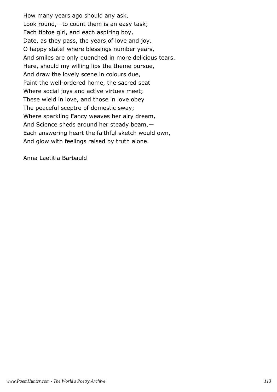How many years ago should any ask, Look round,—to count them is an easy task; Each tiptoe girl, and each aspiring boy, Date, as they pass, the years of love and joy. O happy state! where blessings number years, And smiles are only quenched in more delicious tears. Here, should my willing lips the theme pursue, And draw the lovely scene in colours due, Paint the well-ordered home, the sacred seat Where social joys and active virtues meet; These wield in love, and those in love obey The peaceful sceptre of domestic sway; Where sparkling Fancy weaves her airy dream, And Science sheds around her steady beam,— Each answering heart the faithful sketch would own, And glow with feelings raised by truth alone.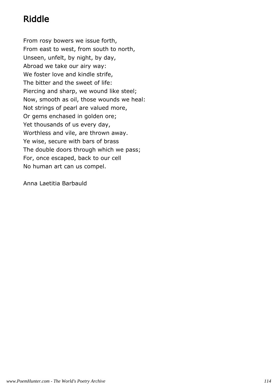# Riddle

From rosy bowers we issue forth, From east to west, from south to north, Unseen, unfelt, by night, by day, Abroad we take our airy way: We foster love and kindle strife, The bitter and the sweet of life: Piercing and sharp, we wound like steel; Now, smooth as oil, those wounds we heal: Not strings of pearl are valued more, Or gems enchased in golden ore; Yet thousands of us every day, Worthless and vile, are thrown away. Ye wise, secure with bars of brass The double doors through which we pass; For, once escaped, back to our cell No human art can us compel.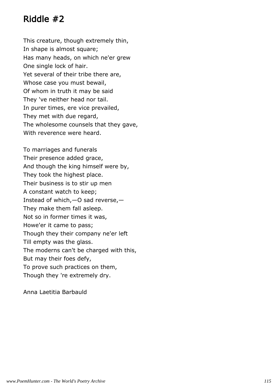# Riddle #2

This creature, though extremely thin, In shape is almost square; Has many heads, on which ne'er grew One single lock of hair. Yet several of their tribe there are, Whose case you must bewail, Of whom in truth it may be said They 've neither head nor tail. In purer times, ere vice prevailed, They met with due regard, The wholesome counsels that they gave, With reverence were heard.

To marriages and funerals Their presence added grace, And though the king himself were by, They took the highest place. Their business is to stir up men A constant watch to keep; Instead of which,—O sad reverse,— They make them fall asleep. Not so in former times it was, Howe'er it came to pass; Though they their company ne'er left Till empty was the glass. The moderns can't be charged with this, But may their foes defy, To prove such practices on them, Though they 're extremely dry.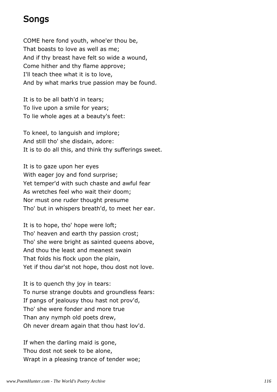## Songs

COME here fond youth, whoe'er thou be, That boasts to love as well as me; And if thy breast have felt so wide a wound, Come hither and thy flame approve; I'll teach thee what it is to love, And by what marks true passion may be found.

It is to be all bath'd in tears; To live upon a smile for years; To lie whole ages at a beauty's feet:

To kneel, to languish and implore; And still tho' she disdain, adore: It is to do all this, and think thy sufferings sweet.

It is to gaze upon her eyes With eager joy and fond surprise; Yet temper'd with such chaste and awful fear As wretches feel who wait their doom; Nor must one ruder thought presume Tho' but in whispers breath'd, to meet her ear.

It is to hope, tho' hope were loft; Tho' heaven and earth thy passion crost; Tho' she were bright as sainted queens above, And thou the least and meanest swain That folds his flock upon the plain, Yet if thou dar'st not hope, thou dost not love.

It is to quench thy joy in tears: To nurse strange doubts and groundless fears: If pangs of jealousy thou hast not prov'd, Tho' she were fonder and more true Than any nymph old poets drew, Oh never dream again that thou hast lov'd.

If when the darling maid is gone, Thou dost not seek to be alone, Wrapt in a pleasing trance of tender woe;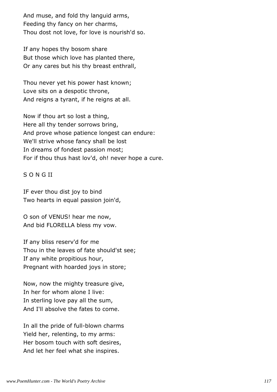And muse, and fold thy languid arms, Feeding thy fancy on her charms, Thou dost not love, for love is nourish'd so.

If any hopes thy bosom share But those which love has planted there, Or any cares but his thy breast enthrall,

Thou never yet his power hast known; Love sits on a despotic throne, And reigns a tyrant, if he reigns at all.

Now if thou art so lost a thing, Here all thy tender sorrows bring, And prove whose patience longest can endure: We'll strive whose fancy shall be lost In dreams of fondest passion most; For if thou thus hast lov'd, oh! never hope a cure.

### S O N G II

IF ever thou dist joy to bind Two hearts in equal passion join'd,

O son of VENUS! hear me now, And bid FLORELLA bless my vow.

If any bliss reserv'd for me Thou in the leaves of fate should'st see; If any white propitious hour, Pregnant with hoarded joys in store;

Now, now the mighty treasure give, In her for whom alone I live: In sterling love pay all the sum, And I'll absolve the fates to come.

In all the pride of full-blown charms Yield her, relenting, to my arms: Her bosom touch with soft desires, And let her feel what she inspires.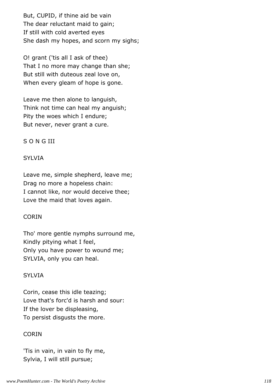But, CUPID, if thine aid be vain The dear reluctant maid to gain; If still with cold averted eyes She dash my hopes, and scorn my sighs;

O! grant ('tis all I ask of thee) That I no more may change than she; But still with duteous zeal love on, When every gleam of hope is gone.

Leave me then alone to languish, Think not time can heal my anguish; Pity the woes which I endure; But never, never grant a cure.

### S O N G III

### **SYLVIA**

Leave me, simple shepherd, leave me; Drag no more a hopeless chain: I cannot like, nor would deceive thee; Love the maid that loves again.

### CORIN

Tho' more gentle nymphs surround me, Kindly pitying what I feel, Only you have power to wound me; SYLVIA, only you can heal.

### **SYLVIA**

Corin, cease this idle teazing; Love that's forc'd is harsh and sour: If the lover be displeasing, To persist disgusts the more.

### CORIN

'Tis in vain, in vain to fly me, Sylvia, I will still pursue;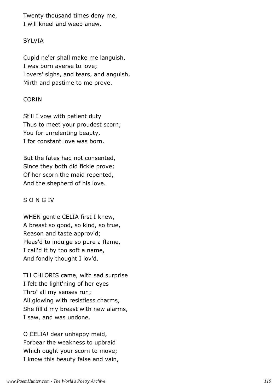Twenty thousand times deny me, I will kneel and weep anew.

#### **SYLVIA**

Cupid ne'er shall make me languish, I was born averse to love; Lovers' sighs, and tears, and anguish, Mirth and pastime to me prove.

#### CORIN

Still I vow with patient duty Thus to meet your proudest scorn; You for unrelenting beauty, I for constant love was born.

But the fates had not consented, Since they both did fickle prove; Of her scorn the maid repented, And the shepherd of his love.

#### S O N G IV

WHEN gentle CELIA first I knew, A breast so good, so kind, so true, Reason and taste approv'd; Pleas'd to indulge so pure a flame, I call'd it by too soft a name, And fondly thought I lov'd.

Till CHLORIS came, with sad surprise I felt the light'ning of her eyes Thro' all my senses run; All glowing with resistless charms, She fill'd my breast with new alarms, I saw, and was undone.

O CELIA! dear unhappy maid, Forbear the weakness to upbraid Which ought your scorn to move; I know this beauty false and vain,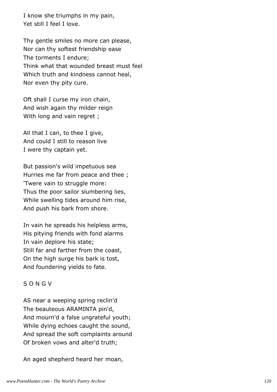I know she triumphs in my pain, Yet still I feel I love.

Thy gentle smiles no more can please, Nor can thy softest friendship ease The torments I endure; Think what that wounded breast must feel Which truth and kindness cannot heal, Nor even thy pity cure.

Oft shall I curse my iron chain, And wish again thy milder reign With long and vain regret ;

All that I can, to thee I give, And could I still to reason live I were thy captain yet.

But passion's wild impetuous sea Hurries me far from peace and thee ; 'Twere vain to struggle more: Thus the poor sailor slumbering lies, While swelling tides around him rise, And push his bark from shore.

In vain he spreads his helpless arms, His pitying friends with fond alarms In vain deplore his state; Still far and farther from the coast, On the high surge his bark is tost, And foundering yields to fate.

#### S O N G V

AS near a weeping spring reclin'd The beauteous ARAMINTA pin'd, And mourn'd a false ungrateful youth; While dying echoes caught the sound, And spread the soft complaints around Of broken vows and alter'd truth;

An aged shepherd heard her moan,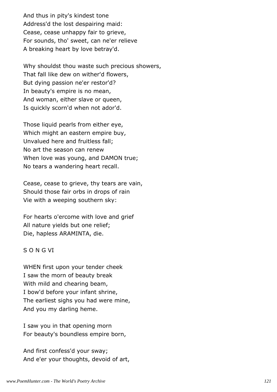And thus in pity's kindest tone Address'd the lost despairing maid: Cease, cease unhappy fair to grieve, For sounds, tho' sweet, can ne'er relieve A breaking heart by love betray'd.

Why shouldst thou waste such precious showers, That fall like dew on wither'd flowers, But dying passion ne'er restor'd? In beauty's empire is no mean, And woman, either slave or queen, Is quickly scorn'd when not ador'd.

Those liquid pearls from either eye, Which might an eastern empire buy, Unvalued here and fruitless fall; No art the season can renew When love was young, and DAMON true; No tears a wandering heart recall.

Cease, cease to grieve, thy tears are vain, Should those fair orbs in drops of rain Vie with a weeping southern sky:

For hearts o'ercome with love and grief All nature yields but one relief; Die, hapless ARAMINTA, die.

#### S O N G VI

WHEN first upon your tender cheek I saw the morn of beauty break With mild and chearing beam, I bow'd before your infant shrine, The earliest sighs you had were mine, And you my darling heme.

I saw you in that opening morn For beauty's boundless empire born,

And first confess'd your sway; And e'er your thoughts, devoid of art,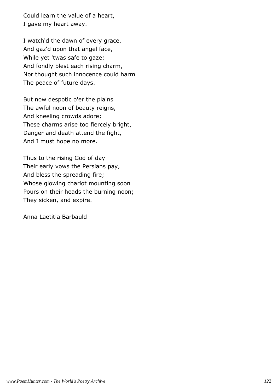Could learn the value of a heart, I gave my heart away.

I watch'd the dawn of every grace, And gaz'd upon that angel face, While yet 'twas safe to gaze; And fondly blest each rising charm, Nor thought such innocence could harm The peace of future days.

But now despotic o'er the plains The awful noon of beauty reigns, And kneeling crowds adore; These charms arise too fiercely bright, Danger and death attend the fight, And I must hope no more.

Thus to the rising God of day Their early vows the Persians pay, And bless the spreading fire; Whose glowing chariot mounting soon Pours on their heads the burning noon; They sicken, and expire.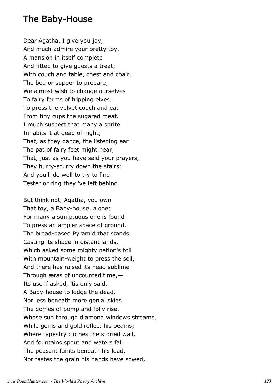## The Baby-House

Dear Agatha, I give you joy, And much admire your pretty toy, A mansion in itself complete And fitted to give guests a treat; With couch and table, chest and chair, The bed or supper to prepare; We almost wish to change ourselves To fairy forms of tripping elves, To press the velvet couch and eat From tiny cups the sugared meat. I much suspect that many a sprite Inhabits it at dead of night; That, as they dance, the listening ear The pat of fairy feet might hear; That, just as you have said your prayers, They hurry-scurry down the stairs: And you'll do well to try to find Tester or ring they 've left behind.

But think not, Agatha, you own That toy, a Baby-house, alone; For many a sumptuous one is found To press an ampler space of ground. The broad-based Pyramid that stands Casting its shade in distant lands, Which asked some mighty nation's toil With mountain-weight to press the soil, And there has raised its head sublime Through æras of uncounted time,— Its use if asked, 'tis only said, A Baby-house to lodge the dead. Nor less beneath more genial skies The domes of pomp and folly rise, Whose sun through diamond windows streams, While gems and gold reflect his beams; Where tapestry clothes the storied wall, And fountains spout and waters fall; The peasant faints beneath his load, Nor tastes the grain his hands have sowed,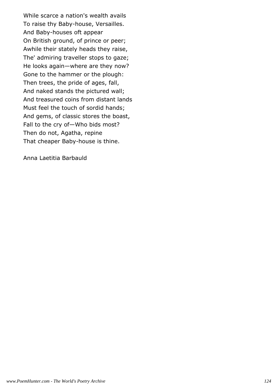While scarce a nation's wealth avails To raise thy Baby-house, Versailles. And Baby-houses oft appear On British ground, of prince or peer; Awhile their stately heads they raise, The' admiring traveller stops to gaze; He looks again—where are they now? Gone to the hammer or the plough: Then trees, the pride of ages, fall, And naked stands the pictured wall; And treasured coins from distant lands Must feel the touch of sordid hands; And gems, of classic stores the boast, Fall to the cry of—Who bids most? Then do not, Agatha, repine That cheaper Baby-house is thine.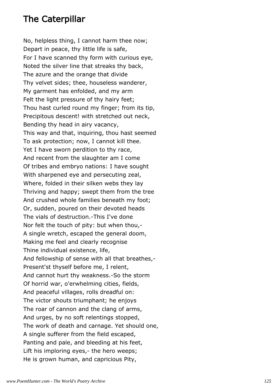# The Caterpillar

No, helpless thing, I cannot harm thee now; Depart in peace, thy little life is safe, For I have scanned thy form with curious eye, Noted the silver line that streaks thy back, The azure and the orange that divide Thy velvet sides; thee, houseless wanderer, My garment has enfolded, and my arm Felt the light pressure of thy hairy feet; Thou hast curled round my finger; from its tip, Precipitous descent! with stretched out neck, Bending thy head in airy vacancy, This way and that, inquiring, thou hast seemed To ask protection; now, I cannot kill thee. Yet I have sworn perdition to thy race, And recent from the slaughter am I come Of tribes and embryo nations: I have sought With sharpened eye and persecuting zeal, Where, folded in their silken webs they lay Thriving and happy; swept them from the tree And crushed whole families beneath my foot; Or, sudden, poured on their devoted heads The vials of destruction.-This I've done Nor felt the touch of pity: but when thou,- A single wretch, escaped the general doom, Making me feel and clearly recognise Thine individual existence, life, And fellowship of sense with all that breathes,- Present'st thyself before me, I relent, And cannot hurt thy weakness.-So the storm Of horrid war, o'erwhelming cities, fields, And peaceful villages, rolls dreadful on: The victor shouts triumphant; he enjoys The roar of cannon and the clang of arms, And urges, by no soft relentings stopped, The work of death and carnage. Yet should one, A single sufferer from the field escaped, Panting and pale, and bleeding at his feet, Lift his imploring eyes, - the hero weeps; He is grown human, and capricious Pity,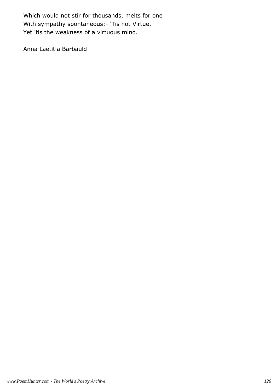Which would not stir for thousands, melts for one With sympathy spontaneous: - 'Tis not Virtue, Yet 'tis the weakness of a virtuous mind.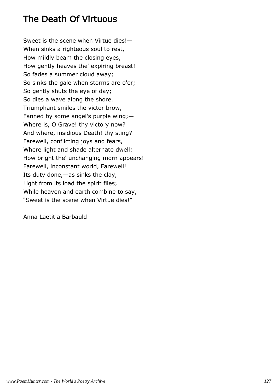# The Death Of Virtuous

Sweet is the scene when Virtue dies!— When sinks a righteous soul to rest, How mildly beam the closing eyes, How gently heaves the' expiring breast! So fades a summer cloud away; So sinks the gale when storms are o'er; So gently shuts the eye of day; So dies a wave along the shore. Triumphant smiles the victor brow, Fanned by some angel's purple wing;— Where is, O Grave! thy victory now? And where, insidious Death! thy sting? Farewell, conflicting joys and fears, Where light and shade alternate dwell; How bright the' unchanging morn appears! Farewell, inconstant world, Farewell! Its duty done,—as sinks the clay, Light from its load the spirit flies; While heaven and earth combine to say, "Sweet is the scene when Virtue dies!"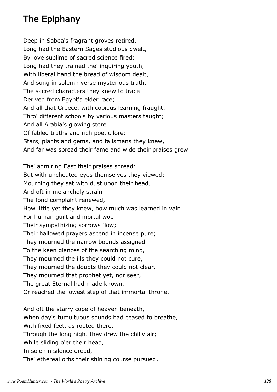# The Epiphany

Deep in Sabea's fragrant groves retired, Long had the Eastern Sages studious dwelt, By love sublime of sacred science fired: Long had they trained the' inquiring youth, With liberal hand the bread of wisdom dealt, And sung in solemn verse mysterious truth. The sacred characters they knew to trace Derived from Egypt's elder race; And all that Greece, with copious learning fraught, Thro' different schools by various masters taught; And all Arabia's glowing store Of fabled truths and rich poetic lore: Stars, plants and gems, and talismans they knew, And far was spread their fame and wide their praises grew.

The' admiring East their praises spread: But with uncheated eyes themselves they viewed; Mourning they sat with dust upon their head, And oft in melancholy strain The fond complaint renewed, How little yet they knew, how much was learned in vain. For human guilt and mortal woe Their sympathizing sorrows flow; Their hallowed prayers ascend in incense pure; They mourned the narrow bounds assigned To the keen glances of the searching mind, They mourned the ills they could not cure, They mourned the doubts they could not clear, They mourned that prophet yet, nor seer, The great Eternal had made known, Or reached the lowest step of that immortal throne.

And oft the starry cope of heaven beneath, When day's tumultuous sounds had ceased to breathe, With fixed feet, as rooted there, Through the long night they drew the chilly air; While sliding o'er their head, In solemn silence dread, The' ethereal orbs their shining course pursued,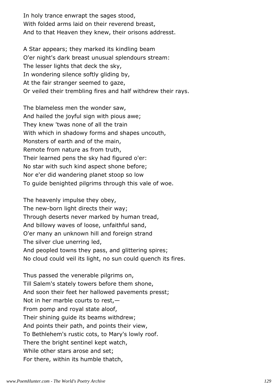In holy trance enwrapt the sages stood, With folded arms laid on their reverend breast, And to that Heaven they knew, their orisons addresst.

A Star appears; they marked its kindling beam O'er night's dark breast unusual splendours stream: The lesser lights that deck the sky, In wondering silence softly gliding by, At the fair stranger seemed to gaze, Or veiled their trembling fires and half withdrew their rays.

The blameless men the wonder saw, And hailed the joyful sign with pious awe; They knew 'twas none of all the train With which in shadowy forms and shapes uncouth, Monsters of earth and of the main, Remote from nature as from truth, Their learned pens the sky had figured o'er: No star with such kind aspect shone before; Nor e'er did wandering planet stoop so low To guide benighted pilgrims through this vale of woe.

The heavenly impulse they obey, The new-born light directs their way; Through deserts never marked by human tread, And billowy waves of loose, unfaithful sand, O'er many an unknown hill and foreign strand The silver clue unerring led, And peopled towns they pass, and glittering spires; No cloud could veil its light, no sun could quench its fires.

Thus passed the venerable pilgrims on, Till Salem's stately towers before them shone, And soon their feet her hallowed pavements presst; Not in her marble courts to rest,— From pomp and royal state aloof, Their shining guide its beams withdrew; And points their path, and points their view, To Bethlehem's rustic cots, to Mary's lowly roof. There the bright sentinel kept watch, While other stars arose and set; For there, within its humble thatch,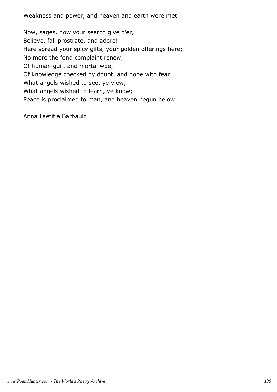Weakness and power, and heaven and earth were met.

Now, sages, now your search give o'er, Believe, fall prostrate, and adore! Here spread your spicy gifts, your golden offerings here; No more the fond complaint renew, Of human guilt and mortal woe, Of knowledge checked by doubt, and hope with fear: What angels wished to see, ye view; What angels wished to learn, ye know;— Peace is proclaimed to man, and heaven begun below.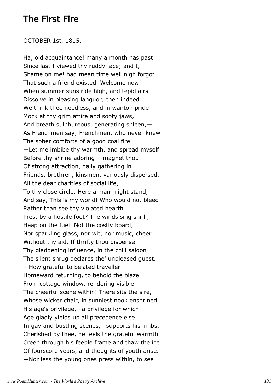## The First Fire

OCTOBER 1st, 1815.

Ha, old acquaintance! many a month has past Since last I viewed thy ruddy face; and I, Shame on me! had mean time well nigh forgot That such a friend existed. Welcome now!— When summer suns ride high, and tepid airs Dissolve in pleasing languor; then indeed We think thee needless, and in wanton pride Mock at thy grim attire and sooty jaws, And breath sulphureous, generating spleen,— As Frenchmen say; Frenchmen, who never knew The sober comforts of a good coal fire. —Let me imbibe thy warmth, and spread myself Before thy shrine adoring:—magnet thou Of strong attraction, daily gathering in Friends, brethren, kinsmen, variously dispersed, All the dear charities of social life, To thy close circle. Here a man might stand, And say, This is my world! Who would not bleed Rather than see thy violated hearth Prest by a hostile foot? The winds sing shrill; Heap on the fuel! Not the costly board, Nor sparkling glass, nor wit, nor music, cheer Without thy aid. If thrifty thou dispense Thy gladdening influence, in the chill saloon The silent shrug declares the' unpleased guest. —How grateful to belated traveller Homeward returning, to behold the blaze From cottage window, rendering visible The cheerful scene within! There sits the sire, Whose wicker chair, in sunniest nook enshrined, His age's privilege,—a privilege for which Age gladly yields up all precedence else In gay and bustling scenes,—supports his limbs. Cherished by thee, he feels the grateful warmth Creep through his feeble frame and thaw the ice Of fourscore years, and thoughts of youth arise. —Nor less the young ones press within, to see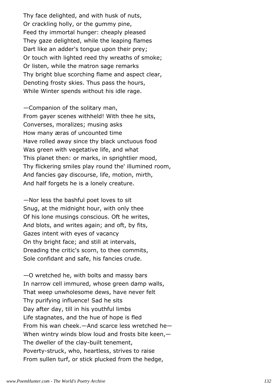Thy face delighted, and with husk of nuts, Or crackling holly, or the gummy pine, Feed thy immortal hunger: cheaply pleased They gaze delighted, while the leaping flames Dart like an adder's tongue upon their prey; Or touch with lighted reed thy wreaths of smoke; Or listen, while the matron sage remarks Thy bright blue scorching flame and aspect clear, Denoting frosty skies. Thus pass the hours, While Winter spends without his idle rage.

—Companion of the solitary man, From gayer scenes withheld! With thee he sits, Converses, moralizes; musing asks How many æras of uncounted time Have rolled away since thy black unctuous food Was green with vegetative life, and what This planet then: or marks, in sprightlier mood, Thy flickering smiles play round the' illumined room, And fancies gay discourse, life, motion, mirth, And half forgets he is a lonely creature.

—Nor less the bashful poet loves to sit Snug, at the midnight hour, with only thee Of his lone musings conscious. Oft he writes, And blots, and writes again; and oft, by fits, Gazes intent with eyes of vacancy On thy bright face; and still at intervals, Dreading the critic's scorn, to thee commits, Sole confidant and safe, his fancies crude.

—O wretched he, with bolts and massy bars In narrow cell immured, whose green damp walls, That weep unwholesome dews, have never felt Thy purifying influence! Sad he sits Day after day, till in his youthful limbs Life stagnates, and the hue of hope is fled From his wan cheek.—And scarce less wretched he— When wintry winds blow loud and frosts bite keen,— The dweller of the clay-built tenement, Poverty-struck, who, heartless, strives to raise From sullen turf, or stick plucked from the hedge,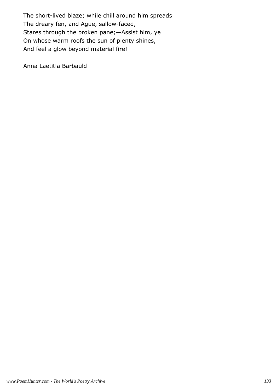The short-lived blaze; while chill around him spreads The dreary fen, and Ague, sallow-faced, Stares through the broken pane;—Assist him, ye On whose warm roofs the sun of plenty shines, And feel a glow beyond material fire!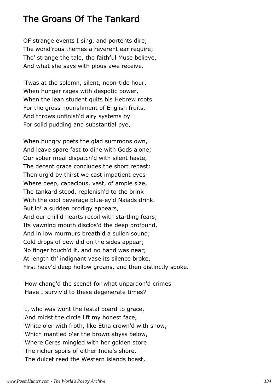# The Groans Of The Tankard

OF strange events I sing, and portents dire; The wond'rous themes a reverent ear require; Tho' strange the tale, the faithful Muse believe, And what she says with pious awe receive.

'Twas at the solemn, silent, noon-tide hour, When hunger rages with despotic power, When the lean student quits his Hebrew roots For the gross nourishment of English fruits, And throws unfinish'd airy systems by For solid pudding and substantial pye,

When hungry poets the glad summons own, And leave spare fast to dine with Gods alone; Our sober meal dispatch'd with silent haste, The decent grace concludes the short repast: Then urg'd by thirst we cast impatient eyes Where deep, capacious, vast, of ample size, The tankard stood, replenish'd to the brink With the cool beverage blue-ey'd Naiads drink. But lo! a sudden prodigy appears, And our chill'd hearts recoil with startling fears; Its yawning mouth disclos'd the deep profound, And in low murmurs breath'd a sullen sound; Cold drops of dew did on the sides appear; No finger touch'd it, and no hand was near; At length th' indignant vase its silence broke, First heav'd deep hollow groans, and then distinctly spoke.

'How chang'd the scene! for what unpardon'd crimes 'Have I surviv'd to these degenerate times?

'I, who was wont the festal board to grace, 'And midst the circle lift my honest face, 'White o'er with froth, like Etna crown'd with snow, 'Which mantled o'er the brown abyss below, 'Where Ceres mingled with her golden store 'The richer spoils of either India's shore, 'The dulcet reed the Western islands boast,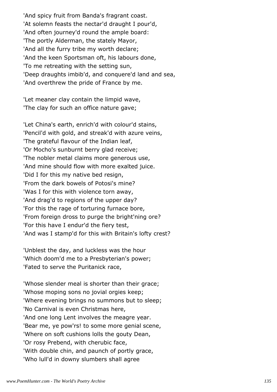'And spicy fruit from Banda's fragrant coast. 'At solemn feasts the nectar'd draught I pour'd, 'And often journey'd round the ample board: 'The portly Alderman, the stately Mayor, 'And all the furry tribe my worth declare; 'And the keen Sportsman oft, his labours done, 'To me retreating with the setting sun, 'Deep draughts imbib'd, and conquere'd land and sea, 'And overthrew the pride of France by me.

'Let meaner clay contain the limpid wave, 'The clay for such an office nature gave;

'Let China's earth, enrich'd with colour'd stains, 'Pencil'd with gold, and streak'd with azure veins, 'The grateful flavour of the Indian leaf, 'Or Mocho's sunburnt berry glad receive; 'The nobler metal claims more generous use, 'And mine should flow with more exalted juice. 'Did I for this my native bed resign, 'From the dark bowels of Potosi's mine? 'Was I for this with violence torn away, 'And drag'd to regions of the upper day? 'For this the rage of torturing furnace bore, 'From foreign dross to purge the bright'ning ore? 'For this have I endur'd the fiery test, 'And was I stamp'd for this with Britain's lofty crest?

'Unblest the day, and luckless was the hour 'Which doom'd me to a Presbyterian's power; 'Fated to serve the Puritanick race,

'Whose slender meal is shorter than their grace; 'Whose moping sons no jovial orgies keep; 'Where evening brings no summons but to sleep; 'No Carnival is even Christmas here, 'And one long Lent involves the meagre year. 'Bear me, ye pow'rs! to some more genial scene, 'Where on soft cushions lolls the gouty Dean, 'Or rosy Prebend, with cherubic face, 'With double chin, and paunch of portly grace, 'Who lull'd in downy slumbers shall agree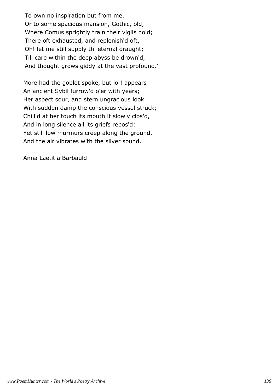'To own no inspiration but from me. 'Or to some spacious mansion, Gothic, old, 'Where Comus sprightly train their vigils hold; 'There oft exhausted, and replenish'd oft, 'Oh! let me still supply th' eternal draught; 'Till care within the deep abyss be drown'd, 'And thought grows giddy at the vast profound.'

More had the goblet spoke, but lo ! appears An ancient Sybil furrow'd o'er with years; Her aspect sour, and stern ungracious look With sudden damp the conscious vessel struck; Chill'd at her touch its mouth it slowly clos'd, And in long silence all its griefs repos'd: Yet still low murmurs creep along the ground, And the air vibrates with the silver sound.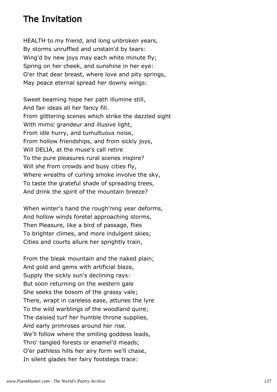# The Invitation

HEALTH to my friend, and long unbroken years, By storms unruffled and unstain'd by tears: Wing'd by new joys may each white minute fly; Spring on her cheek, and sunshine in her eye: O'er that dear breast, where love and pity springs, May peace eternal spread her downy wings:

Sweet beaming hope her path illumine still, And fair ideas all her fancy fill. From glittering scenes which strike the dazzled sight With mimic grandeur and illusive light, From idle hurry, and tumultuous noise, From hollow friendships, and from sickly joys, Will DELIA, at the muse's call retire To the pure pleasures rural scenes inspire? Will she from crowds and busy cities fly, Where wreaths of curling smoke involve the sky, To taste the grateful shade of spreading trees, And drink the spirit of the mountain breeze?

When winter's hand the rough'ning year deforms, And hollow winds foretel approaching storms, Then Pleasure, like a bird of passage, flies To brighter climes, and more indulgent skies; Cities and courts allure her sprightly train,

From the bleak mountain and the naked plain; And gold and gems with artificial blaze, Supply the sickly sun's declining rays: But soon returning on the western gale She seeks the bosom of the grassy vale; There, wrapt in careless ease, attunes the lyre To the wild warblings of the woodland quire; The daisied turf her humble throne supplies, And early primroses around her rise. We'll follow where the smiling goddess leads, Thro' tangled forests or enamel'd meads; O'er pathless hills her airy form we'll chase, In silent glades her fairy footsteps trace: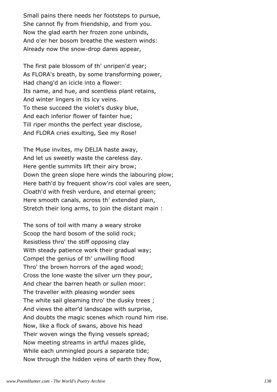Small pains there needs her footsteps to pursue, She cannot fly from friendship, and from you. Now the glad earth her frozen zone unbinds, And o'er her bosom breathe the western winds: Already now the snow-drop dares appear,

The first pale blossom of th' unripen'd year; As FLORA's breath, by some transforming power, Had chang'd an icicle into a flower: Its name, and hue, and scentless plant retains, And winter lingers in its icy veins. To these succeed the violet's dusky blue, And each inferior flower of fainter hue; Till riper months the perfect year disclose, And FLORA cries exulting, See my Rose!

The Muse invites, my DELIA haste away, And let us sweetly waste the careless day. Here gentle summits lift their airy brow; Down the green slope here winds the labouring plow; Here bath'd by frequent show'rs cool vales are seen, Cloath'd with fresh verdure, and eternal green; Here smooth canals, across th' extended plain, Stretch their long arms, to join the distant main :

The sons of toil with many a weary stroke Scoop the hard bosom of the solid rock; Resistless thro' the stiff opposing clay With steady patience work their gradual way; Compel the genius of th' unwilling flood Thro' the brown horrors of the aged wood; Cross the lone waste the silver urn they pour, And chear the barren heath or sullen moor: The traveller with pleasing wonder sees The white sail gleaming thro' the dusky trees ; And views the alter'd landscape with surprise, And doubts the magic scenes which round him rise. Now, like a flock of swans, above his head Their woven wings the flying vessels spread; Now meeting streams in artful mazes glide, While each unmingled pours a separate tide; Now through the hidden veins of earth they flow,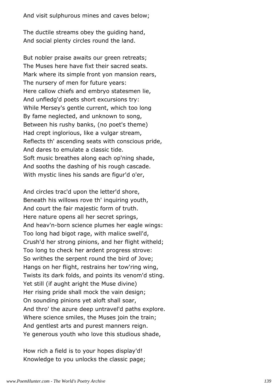And visit sulphurous mines and caves below;

The ductile streams obey the guiding hand, And social plenty circles round the land.

But nobler praise awaits our green retreats; The Muses here have fixt their sacred seats. Mark where its simple front yon mansion rears, The nursery of men for future years: Here callow chiefs and embryo statesmen lie, And unfledg'd poets short excursions try: While Mersey's gentle current, which too long By fame neglected, and unknown to song, Between his rushy banks, (no poet's theme) Had crept inglorious, like a vulgar stream, Reflects th' ascending seats with conscious pride, And dares to emulate a classic tide. Soft music breathes along each op'ning shade, And sooths the dashing of his rough cascade. With mystic lines his sands are figur'd o'er,

And circles trac'd upon the letter'd shore, Beneath his willows rove th' inquiring youth, And court the fair majestic form of truth. Here nature opens all her secret springs, And heav'n-born science plumes her eagle wings: Too long had bigot rage, with malice swell'd, Crush'd her strong pinions, and her flight witheld; Too long to check her ardent progress strove: So writhes the serpent round the bird of Jove; Hangs on her flight, restrains her tow'ring wing, Twists its dark folds, and points its venom'd sting. Yet still (if aught aright the Muse divine) Her rising pride shall mock the vain design; On sounding pinions yet aloft shall soar, And thro' the azure deep untravel'd paths explore. Where science smiles, the Muses join the train; And gentlest arts and purest manners reign. Ye generous youth who love this studious shade,

How rich a field is to your hopes display'd! Knowledge to you unlocks the classic page;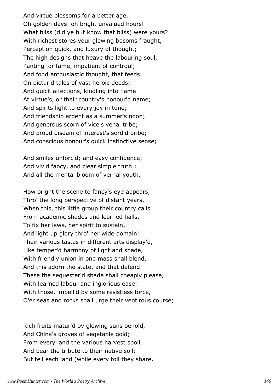And virtue blossoms for a better age. Oh golden days! oh bright unvalued hours! What bliss (did ye but know that bliss) were yours? With richest stores your glowing bosoms fraught, Perception quick, and luxury of thought; The high designs that heave the labouring soul, Panting for fame, impatient of controul; And fond enthusiastic thought, that feeds On pictur'd tales of vast heroic deeds; And quick affections, kindling into flame At virtue's, or their country's honour'd name; And spirits light to every joy in tune; And friendship ardent as a summer's noon; And generous scorn of vice's venal tribe; And proud disdain of interest's sordid bribe; And conscious honour's quick instinctive sense;

And smiles unforc'd; and easy confidence; And vivid fancy, and clear simple truth ; And all the mental bloom of vernal youth.

How bright the scene to fancy's eye appears, Thro' the long perspective of distant years, When this, this little group their country calls From academic shades and learned halls, To fix her laws, her spirit to sustain, And light up glory thro' her wide domain! Their various tastes in different arts display'd, Like temper'd harmony of light and shade, With friendly union in one mass shall blend, And this adorn the state, and that defend. These the sequester'd shade shall cheaply please, With learned labour and inglorious ease: With those, impell'd by some resistless force, O'er seas and rocks shall urge their vent'rous course;

Rich fruits matur'd by glowing suns behold, And China's groves of vegetable gold; From every land the various harvest spoil, And bear the tribute to their native soil: But tell each land (while every toil they share,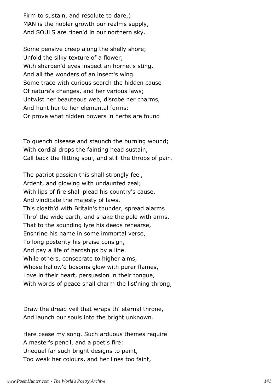Firm to sustain, and resolute to dare,) MAN is the nobler growth our realms supply, And SOULS are ripen'd in our northern sky.

Some pensive creep along the shelly shore; Unfold the silky texture of a flower; With sharpen'd eyes inspect an hornet's sting, And all the wonders of an insect's wing. Some trace with curious search the hidden cause Of nature's changes, and her various laws; Untwist her beauteous web, disrobe her charms, And hunt her to her elemental forms: Or prove what hidden powers in herbs are found

To quench disease and staunch the burning wound; With cordial drops the fainting head sustain, Call back the flitting soul, and still the throbs of pain.

The patriot passion this shall strongly feel, Ardent, and glowing with undaunted zeal; With lips of fire shall plead his country's cause, And vindicate the majesty of laws. This cloath'd with Britain's thunder, spread alarms Thro' the wide earth, and shake the pole with arms. That to the sounding lyre his deeds rehearse, Enshrine his name in some immortal verse, To long posterity his praise consign, And pay a life of hardships by a line. While others, consecrate to higher aims, Whose hallow'd bosoms glow with purer flames, Love in their heart, persuasion in their tongue, With words of peace shall charm the list'ning throng,

Draw the dread veil that wraps th' eternal throne, And launch our souls into the bright unknown.

Here cease my song. Such arduous themes require A master's pencil, and a poet's fire: Unequal far such bright designs to paint, Too weak her colours, and her lines too faint,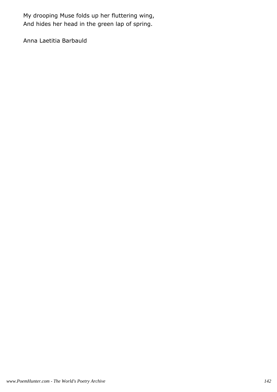My drooping Muse folds up her fluttering wing, And hides her head in the green lap of spring.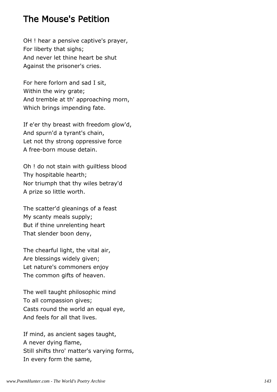## The Mouse's Petition

OH ! hear a pensive captive's prayer, For liberty that sighs; And never let thine heart be shut Against the prisoner's cries.

For here forlorn and sad I sit, Within the wiry grate; And tremble at th' approaching morn, Which brings impending fate.

If e'er thy breast with freedom glow'd, And spurn'd a tyrant's chain, Let not thy strong oppressive force A free-born mouse detain.

Oh ! do not stain with guiltless blood Thy hospitable hearth; Nor triumph that thy wiles betray'd A prize so little worth.

The scatter'd gleanings of a feast My scanty meals supply; But if thine unrelenting heart That slender boon deny,

The chearful light, the vital air, Are blessings widely given; Let nature's commoners enjoy The common gifts of heaven.

The well taught philosophic mind To all compassion gives; Casts round the world an equal eye, And feels for all that lives.

If mind, as ancient sages taught, A never dying flame, Still shifts thro' matter's varying forms, In every form the same,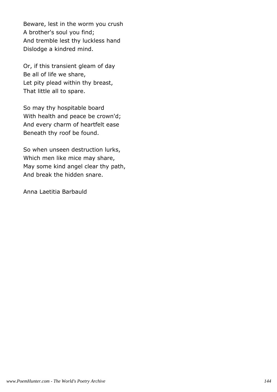Beware, lest in the worm you crush A brother's soul you find; And tremble lest thy luckless hand Dislodge a kindred mind.

Or, if this transient gleam of day Be all of life we share, Let pity plead within thy breast, That little all to spare.

So may thy hospitable board With health and peace be crown'd; And every charm of heartfelt ease Beneath thy roof be found.

So when unseen destruction lurks, Which men like mice may share, May some kind angel clear thy path, And break the hidden snare.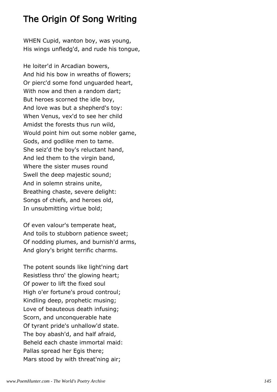## The Origin Of Song Writing

WHEN Cupid, wanton boy, was young, His wings unfledg'd, and rude his tongue,

He loiter'd in Arcadian bowers, And hid his bow in wreaths of flowers; Or pierc'd some fond unguarded heart, With now and then a random dart; But heroes scorned the idle boy, And love was but a shepherd's toy: When Venus, vex'd to see her child Amidst the forests thus run wild, Would point him out some nobler game, Gods, and godlike men to tame. She seiz'd the boy's reluctant hand, And led them to the virgin band, Where the sister muses round Swell the deep majestic sound; And in solemn strains unite, Breathing chaste, severe delight: Songs of chiefs, and heroes old, In unsubmitting virtue bold;

Of even valour's temperate heat, And toils to stubborn patience sweet; Of nodding plumes, and burnish'd arms, And glory's bright terrific charms.

The potent sounds like light'ning dart Resistless thro' the glowing heart; Of power to lift the fixed soul High o'er fortune's proud controul; Kindling deep, prophetic musing; Love of beauteous death infusing; Scorn, and unconquerable hate Of tyrant pride's unhallow'd state. The boy abash'd, and half afraid, Beheld each chaste immortal maid: Pallas spread her Egis there; Mars stood by with threat'ning air;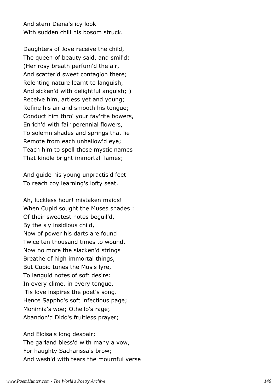And stern Diana's icy look With sudden chill his bosom struck.

Daughters of Jove receive the child, The queen of beauty said, and smil'd: (Her rosy breath perfum'd the air, And scatter'd sweet contagion there; Relenting nature learnt to languish, And sicken'd with delightful anguish; ) Receive him, artless yet and young; Refine his air and smooth his tongue; Conduct him thro' your fav'rite bowers, Enrich'd with fair perennial flowers, To solemn shades and springs that lie Remote from each unhallow'd eye; Teach him to spell those mystic names That kindle bright immortal flames;

And guide his young unpractis'd feet To reach coy learning's lofty seat.

Ah, luckless hour! mistaken maids! When Cupid sought the Muses shades : Of their sweetest notes beguil'd, By the sly insidious child, Now of power his darts are found Twice ten thousand times to wound. Now no more the slacken'd strings Breathe of high immortal things, But Cupid tunes the Musis lyre, To languid notes of soft desire: In every clime, in every tongue, 'Tis love inspires the poet's song. Hence Sappho's soft infectious page; Monimia's woe; Othello's rage; Abandon'd Dido's fruitless prayer;

And Eloisa's long despair; The garland bless'd with many a vow, For haughty Sacharissa's brow; And wash'd with tears the mournful verse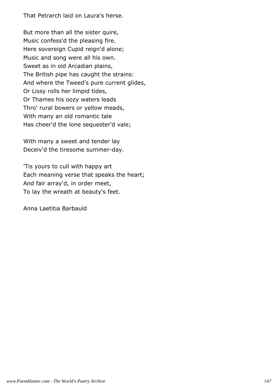That Petrarch laid on Laura's herse.

But more than all the sister quire, Music confess'd the pleasing fire. Here sovereign Cupid reign'd alone; Music and song were all his own. Sweet as in old Arcadian plains, The British pipe has caught the strains: And where the Tweed's pure current glides, Or Lissy rolls her limpid tides, Or Thames his oozy waters leads Thro' rural bowers or yellow meads, With many an old romantic tale Has cheer'd the lone sequester'd vale;

With many a sweet and tender lay Deceiv'd the tiresome summer-day.

'Tis yours to cull with happy art Each meaning verse that speaks the heart; And fair array'd, in order meet, To lay the wreath at beauty's feet.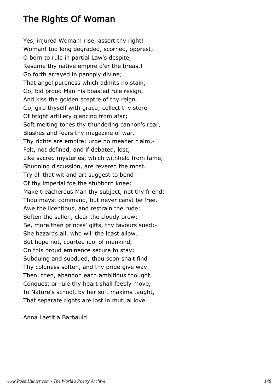### The Rights Of Woman

Yes, injured Woman! rise, assert thy right! Woman! too long degraded, scorned, opprest; O born to rule in partial Law's despite, Resume thy native empire o'er the breast! Go forth arrayed in panoply divine; That angel pureness which admits no stain; Go, bid proud Man his boasted rule resign, And kiss the golden sceptre of thy reign. Go, gird thyself with grace; collect thy store Of bright artillery glancing from afar; Soft melting tones thy thundering cannon's roar, Blushes and fears thy magazine of war. Thy rights are empire: urge no meaner claim,- Felt, not defined, and if debated, lost; Like sacred mysteries, which withheld from fame, Shunning discussion, are revered the most. Try all that wit and art suggest to bend Of thy imperial foe the stubborn knee; Make treacherous Man thy subject, not thy friend; Thou mayst command, but never canst be free. Awe the licentious, and restrain the rude; Soften the sullen, clear the cloudy brow: Be, more than princes' gifts, thy favours sued;- She hazards all, who will the least allow. But hope not, courted idol of mankind, On this proud eminence secure to stay; Subduing and subdued, thou soon shalt find Thy coldness soften, and thy pride give way. Then, then, abandon each ambitious thought, Conquest or rule thy heart shall feebly move, In Nature's school, by her soft maxims taught, That separate rights are lost in mutual love.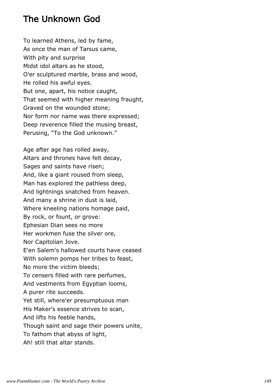#### The Unknown God

To learned Athens, led by fame, As once the man of Tarsus came, With pity and surprise Midst idol altars as he stood, O'er sculptured marble, brass and wood, He rolled his awful eyes. But one, apart, his notice caught, That seemed with higher meaning fraught, Graved on the wounded stone; Nor form nor name was there expressed; Deep reverence filled the musing breast, Perusing, "To the God unknown."

Age after age has rolled away, Altars and thrones have felt decay, Sages and saints have risen; And, like a giant roused from sleep, Man has explored the pathless deep, And lightnings snatched from heaven. And many a shrine in dust is laid, Where kneeling nations homage paid, By rock, or fount, or grove: Ephesian Dian sees no more Her workmen fuse the silver ore, Nor Capitolian Jove. E'en Salem's hallowed courts have ceased With solemn pomps her tribes to feast, No more the victim bleeds; To censers filled with rare perfumes, And vestments from Egyptian looms, A purer rite succeeds. Yet still, where'er presumptuous man His Maker's essence strives to scan, And lifts his feeble hands, Though saint and sage their powers unite, To fathom that abyss of light, Ah! still that altar stands.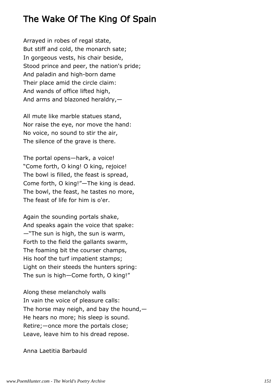## The Wake Of The King Of Spain

Arrayed in robes of regal state, But stiff and cold, the monarch sate; In gorgeous vests, his chair beside, Stood prince and peer, the nation's pride; And paladin and high-born dame Their place amid the circle claim: And wands of office lifted high, And arms and blazoned heraldry,—

All mute like marble statues stand, Nor raise the eye, nor move the hand: No voice, no sound to stir the air, The silence of the grave is there.

The portal opens—hark, a voice! "Come forth, O king! O king, rejoice! The bowl is filled, the feast is spread, Come forth, O king!"—The king is dead. The bowl, the feast, he tastes no more, The feast of life for him is o'er.

Again the sounding portals shake, And speaks again the voice that spake: —"The sun is high, the sun is warm, Forth to the field the gallants swarm, The foaming bit the courser champs, His hoof the turf impatient stamps; Light on their steeds the hunters spring: The sun is high—Come forth, O king!"

Along these melancholy walls In vain the voice of pleasure calls: The horse may neigh, and bay the hound,— He hears no more; his sleep is sound. Retire;—once more the portals close; Leave, leave him to his dread repose.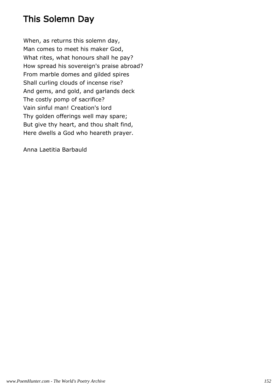### This Solemn Day

When, as returns this solemn day, Man comes to meet his maker God, What rites, what honours shall he pay? How spread his sovereign's praise abroad? From marble domes and gilded spires Shall curling clouds of incense rise? And gems, and gold, and garlands deck The costly pomp of sacrifice? Vain sinful man! Creation's lord Thy golden offerings well may spare; But give thy heart, and thou shalt find, Here dwells a God who heareth prayer.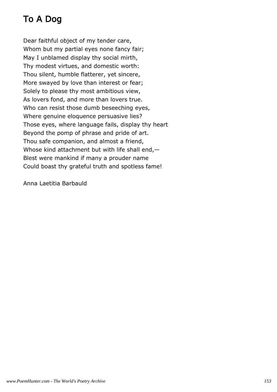# To A Dog

Dear faithful object of my tender care, Whom but my partial eyes none fancy fair; May I unblamed display thy social mirth, Thy modest virtues, and domestic worth: Thou silent, humble flatterer, yet sincere, More swayed by love than interest or fear; Solely to please thy most ambitious view, As lovers fond, and more than lovers true. Who can resist those dumb beseeching eyes, Where genuine eloquence persuasive lies? Those eyes, where language fails, display thy heart Beyond the pomp of phrase and pride of art. Thou safe companion, and almost a friend, Whose kind attachment but with life shall end,— Blest were mankind if many a prouder name Could boast thy grateful truth and spotless fame!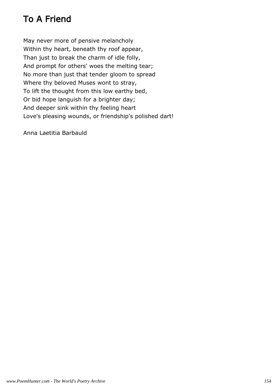# To A Friend

May never more of pensive melancholy Within thy heart, beneath thy roof appear, Than just to break the charm of idle folly, And prompt for others' woes the melting tear; No more than just that tender gloom to spread Where thy beloved Muses wont to stray, To lift the thought from this low earthy bed, Or bid hope languish for a brighter day; And deeper sink within thy feeling heart Love's pleasing wounds, or friendship's polished dart!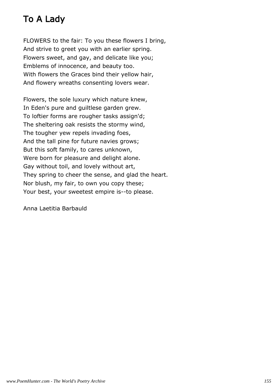# To A Lady

FLOWERS to the fair: To you these flowers I bring, And strive to greet you with an earlier spring. Flowers sweet, and gay, and delicate like you; Emblems of innocence, and beauty too. With flowers the Graces bind their yellow hair, And flowery wreaths consenting lovers wear.

Flowers, the sole luxury which nature knew, In Eden's pure and guiltlese garden grew. To loftier forms are rougher tasks assign'd; The sheltering oak resists the stormy wind, The tougher yew repels invading foes, And the tall pine for future navies grows; But this soft family, to cares unknown, Were born for pleasure and delight alone. Gay without toil, and lovely without art, They spring to cheer the sense, and glad the heart. Nor blush, my fair, to own you copy these; Your best, your sweetest empire is--to please.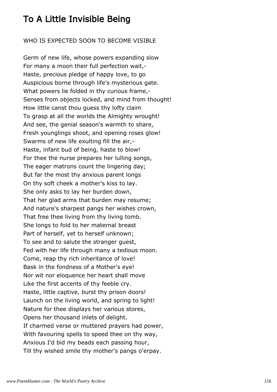## To A Little Invisible Being

#### WHO IS EXPECTED SOON TO BECOME VISIBLE

Germ of new life, whose powers expanding slow For many a moon their full perfection wait,- Haste, precious pledge of happy love, to go Auspicious borne through life's mysterious gate. What powers lie folded in thy curious frame,-Senses from objects locked, and mind from thought! How little canst thou guess thy lofty claim To grasp at all the worlds the Almighty wrought! And see, the genial season's warmth to share, Fresh younglings shoot, and opening roses glow! Swarms of new life exulting fill the air,- Haste, infant bud of being, haste to blow! For thee the nurse prepares her lulling songs, The eager matrons count the lingering day; But far the most thy anxious parent longs On thy soft cheek a mother's kiss to lay. She only asks to lay her burden down, That her glad arms that burden may resume; And nature's sharpest pangs her wishes crown, That free thee living from thy living tomb. She longs to fold to her maternal breast Part of herself, yet to herself unknown; To see and to salute the stranger guest, Fed with her life through many a tedious moon. Come, reap thy rich inheritance of love! Bask in the fondness of a Mother's eye! Nor wit nor eloquence her heart shall move Like the first accents of thy feeble cry. Haste, little captive, burst thy prison doors! Launch on the living world, and spring to light! Nature for thee displays her various stores, Opens her thousand inlets of delight. If charmed verse or muttered prayers had power, With favouring spells to speed thee on thy way, Anxious I'd bid my beads each passing hour, Till thy wished smile thy mother's pangs o'erpay.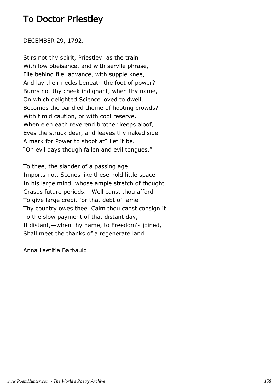#### To Doctor Priestley

#### DECEMBER 29, 1792.

Stirs not thy spirit, Priestley! as the train With low obeisance, and with servile phrase, File behind file, advance, with supple knee, And lay their necks beneath the foot of power? Burns not thy cheek indignant, when thy name, On which delighted Science loved to dwell, Becomes the bandied theme of hooting crowds? With timid caution, or with cool reserve, When e'en each reverend brother keeps aloof, Eyes the struck deer, and leaves thy naked side A mark for Power to shoot at? Let it be. "On evil days though fallen and evil tongues,"

To thee, the slander of a passing age Imports not. Scenes like these hold little space In his large mind, whose ample stretch of thought Grasps future periods.—Well canst thou afford To give large credit for that debt of fame Thy country owes thee. Calm thou canst consign it To the slow payment of that distant day,— If distant,—when thy name, to Freedom's joined, Shall meet the thanks of a regenerate land.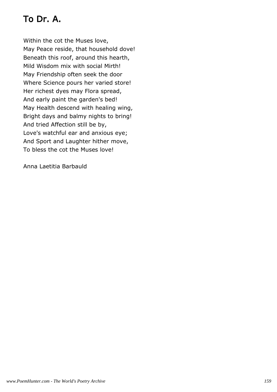# To Dr. A.

Within the cot the Muses love, May Peace reside, that household dove! Beneath this roof, around this hearth, Mild Wisdom mix with social Mirth! May Friendship often seek the door Where Science pours her varied store! Her richest dyes may Flora spread, And early paint the garden's bed! May Health descend with healing wing, Bright days and balmy nights to bring! And tried Affection still be by, Love's watchful ear and anxious eye; And Sport and Laughter hither move, To bless the cot the Muses love!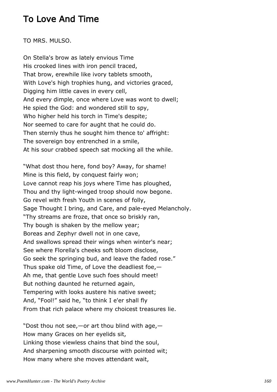### To Love And Time

TO MRS. MULSO.

On Stella's brow as lately envious Time His crooked lines with iron pencil traced, That brow, erewhile like ivory tablets smooth, With Love's high trophies hung, and victories graced, Digging him little caves in every cell, And every dimple, once where Love was wont to dwell; He spied the God: and wondered still to spy, Who higher held his torch in Time's despite; Nor seemed to care for aught that he could do. Then sternly thus he sought him thence to' affright: The sovereign boy entrenched in a smile, At his sour crabbed speech sat mocking all the while.

"What dost thou here, fond boy? Away, for shame! Mine is this field, by conquest fairly won; Love cannot reap his joys where Time has ploughed, Thou and thy light-winged troop should now begone. Go revel with fresh Youth in scenes of folly, Sage Thought I bring, and Care, and pale-eyed Melancholy. "Thy streams are froze, that once so briskly ran, Thy bough is shaken by the mellow year; Boreas and Zephyr dwell not in one cave, And swallows spread their wings when winter's near; See where Florella's cheeks soft bloom disclose, Go seek the springing bud, and leave the faded rose." Thus spake old Time, of Love the deadliest foe, $-$ Ah me, that gentle Love such foes should meet! But nothing daunted he returned again, Tempering with looks austere his native sweet; And, "Fool!" said he, "to think I e'er shall fly From that rich palace where my choicest treasures lie.

"Dost thou not see,—or art thou blind with age,— How many Graces on her eyelids sit, Linking those viewless chains that bind the soul, And sharpening smooth discourse with pointed wit; How many where she moves attendant wait,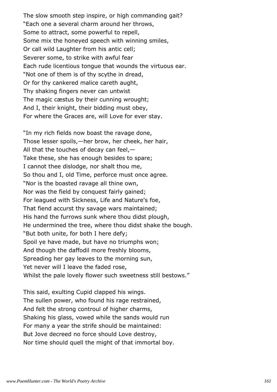The slow smooth step inspire, or high commanding gait? "Each one a several charm around her throws, Some to attract, some powerful to repell, Some mix the honeyed speech with winning smiles, Or call wild Laughter from his antic cell; Severer some, to strike with awful fear Each rude licentious tongue that wounds the virtuous ear. "Not one of them is of thy scythe in dread, Or for thy cankered malice careth aught, Thy shaking fingers never can untwist The magic cæstus by their cunning wrought; And I, their knight, their bidding must obey, For where the Graces are, will Love for ever stay.

"In my rich fields now boast the ravage done, Those lesser spoils,—her brow, her cheek, her hair, All that the touches of decay can feel,— Take these, she has enough besides to spare; I cannot thee dislodge, nor shalt thou me, So thou and I, old Time, perforce must once agree. "Nor is the boasted ravage all thine own, Nor was the field by conquest fairly gained; For leagued with Sickness, Life and Nature's foe, That fiend accurst thy savage wars maintained; His hand the furrows sunk where thou didst plough, He undermined the tree, where thou didst shake the bough. "But both unite, for both I here defy; Spoil ye have made, but have no triumphs won; And though the daffodil more freshly blooms, Spreading her gay leaves to the morning sun, Yet never will I leave the faded rose, Whilst the pale lovely flower such sweetness still bestows."

This said, exulting Cupid clapped his wings. The sullen power, who found his rage restrained, And felt the strong controul of higher charms, Shaking his glass, vowed while the sands would run For many a year the strife should be maintained: But Jove decreed no force should Love destroy, Nor time should quell the might of that immortal boy.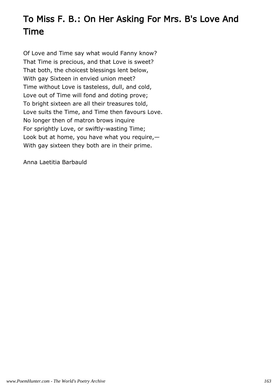# To Miss F. B.: On Her Asking For Mrs. B's Love And Time

Of Love and Time say what would Fanny know? That Time is precious, and that Love is sweet? That both, the choicest blessings lent below, With gay Sixteen in envied union meet? Time without Love is tasteless, dull, and cold, Love out of Time will fond and doting prove; To bright sixteen are all their treasures told, Love suits the Time, and Time then favours Love. No longer then of matron brows inquire For sprightly Love, or swiftly-wasting Time; Look but at home, you have what you require,— With gay sixteen they both are in their prime.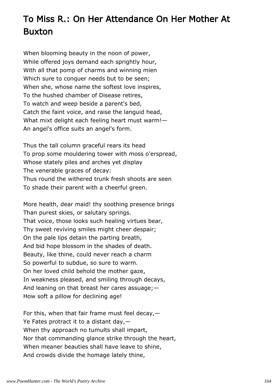# To Miss R.: On Her Attendance On Her Mother At Buxton

When blooming beauty in the noon of power, While offered joys demand each sprightly hour, With all that pomp of charms and winning mien Which sure to conquer needs but to be seen; When she, whose name the softest love inspires, To the hushed chamber of Disease retires, To watch and weep beside a parent's bed, Catch the faint voice, and raise the languid head, What mixt delight each feeling heart must warm!— An angel's office suits an angel's form.

Thus the tall column graceful rears its head To prop some mouldering tower with moss o'erspread, Whose stately piles and arches yet display The venerable graces of decay: Thus round the withered trunk fresh shoots are seen To shade their parent with a cheerful green.

More health, dear maid! thy soothing presence brings Than purest skies, or salutary springs. That voice, those looks such healing virtues bear, Thy sweet reviving smiles might cheer despair; On the pale lips detain the parting breath, And bid hope blossom in the shades of death. Beauty, like thine, could never reach a charm So powerful to subdue, so sure to warm. On her loved child behold the mother gaze, In weakness pleased, and smiling through decays, And leaning on that breast her cares assuage;— How soft a pillow for declining age!

For this, when that fair frame must feel decay,— Ye Fates protract it to a distant day,— When thy approach no tumults shall impart, Nor that commanding glance strike through the heart, When meaner beauties shall have leave to shine, And crowds divide the homage lately thine,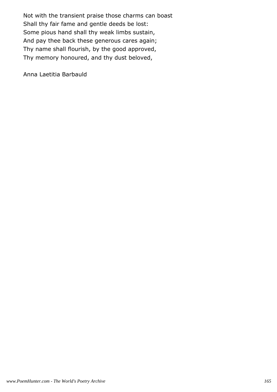Not with the transient praise those charms can boast Shall thy fair fame and gentle deeds be lost: Some pious hand shall thy weak limbs sustain, And pay thee back these generous cares again; Thy name shall flourish, by the good approved, Thy memory honoured, and thy dust beloved,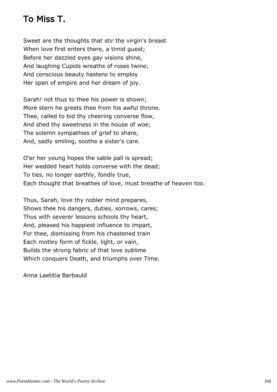### To Miss T.

Sweet are the thoughts that stir the virgin's breast When love first enters there, a timid guest; Before her dazzled eyes gay visions shine, And laughing Cupids wreaths of roses twine; And conscious beauty hastens to employ Her span of empire and her dream of joy.

Sarah! not thus to thee his power is shown; More stern he greets thee from his awful throne. Thee, called to bid thy cheering converse flow, And shed thy sweetness in the house of woe; The solemn sympathies of grief to share, And, sadly smiling, soothe a sister's care.

O'er her young hopes the sable pall is spread; Her wedded heart holds converse with the dead; To ties, no longer earthly, fondly true, Each thought that breathes of love, must breathe of heaven too.

Thus, Sarah, love thy nobler mind prepares, Shows thee his dangers, duties, sorrows, cares; Thus with severer lessons schools thy heart, And, pleased his happiest influence to impart, For thee, dismissing from his chastened train Each motley form of fickle, light, or vain, Builds the strong fabric of that love sublime Which conquers Death, and triumphs over Time.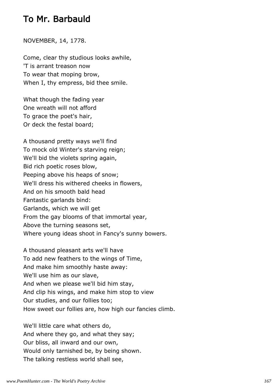#### To Mr. Barbauld

#### NOVEMBER, 14, 1778.

Come, clear thy studious looks awhile, 'T is arrant treason now To wear that moping brow, When I, thy empress, bid thee smile.

What though the fading year One wreath will not afford To grace the poet's hair, Or deck the festal board;

A thousand pretty ways we'll find To mock old Winter's starving reign; We'll bid the violets spring again, Bid rich poetic roses blow, Peeping above his heaps of snow; We'll dress his withered cheeks in flowers, And on his smooth bald head Fantastic garlands bind: Garlands, which we will get From the gay blooms of that immortal year, Above the turning seasons set, Where young ideas shoot in Fancy's sunny bowers.

A thousand pleasant arts we'll have To add new feathers to the wings of Time, And make him smoothly haste away: We'll use him as our slave, And when we please we'll bid him stay, And clip his wings, and make him stop to view Our studies, and our follies too; How sweet our follies are, how high our fancies climb.

We'll little care what others do, And where they go, and what they say; Our bliss, all inward and our own, Would only tarnished be, by being shown. The talking restless world shall see,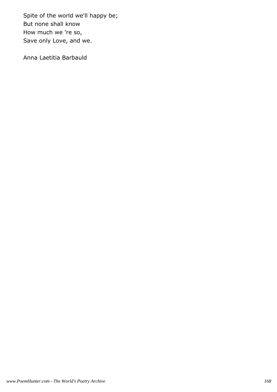Spite of the world we'll happy be; But none shall know How much we 're so, Save only Love, and we.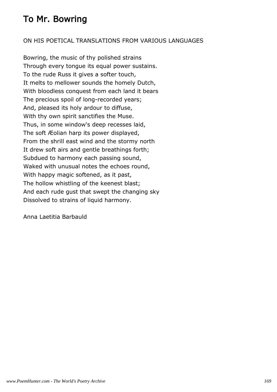# To Mr. Bowring

#### ON HIS POETICAL TRANSLATIONS FROM VARIOUS LANGUAGES

Bowring, the music of thy polished strains Through every tongue its equal power sustains. To the rude Russ it gives a softer touch, It melts to mellower sounds the homely Dutch, With bloodless conquest from each land it bears The precious spoil of long-recorded years; And, pleased its holy ardour to diffuse, With thy own spirit sanctifies the Muse. Thus, in some window's deep recesses laid, The soft Æolian harp its power displayed, From the shrill east wind and the stormy north It drew soft airs and gentle breathings forth; Subdued to harmony each passing sound, Waked with unusual notes the echoes round, With happy magic softened, as it past, The hollow whistling of the keenest blast; And each rude gust that swept the changing sky Dissolved to strains of liquid harmony.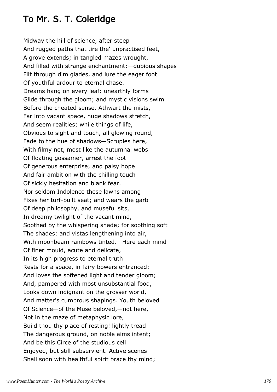# To Mr. S. T. Coleridge

Midway the hill of science, after steep And rugged paths that tire the' unpractised feet, A grove extends; in tangled mazes wrought, And filled with strange enchantment:—dubious shapes Flit through dim glades, and lure the eager foot Of youthful ardour to eternal chase. Dreams hang on every leaf: unearthly forms Glide through the gloom; and mystic visions swim Before the cheated sense. Athwart the mists, Far into vacant space, huge shadows stretch, And seem realities; while things of life, Obvious to sight and touch, all glowing round, Fade to the hue of shadows—Scruples here, With filmy net, most like the autumnal webs Of floating gossamer, arrest the foot Of generous enterprise; and palsy hope And fair ambition with the chilling touch Of sickly hesitation and blank fear. Nor seldom Indolence these lawns among Fixes her turf-built seat; and wears the garb Of deep philosophy, and museful sits, In dreamy twilight of the vacant mind, Soothed by the whispering shade; for soothing soft The shades; and vistas lengthening into air, With moonbeam rainbows tinted.—Here each mind Of finer mould, acute and delicate, In its high progress to eternal truth Rests for a space, in fairy bowers entranced; And loves the softened light and tender gloom; And, pampered with most unsubstantial food, Looks down indignant on the grosser world, And matter's cumbrous shapings. Youth beloved Of Science—of the Muse beloved,—not here, Not in the maze of metaphysic lore, Build thou thy place of resting! lightly tread The dangerous ground, on noble aims intent; And be this Circe of the studious cell Enjoyed, but still subservient. Active scenes Shall soon with healthful spirit brace thy mind;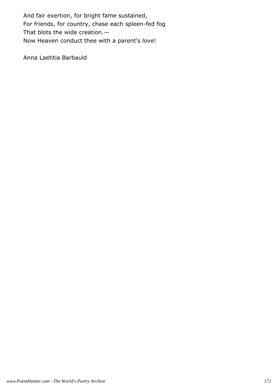And fair exertion, for bright fame sustained, For friends, for country, chase each spleen-fed fog That blots the wide creation.— Now Heaven conduct thee with a parent's love!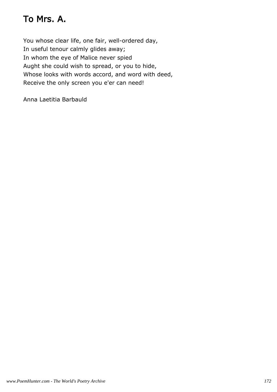## To Mrs. A.

You whose clear life, one fair, well-ordered day, In useful tenour calmly glides away; In whom the eye of Malice never spied Aught she could wish to spread, or you to hide, Whose looks with words accord, and word with deed, Receive the only screen you e'er can need!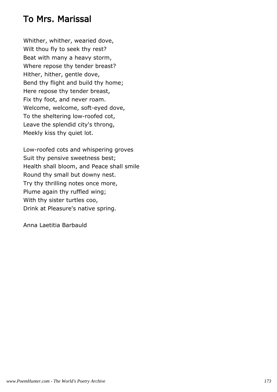#### To Mrs. Marissal

Whither, whither, wearied dove, Wilt thou fly to seek thy rest? Beat with many a heavy storm, Where repose thy tender breast? Hither, hither, gentle dove, Bend thy flight and build thy home; Here repose thy tender breast, Fix thy foot, and never roam. Welcome, welcome, soft-eyed dove, To the sheltering low-roofed cot, Leave the splendid city's throng, Meekly kiss thy quiet lot.

Low-roofed cots and whispering groves Suit thy pensive sweetness best; Health shall bloom, and Peace shall smile Round thy small but downy nest. Try thy thrilling notes once more, Plume again thy ruffled wing; With thy sister turtles coo, Drink at Pleasure's native spring.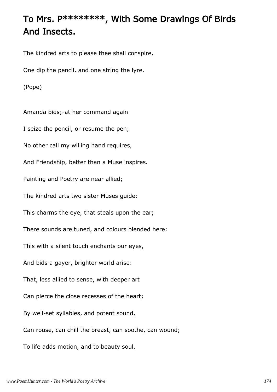# To Mrs. P\*\*\*\*\*\*\*\*, With Some Drawings Of Birds And Insects.

The kindred arts to please thee shall conspire,

One dip the pencil, and one string the lyre.

(Pope)

Amanda bids;-at her command again I seize the pencil, or resume the pen; No other call my willing hand requires, And Friendship, better than a Muse inspires. Painting and Poetry are near allied; The kindred arts two sister Muses guide: This charms the eye, that steals upon the ear; There sounds are tuned, and colours blended here: This with a silent touch enchants our eyes, And bids a gayer, brighter world arise: That, less allied to sense, with deeper art Can pierce the close recesses of the heart; By well-set syllables, and potent sound, Can rouse, can chill the breast, can soothe, can wound; To life adds motion, and to beauty soul,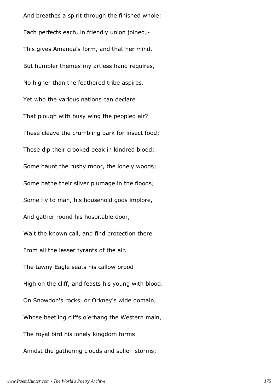And breathes a spirit through the finished whole: Each perfects each, in friendly union joined;- This gives Amanda's form, and that her mind. But humbler themes my artless hand requires, No higher than the feathered tribe aspires. Yet who the various nations can declare That plough with busy wing the peopled air? These cleave the crumbling bark for insect food; Those dip their crooked beak in kindred blood: Some haunt the rushy moor, the lonely woods; Some bathe their silver plumage in the floods; Some fly to man, his household gods implore, And gather round his hospitable door, Wait the known call, and find protection there From all the lesser tyrants of the air. The tawny Eagle seats his callow brood High on the cliff, and feasts his young with blood. On Snowdon's rocks, or Orkney's wide domain, Whose beetling cliffs o'erhang the Western main, The royal bird his lonely kingdom forms Amidst the gathering clouds and sullen storms;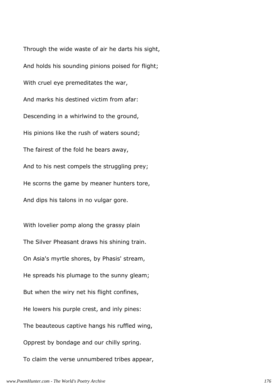Through the wide waste of air he darts his sight, And holds his sounding pinions poised for flight; With cruel eye premeditates the war, And marks his destined victim from afar: Descending in a whirlwind to the ground, His pinions like the rush of waters sound; The fairest of the fold he bears away, And to his nest compels the struggling prey; He scorns the game by meaner hunters tore, And dips his talons in no vulgar gore.

With lovelier pomp along the grassy plain The Silver Pheasant draws his shining train. On Asia's myrtle shores, by Phasis' stream, He spreads his plumage to the sunny gleam; But when the wiry net his flight confines, He lowers his purple crest, and inly pines: The beauteous captive hangs his ruffled wing, Opprest by bondage and our chilly spring. To claim the verse unnumbered tribes appear,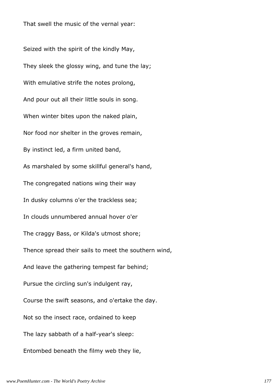That swell the music of the vernal year:

Seized with the spirit of the kindly May, They sleek the glossy wing, and tune the lay; With emulative strife the notes prolong, And pour out all their little souls in song. When winter bites upon the naked plain, Nor food nor shelter in the groves remain, By instinct led, a firm united band, As marshaled by some skillful general's hand, The congregated nations wing their way In dusky columns o'er the trackless sea; In clouds unnumbered annual hover o'er The craggy Bass, or Kilda's utmost shore; Thence spread their sails to meet the southern wind, And leave the gathering tempest far behind; Pursue the circling sun's indulgent ray, Course the swift seasons, and o'ertake the day. Not so the insect race, ordained to keep The lazy sabbath of a half-year's sleep: Entombed beneath the filmy web they lie,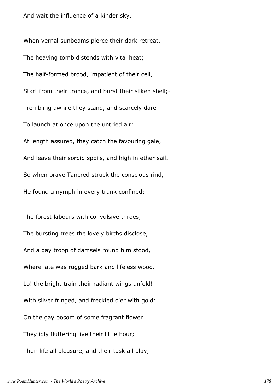And wait the influence of a kinder sky.

When vernal sunbeams pierce their dark retreat, The heaving tomb distends with vital heat; The half-formed brood, impatient of their cell, Start from their trance, and burst their silken shell;- Trembling awhile they stand, and scarcely dare To launch at once upon the untried air: At length assured, they catch the favouring gale, And leave their sordid spoils, and high in ether sail. So when brave Tancred struck the conscious rind, He found a nymph in every trunk confined;

The forest labours with convulsive throes, The bursting trees the lovely births disclose, And a gay troop of damsels round him stood, Where late was rugged bark and lifeless wood. Lo! the bright train their radiant wings unfold! With silver fringed, and freckled o'er with gold: On the gay bosom of some fragrant flower They idly fluttering live their little hour; Their life all pleasure, and their task all play,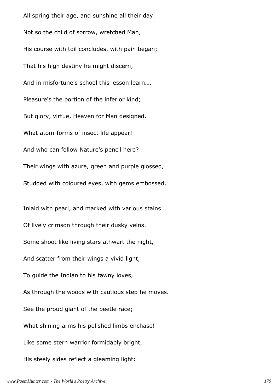All spring their age, and sunshine all their day. Not so the child of sorrow, wretched Man, His course with toil concludes, with pain began; That his high destiny he might discern, And in misfortune's school this lesson learn…. Pleasure's the portion of the inferior kind; But glory, virtue, Heaven for Man designed. What atom-forms of insect life appear! And who can follow Nature's pencil here? Their wings with azure, green and purple glossed, Studded with coloured eyes, with gems embossed, Inlaid with pearl, and marked with various stains Of lively crimson through their dusky veins. Some shoot like living stars athwart the night, And scatter from their wings a vivid light, To guide the Indian to his tawny loves, As through the woods with cautious step he moves. See the proud giant of the beetle race; What shining arms his polished limbs enchase! Like some stern warrior formidably bright, His steely sides reflect a gleaming light: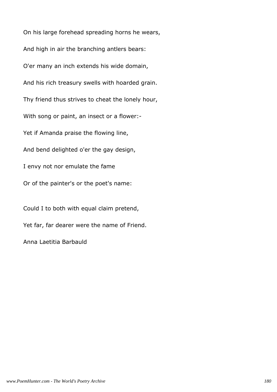On his large forehead spreading horns he wears, And high in air the branching antlers bears: O'er many an inch extends his wide domain, And his rich treasury swells with hoarded grain. Thy friend thus strives to cheat the lonely hour, With song or paint, an insect or a flower:- Yet if Amanda praise the flowing line, And bend delighted o'er the gay design, I envy not nor emulate the fame Or of the painter's or the poet's name: Could I to both with equal claim pretend, Yet far, far dearer were the name of Friend.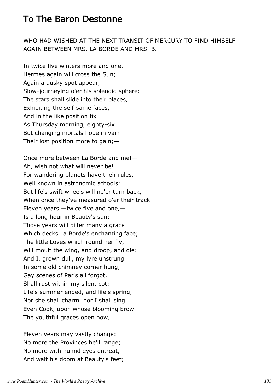## To The Baron Destonne

WHO HAD WISHED AT THE NEXT TRANSIT OF MERCURY TO FIND HIMSELF AGAIN BETWEEN MRS. LA BORDE AND MRS. B.

In twice five winters more and one, Hermes again will cross the Sun; Again a dusky spot appear, Slow-journeying o'er his splendid sphere: The stars shall slide into their places, Exhibiting the self-same faces, And in the like position fix As Thursday morning, eighty-six. But changing mortals hope in vain Their lost position more to gain;—

Once more between La Borde and me!— Ah, wish not what will never be! For wandering planets have their rules, Well known in astronomic schools; But life's swift wheels will ne'er turn back, When once they've measured o'er their track. Eleven years,—twice five and one,— Is a long hour in Beauty's sun: Those years will pilfer many a grace Which decks La Borde's enchanting face; The little Loves which round her fly, Will moult the wing, and droop, and die: And I, grown dull, my lyre unstrung In some old chimney corner hung, Gay scenes of Paris all forgot, Shall rust within my silent cot: Life's summer ended, and life's spring, Nor she shall charm, nor I shall sing. Even Cook, upon whose blooming brow The youthful graces open now,

Eleven years may vastly change: No more the Provinces he'll range; No more with humid eyes entreat, And wait his doom at Beauty's feet;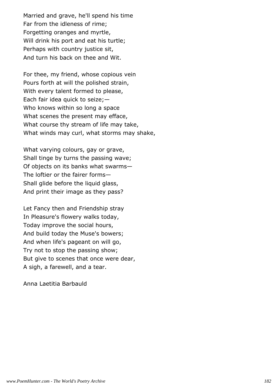Married and grave, he'll spend his time Far from the idleness of rime; Forgetting oranges and myrtle, Will drink his port and eat his turtle; Perhaps with country justice sit, And turn his back on thee and Wit.

For thee, my friend, whose copious vein Pours forth at will the polished strain, With every talent formed to please, Each fair idea quick to seize;— Who knows within so long a space What scenes the present may efface, What course thy stream of life may take, What winds may curl, what storms may shake,

What varying colours, gay or grave, Shall tinge by turns the passing wave; Of objects on its banks what swarms— The loftier or the fairer forms— Shall glide before the liquid glass, And print their image as they pass?

Let Fancy then and Friendship stray In Pleasure's flowery walks today, Today improve the social hours, And build today the Muse's bowers; And when life's pageant on will go, Try not to stop the passing show; But give to scenes that once were dear, A sigh, a farewell, and a tear.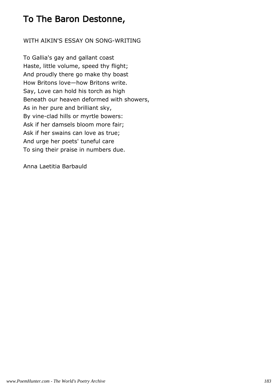## To The Baron Destonne,

#### WITH AIKIN'S ESSAY ON SONG-WRITING

To Gallia's gay and gallant coast Haste, little volume, speed thy flight; And proudly there go make thy boast How Britons love—how Britons write. Say, Love can hold his torch as high Beneath our heaven deformed with showers, As in her pure and brilliant sky, By vine-clad hills or myrtle bowers: Ask if her damsels bloom more fair; Ask if her swains can love as true; And urge her poets' tuneful care To sing their praise in numbers due.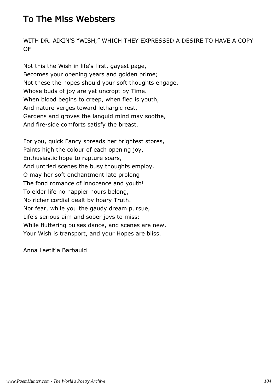## To The Miss Websters

WITH DR. AIKIN'S "WISH," WHICH THEY EXPRESSED A DESIRE TO HAVE A COPY OF

Not this the Wish in life's first, gayest page, Becomes your opening years and golden prime; Not these the hopes should your soft thoughts engage, Whose buds of joy are yet uncropt by Time. When blood begins to creep, when fled is youth, And nature verges toward lethargic rest, Gardens and groves the languid mind may soothe, And fire-side comforts satisfy the breast.

For you, quick Fancy spreads her brightest stores, Paints high the colour of each opening joy, Enthusiastic hope to rapture soars, And untried scenes the busy thoughts employ. O may her soft enchantment late prolong The fond romance of innocence and youth! To elder life no happier hours belong, No richer cordial dealt by hoary Truth. Nor fear, while you the gaudy dream pursue, Life's serious aim and sober joys to miss: While fluttering pulses dance, and scenes are new, Your Wish is transport, and your Hopes are bliss.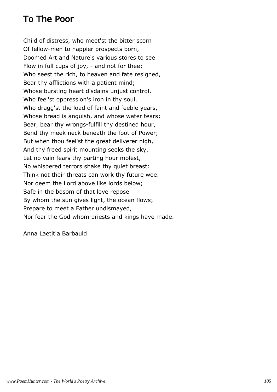## To The Poor

Child of distress, who meet'st the bitter scorn Of fellow-men to happier prospects born, Doomed Art and Nature's various stores to see Flow in full cups of joy, - and not for thee; Who seest the rich, to heaven and fate resigned, Bear thy afflictions with a patient mind; Whose bursting heart disdains unjust control, Who feel'st oppression's iron in thy soul, Who dragg'st the load of faint and feeble years, Whose bread is anguish, and whose water tears; Bear, bear thy wrongs-fulfill thy destined hour, Bend thy meek neck beneath the foot of Power; But when thou feel'st the great deliverer nigh, And thy freed spirit mounting seeks the sky, Let no vain fears thy parting hour molest, No whispered terrors shake thy quiet breast: Think not their threats can work thy future woe. Nor deem the Lord above like lords below; Safe in the bosom of that love repose By whom the sun gives light, the ocean flows; Prepare to meet a Father undismayed, Nor fear the God whom priests and kings have made.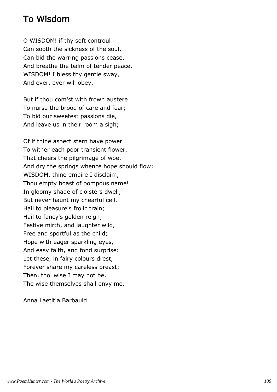## To Wisdom

O WISDOM! if thy soft controul Can sooth the sickness of the soul, Can bid the warring passions cease, And breathe the balm of tender peace, WISDOM! I bless thy gentle sway, And ever, ever will obey.

But if thou com'st with frown austere To nurse the brood of care and fear; To bid our sweetest passions die, And leave us in their room a sigh;

Of if thine aspect stern have power To wither each poor transient flower, That cheers the pilgrimage of woe, And dry the springs whence hope should flow; WISDOM, thine empire I disclaim, Thou empty boast of pompous name! In gloomy shade of cloisters dwell, But never haunt my chearful cell. Hail to pleasure's frolic train; Hail to fancy's golden reign; Festive mirth, and laughter wild, Free and sportful as the child; Hope with eager sparkling eyes, And easy faith, and fond surprise: Let these, in fairy colours drest, Forever share my careless breast; Then, tho' wise I may not be, The wise themselves shall envy me.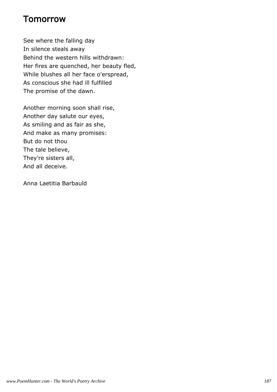### **Tomorrow**

See where the falling day In silence steals away Behind the western hills withdrawn: Her fires are quenched, her beauty fled, While blushes all her face o'erspread, As conscious she had ill fulfilled The promise of the dawn.

Another morning soon shall rise, Another day salute our eyes, As smiling and as fair as she, And make as many promises: But do not thou The tale believe, They're sisters all, And all deceive.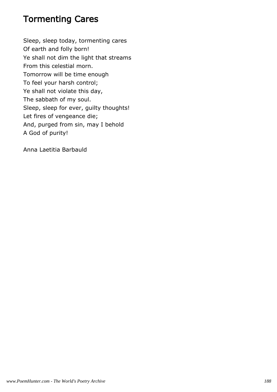## Tormenting Cares

Sleep, sleep today, tormenting cares Of earth and folly born! Ye shall not dim the light that streams From this celestial morn. Tomorrow will be time enough To feel your harsh control; Ye shall not violate this day, The sabbath of my soul. Sleep, sleep for ever, guilty thoughts! Let fires of vengeance die; And, purged from sin, may I behold A God of purity!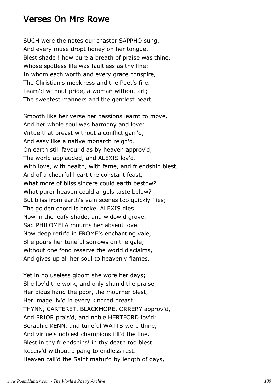### Verses On Mrs Rowe

SUCH were the notes our chaster SAPPHO sung, And every muse dropt honey on her tongue. Blest shade ! how pure a breath of praise was thine, Whose spotless life was faultless as thy line: In whom each worth and every grace conspire, The Christian's meekness and the Poet's fire. Learn'd without pride, a woman without art; The sweetest manners and the gentlest heart.

Smooth like her verse her passions learnt to move, And her whole soul was harmony and love: Virtue that breast without a conflict gain'd, And easy like a native monarch reign'd. On earth still favour'd as by heaven approv'd, The world applauded, and ALEXIS lov'd. With love, with health, with fame, and friendship blest, And of a chearful heart the constant feast, What more of bliss sincere could earth bestow? What purer heaven could angels taste below? But bliss from earth's vain scenes too quickly flies; The golden chord is broke, ALEXIS dies. Now in the leafy shade, and widow'd grove, Sad PHILOMELA mourns her absent love. Now deep retir'd in FROME's enchanting vale, She pours her tuneful sorrows on the gale; Without one fond reserve the world disclaims, And gives up all her soul to heavenly flames.

Yet in no useless gloom she wore her days; She lov'd the work, and only shun'd the praise. Her pious hand the poor, the mourner blest; Her image liv'd in every kindred breast. THYNN, CARTERET, BLACKMORE, ORRERY approv'd, And PRIOR prais'd, and noble HERTFORD lov'd; Seraphic KENN, and tuneful WATTS were thine, And virtue's noblest champions fill'd the line. Blest in thy friendships! in thy death too blest ! Receiv'd without a pang to endless rest. Heaven call'd the Saint matur'd by length of days,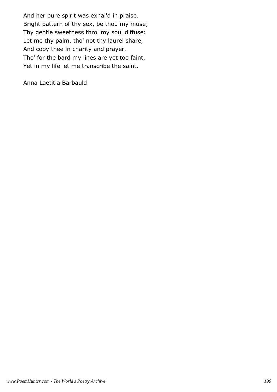And her pure spirit was exhal'd in praise. Bright pattern of thy sex, be thou my muse; Thy gentle sweetness thro' my soul diffuse: Let me thy palm, tho' not thy laurel share, And copy thee in charity and prayer. Tho' for the bard my lines are yet too faint, Yet in my life let me transcribe the saint.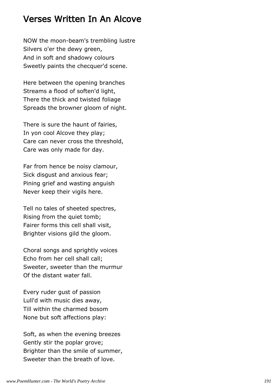### Verses Written In An Alcove

NOW the moon-beam's trembling lustre Silvers o'er the dewy green, And in soft and shadowy colours Sweetly paints the checquer'd scene.

Here between the opening branches Streams a flood of soften'd light, There the thick and twisted foliage Spreads the browner gloom of night.

There is sure the haunt of fairies, In yon cool Alcove they play; Care can never cross the threshold, Care was only made for day.

Far from hence be noisy clamour, Sick disgust and anxious fear; Pining grief and wasting anguish Never keep their vigils here.

Tell no tales of sheeted spectres, Rising from the quiet tomb; Fairer forms this cell shall visit, Brighter visions gild the gloom.

Choral songs and sprightly voices Echo from her cell shall call; Sweeter, sweeter than the murmur Of the distant water fall.

Every ruder gust of passion Lull'd with music dies away, Till within the charmed bosom None but soft affections play:

Soft, as when the evening breezes Gently stir the poplar grove; Brighter than the smile of summer, Sweeter than the breath of love.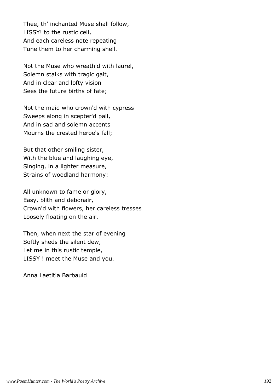Thee, th' inchanted Muse shall follow, LISSY! to the rustic cell, And each careless note repeating Tune them to her charming shell.

Not the Muse who wreath'd with laurel, Solemn stalks with tragic gait, And in clear and lofty vision Sees the future births of fate;

Not the maid who crown'd with cypress Sweeps along in scepter'd pall, And in sad and solemn accents Mourns the crested heroe's fall;

But that other smiling sister, With the blue and laughing eye, Singing, in a lighter measure, Strains of woodland harmony:

All unknown to fame or glory, Easy, blith and debonair, Crown'd with flowers, her careless tresses Loosely floating on the air.

Then, when next the star of evening Softly sheds the silent dew, Let me in this rustic temple, LISSY ! meet the Muse and you.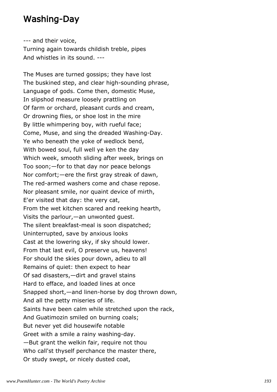### Washing-Day

--- and their voice, Turning again towards childish treble, pipes And whistles in its sound. ---

The Muses are turned gossips; they have lost The buskined step, and clear high-sounding phrase, Language of gods. Come then, domestic Muse, In slipshod measure loosely prattling on Of farm or orchard, pleasant curds and cream, Or drowning flies, or shoe lost in the mire By little whimpering boy, with rueful face; Come, Muse, and sing the dreaded Washing-Day. Ye who beneath the yoke of wedlock bend, With bowed soul, full well ye ken the day Which week, smooth sliding after week, brings on Too soon;—for to that day nor peace belongs Nor comfort;—ere the first gray streak of dawn, The red-armed washers come and chase repose. Nor pleasant smile, nor quaint device of mirth, E'er visited that day: the very cat, From the wet kitchen scared and reeking hearth, Visits the parlour,—an unwonted guest. The silent breakfast-meal is soon dispatched; Uninterrupted, save by anxious looks Cast at the lowering sky, if sky should lower. From that last evil, O preserve us, heavens! For should the skies pour down, adieu to all Remains of quiet: then expect to hear Of sad disasters,—dirt and gravel stains Hard to efface, and loaded lines at once Snapped short,—and linen-horse by dog thrown down, And all the petty miseries of life. Saints have been calm while stretched upon the rack, And Guatimozin smiled on burning coals; But never yet did housewife notable Greet with a smile a rainy washing-day. —But grant the welkin fair, require not thou Who call'st thyself perchance the master there, Or study swept, or nicely dusted coat,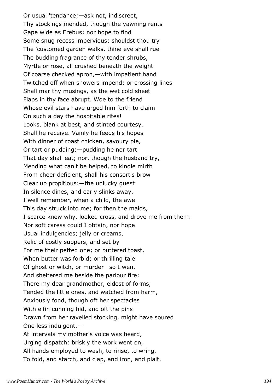Or usual 'tendance;—ask not, indiscreet, Thy stockings mended, though the yawning rents Gape wide as Erebus; nor hope to find Some snug recess impervious: shouldst thou try The 'customed garden walks, thine eye shall rue The budding fragrance of thy tender shrubs, Myrtle or rose, all crushed beneath the weight Of coarse checked apron,—with impatient hand Twitched off when showers impend: or crossing lines Shall mar thy musings, as the wet cold sheet Flaps in thy face abrupt. Woe to the friend Whose evil stars have urged him forth to claim On such a day the hospitable rites! Looks, blank at best, and stinted courtesy, Shall he receive. Vainly he feeds his hopes With dinner of roast chicken, savoury pie, Or tart or pudding:—pudding he nor tart That day shall eat; nor, though the husband try, Mending what can't be helped, to kindle mirth From cheer deficient, shall his consort's brow Clear up propitious:—the unlucky guest In silence dines, and early slinks away. I well remember, when a child, the awe This day struck into me; for then the maids, I scarce knew why, looked cross, and drove me from them: Nor soft caress could I obtain, nor hope Usual indulgencies; jelly or creams, Relic of costly suppers, and set by For me their petted one; or buttered toast, When butter was forbid; or thrilling tale Of ghost or witch, or murder—so I went And sheltered me beside the parlour fire: There my dear grandmother, eldest of forms, Tended the little ones, and watched from harm, Anxiously fond, though oft her spectacles With elfin cunning hid, and oft the pins Drawn from her ravelled stocking, might have soured One less indulgent.— At intervals my mother's voice was heard, Urging dispatch: briskly the work went on, All hands employed to wash, to rinse, to wring, To fold, and starch, and clap, and iron, and plait.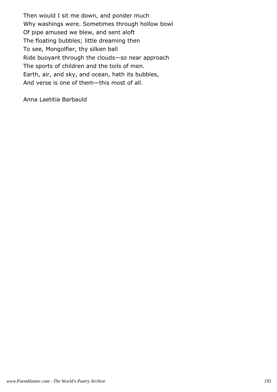Then would I sit me down, and ponder much Why washings were. Sometimes through hollow bowl Of pipe amused we blew, and sent aloft The floating bubbles; little dreaming then To see, Mongolfier, thy silken ball Ride buoyant through the clouds—so near approach The sports of children and the toils of men. Earth, air, and sky, and ocean, hath its bubbles, And verse is one of them—this most of all.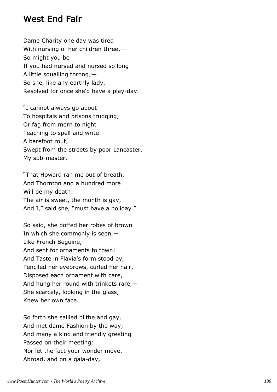### West End Fair

Dame Charity one day was tired With nursing of her children three, -So might you be If you had nursed and nursed so long A little squalling throng;— So she, like any earthly lady, Resolved for once she'd have a play-day.

"I cannot always go about To hospitals and prisons trudging, Or fag from morn to night Teaching to spell and write A barefoot rout, Swept from the streets by poor Lancaster, My sub-master.

"That Howard ran me out of breath, And Thornton and a hundred more Will be my death: The air is sweet, the month is gay, And I," said she, "must have a holiday."

So said, she doffed her robes of brown In which she commonly is seen,— Like French Beguine,— And sent for ornaments to town: And Taste in Flavia's form stood by, Penciled her eyebrows, curled her hair, Disposed each ornament with care, And hung her round with trinkets rare,— She scarcely, looking in the glass, Knew her own face.

So forth she sallied blithe and gay, And met dame Fashion by the way; And many a kind and friendly greeting Passed on their meeting: Nor let the fact your wonder move, Abroad, and on a gala-day,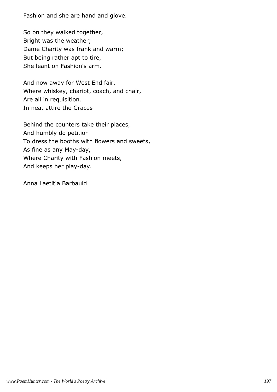Fashion and she are hand and glove.

So on they walked together, Bright was the weather; Dame Charity was frank and warm; But being rather apt to tire, She leant on Fashion's arm.

And now away for West End fair, Where whiskey, chariot, coach, and chair, Are all in requisition. In neat attire the Graces

Behind the counters take their places, And humbly do petition To dress the booths with flowers and sweets, As fine as any May-day, Where Charity with Fashion meets, And keeps her play-day.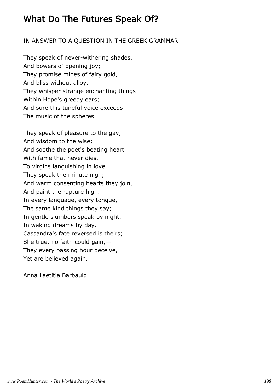## What Do The Futures Speak Of?

#### IN ANSWER TO A QUESTION IN THE GREEK GRAMMAR

They speak of never-withering shades, And bowers of opening joy; They promise mines of fairy gold, And bliss without alloy. They whisper strange enchanting things Within Hope's greedy ears; And sure this tuneful voice exceeds The music of the spheres.

They speak of pleasure to the gay, And wisdom to the wise; And soothe the poet's beating heart With fame that never dies. To virgins languishing in love They speak the minute nigh; And warm consenting hearts they join, And paint the rapture high. In every language, every tongue, The same kind things they say; In gentle slumbers speak by night, In waking dreams by day. Cassandra's fate reversed is theirs; She true, no faith could gain,— They every passing hour deceive, Yet are believed again.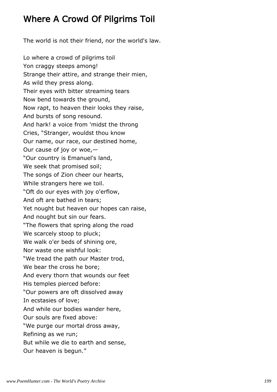# Where A Crowd Of Pilgrims Toil

The world is not their friend, nor the world's law.

Lo where a crowd of pilgrims toil Yon craggy steeps among! Strange their attire, and strange their mien, As wild they press along. Their eyes with bitter streaming tears Now bend towards the ground, Now rapt, to heaven their looks they raise, And bursts of song resound. And hark! a voice from 'midst the throng Cries, "Stranger, wouldst thou know Our name, our race, our destined home, Our cause of joy or woe,— "Our country is Emanuel's land, We seek that promised soil; The songs of Zion cheer our hearts, While strangers here we toil. "Oft do our eyes with joy o'erflow, And oft are bathed in tears; Yet nought but heaven our hopes can raise, And nought but sin our fears. "The flowers that spring along the road We scarcely stoop to pluck; We walk o'er beds of shining ore, Nor waste one wishful look: "We tread the path our Master trod, We bear the cross he bore; And every thorn that wounds our feet His temples pierced before: "Our powers are oft dissolved away In ecstasies of love; And while our bodies wander here, Our souls are fixed above: "We purge our mortal dross away, Refining as we run; But while we die to earth and sense, Our heaven is begun."